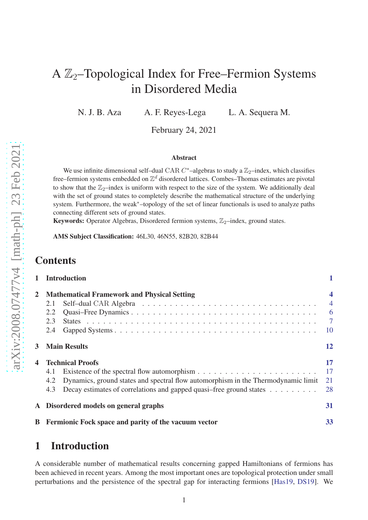# A  $\mathbb{Z}_2$ –Topological Index for Free–Fermion Systems in Disordered Media

N. J. B. Aza A. F. Reyes-Lega L. A. Sequera M.

February 24, 2021

#### Abstract

We use infinite dimensional self-dual CAR  $C^*$ -algebras to study a  $\mathbb{Z}_2$ -index, which classifies free–fermion systems embedded on Z *<sup>d</sup>* disordered lattices. Combes–Thomas estimates are pivotal to show that the  $\mathbb{Z}_2$ -index is uniform with respect to the size of the system. We additionally deal with the set of ground states to completely describe the mathematical structure of the underlying system. Furthermore, the weak∗–topology of the set of linear functionals is used to analyze paths connecting different sets of ground states.

Keywords: Operator Algebras, Disordered fermion systems,  $\mathbb{Z}_2$ –index, ground states.

AMS Subject Classification: 46L30, 46N55, 82B20, 82B44

## **Contents**

| 1 | <b>Introduction</b>                                                                                                                                                                                      |                                                                                      |
|---|----------------------------------------------------------------------------------------------------------------------------------------------------------------------------------------------------------|--------------------------------------------------------------------------------------|
| 2 | <b>Mathematical Framework and Physical Setting</b><br>2.1<br>2.2<br>2.3<br>2.4                                                                                                                           | $\overline{\mathbf{4}}$<br>$\overline{4}$<br>$6\overline{6}$<br>$\overline{7}$<br>10 |
| 3 | <b>Main Results</b>                                                                                                                                                                                      |                                                                                      |
| 4 | <b>Technical Proofs</b><br>4.1<br>Dynamics, ground states and spectral flow automorphism in the Thermodynamic limit<br>4.2<br>Decay estimates of correlations and gapped quasi-free ground states<br>4.3 | 17<br>17<br>21<br>28                                                                 |
|   | A Disordered models on general graphs                                                                                                                                                                    | 31                                                                                   |
|   | <b>B</b> Fermionic Fock space and parity of the vacuum vector                                                                                                                                            | 33                                                                                   |

## <span id="page-0-0"></span>1 Introduction

A considerable number of mathematical results concerning gapped Hamiltonians of fermions has been achieved in recent years. Among the most important ones are topological protection under small perturbations and the persistence of the spectral gap for interacting fermions [\[Has19,](#page-36-0) [DS19\]](#page-36-1). We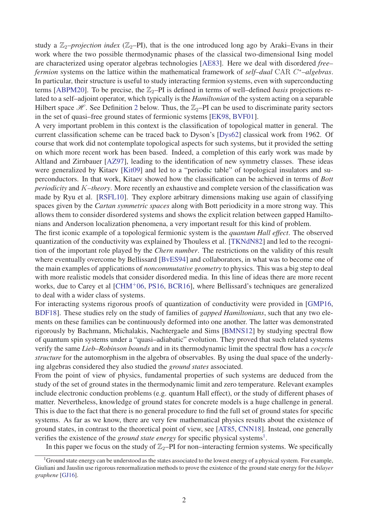study a  $\mathbb{Z}_2$ –*projection index* ( $\mathbb{Z}_2$ –PI), that is the one introduced long ago by Araki–Evans in their work where the two possible thermodynamic phases of the classical two-dimensional Ising model are characterized using operator algebras technologies [\[AE83\]](#page-34-0). Here we deal with disordered *free– fermion* systems on the lattice within the mathematical framework of *self–dual* CAR *C* <sup>∗</sup>*–algebras*. In particular, their structure is useful to study interacting fermion systems, even with superconducting terms [\[ABPM20\]](#page-34-1). To be precise, the  $\mathbb{Z}_2$ –PI is defined in terms of well–defined *basis* projections related to a self–adjoint operator, which typically is the *Hamiltonian* of the system acting on a separable Hilbert space  $\mathcal{H}$ . See Definition [2](#page-3-2) below. Thus, the  $\mathbb{Z}_2$ –PI can be used to discriminate parity sectors in the set of quasi–free ground states of fermionic systems [\[EK98,](#page-36-2) [BVF01\]](#page-36-3).

A very important problem in this context is the classification of topological matter in general. The current classification scheme can be traced back to Dyson's [\[Dys62\]](#page-36-4) classical work from 1962. Of course that work did not contemplate topological aspects for such systems, but it provided the setting on which more recent work has been based. Indeed, a completion of this early work was made by Altland and Zirnbauer [\[AZ97\]](#page-35-0), leading to the identification of new symmetry classes. These ideas were generalized by Kitaev [\[Kit09\]](#page-36-5) and led to a "periodic table" of topological insulators and superconductors. In that work, Kitaev showed how the classification can be achieved in terms of *Bott periodicity* and *K–theory*. More recently an exhaustive and complete version of the classification was made by Ryu et al. [\[RSFL10\]](#page-37-0). They explore arbitrary dimensions making use again of classifying spaces given by the *Cartan symmetric spaces* along with Bott periodicity in a more strong way. This allows them to consider disordered systems and shows the explicit relation between gapped Hamiltonians and Anderson localization phenomena, a very important result for this kind of problem.

The first iconic example of a topological fermionic system is the *quantum Hall effect*. The observed quantization of the conductivity was explained by Thouless et al. [\[TKNdN82\]](#page-37-1) and led to the recognition of the important role played by the *Chern number*. The restrictions on the validity of this result where eventually overcome by Bellissard [\[BvES94\]](#page-36-6) and collaborators, in what was to become one of the main examples of applications of *noncommutative geometry* to physics. This was a big step to deal with more realistic models that consider disordered media. In this line of ideas there are more recent works, due to Carey et al [\[CHM](#page-36-7)<sup>+</sup>06, [PS16,](#page-37-2) [BCR16\]](#page-35-1), where Bellissard's techniques are generalized to deal with a wider class of systems.

For interacting systems rigorous proofs of quantization of conductivity were provided in [\[GMP16,](#page-36-8) [BDF18\]](#page-35-2). These studies rely on the study of families of *gapped Hamiltonians*, such that any two elements on these families can be continuously deformed into one another. The latter was demonstrated rigorously by Bachmann, Michalakis, Nachtergaele and Sims [\[BMNS12\]](#page-35-3) by studying spectral flow of quantum spin systems under a "quasi–adiabatic" evolution. They proved that such related systems verify the same *Lieb–Robinson bounds* and in its thermodynamic limit the spectral flow has a *cocycle structure* for the automorphism in the algebra of observables. By using the dual space of the underlying algebras considered they also studied the *ground states* associated.

From the point of view of physics, fundamental properties of such systems are deduced from the study of the set of ground states in the thermodynamic limit and zero temperature. Relevant examples include electronic conduction problems (e.g. quantum Hall effect), or the study of different phases of matter. Nevertheless, knowledge of ground states for concrete models is a huge challenge in general. This is due to the fact that there is no general procedure to find the full set of ground states for specific systems. As far as we know, there are very few mathematical physics results about the existence of ground states, in contrast to the theoretical point of view, see [\[AT85,](#page-35-4) [CNN18\]](#page-36-9). Instead, one generally verifies the existence of the *ground state energy* for specific physical systems<sup>[1](#page-1-0)</sup>.

In this paper we focus on the study of  $\mathbb{Z}_2$ –PI for non–interacting fermion systems. We specifically

<span id="page-1-0"></span> $1$ Ground state energy can be understood as the states associated to the lowest energy of a physical system. For example, Giuliani and Jauslin use rigorous renormalization methods to prove the existence of the ground state energy for the *bilayer graphene* [\[GJ16\]](#page-36-10).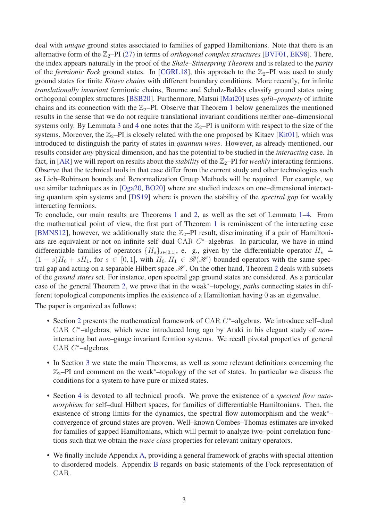deal with *unique* ground states associated to families of gapped Hamiltonians. Note that there is an alternative form of the  $\mathbb{Z}_2$ –PI [\(27\)](#page-12-0) in terms of *orthogonal complex structures* [\[BVF01,](#page-36-3) [EK98\]](#page-36-2). There, the index appears naturally in the proof of the *Shale–Stinespring Theorem* and is related to the *parity* of the *fermionic Fock* ground states. In [\[CGRL18\]](#page-36-11), this approach to the  $\mathbb{Z}_2$ –PI was used to study ground states for finite *Kitaev chains* with different boundary conditions. More recently, for infinite *translationally invariant* fermionic chains, Bourne and Schulz-Baldes classify ground states using orthogonal complex structures [\[BSB20\]](#page-36-12). Furthermore, Matsui [\[Mat20\]](#page-37-3) uses *split–property* of infinite chains and its connection with the  $\mathbb{Z}_2$ –PI. Observe that Theorem [1](#page-12-1) below generalizes the mentioned results in the sense that we do not require translational invariant conditions neither one–dimensional systems only. By Lemmata [3](#page-26-0) and [4](#page-28-0) one notes that the  $\mathbb{Z}_2$ –PI is uniform with respect to the size of the systems. Moreover, the  $\mathbb{Z}_2$ –PI is closely related with the one proposed by Kitaev [\[Kit01\]](#page-36-13), which was introduced to distinguish the parity of states in *quantum wires*. However, as already mentioned, our results consider *any* physical dimension, and has the potential to be studied in the *interacting* case. In fact, in [\[AR\]](#page-35-5) we will report on results about the *stability* of the  $\mathbb{Z}_2$ –PI for *weakly* interacting fermions. Observe that the technical tools in that case differ from the current study and other technologies such as Lieb–Robinson bounds and Renormalization Group Methods will be required. For example, we use similar techniques as in [\[Oga20,](#page-37-4) [BO20\]](#page-35-6) where are studied indexes on one–dimensional interacting quantum spin systems and [\[DS19\]](#page-36-1) where is proven the stability of the *spectral gap* for weakly interacting fermions.

To conclude, our main results are Theorems [1](#page-12-1) and [2,](#page-15-0) as well as the set of Lemmata [1](#page-16-2)[–4.](#page-28-0) From the mathematical point of view, the first part of Theorem [1](#page-12-1) is reminiscent of the interacting case [\[BMNS12\]](#page-35-3), however, we additionally state the  $\mathbb{Z}_2$ -PI result, discriminating if a pair of Hamiltonians are equivalent or not on infinite self-dual CAR C<sup>\*</sup>-algebras. In particular, we have in mind differentiable families of operators  $\{H_s\}_{s\in[0,1]}$ , e. g., given by the differentiable operator  $H_s =$  $(1 - s)H_0 + sH_1$ , for  $s \in [0, 1]$ , with  $H_0, H_1 \in \mathcal{B}(\mathcal{H})$  bounded operators with the same spectral gap and acting on a separable Hilbert space  $H$ . On the other hand, Theorem [2](#page-15-0) deals with subsets of the *ground states* set. For instance, open spectral gap ground states are considered. As a particular case of the general Theorem [2,](#page-15-0) we prove that in the weak<sup>∗</sup>–topology, *paths* connecting states in different topological components implies the existence of a Hamiltonian having 0 as an eigenvalue.

The paper is organized as follows:

- Section [2](#page-3-0) presents the mathematical framework of CAR *C* <sup>∗</sup>–algebras. We introduce self–dual CAR *C* <sup>∗</sup>–algebras, which were introduced long ago by Araki in his elegant study of *non*– interacting but *non*–gauge invariant fermion systems. We recall pivotal properties of general CAR *C* <sup>∗</sup>–algebras.
- In Section [3](#page-11-0) we state the main Theorems, as well as some relevant definitions concerning the Z2–PI and comment on the weak<sup>∗</sup>–topology of the set of states. In particular we discuss the conditions for a system to have pure or mixed states.
- Section [4](#page-16-0) is devoted to all technical proofs. We prove the existence of a *spectral flow automorphism* for self–dual Hilbert spaces, for families of differentiable Hamiltonians. Then, the existence of strong limits for the dynamics, the spectral flow automorphism and the weak<sup>∗</sup>– convergence of ground states are proven. Well–known Combes–Thomas estimates are invoked for families of gapped Hamiltonians, which will permit to analyze two–point correlation functions such that we obtain the *trace class* properties for relevant unitary operators.
- We finally include Appendix [A,](#page-30-0) providing a general framework of graphs with special attention to disordered models. Appendix [B](#page-32-0) regards on basic statements of the Fock representation of CAR.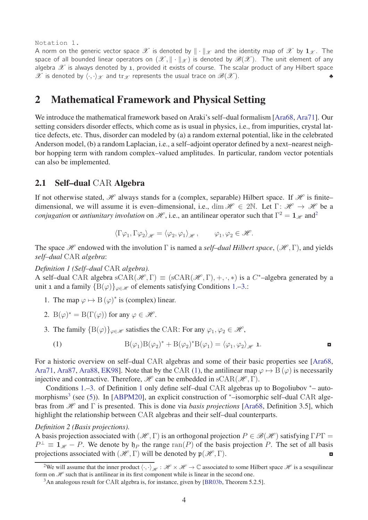#### Notation 1.

A norm on the generic vector space  $\mathscr X$  is denoted by  $\|\cdot\|_{\mathscr X}$  and the identity map of  $\mathscr X$  by  $\mathbf 1_{\mathscr X}$ . The space of all bounded linear operators on  $(\mathscr{X}, \|\cdot\|_{\mathscr{X}})$  is denoted by  $\mathscr{B}(\mathscr{X})$ . The unit element of any algebra  $\mathscr X$  is always denoted by 1, provided it exists of course. The scalar product of any Hilbert space  $\mathscr X$  is denoted by  $\langle \cdot, \cdot \rangle_{\mathscr X}$  and  $\operatorname{tr}_{\mathscr X}$  represents the usual trace on  $\mathscr B(\mathscr X)$ .

## <span id="page-3-0"></span>2 Mathematical Framework and Physical Setting

We introduce the mathematical framework based on Araki's self–dual formalism [\[Ara68,](#page-35-7) [Ara71\]](#page-35-8). Our setting considers disorder effects, which come as is usual in physics, i.e., from impurities, crystal lattice defects, etc. Thus, disorder can modeled by (a) a random external potential, like in the celebrated Anderson model, (b) a random Laplacian, i.e., a self–adjoint operator defined by a next–nearest neighbor hopping term with random complex–valued amplitudes. In particular, random vector potentials can also be implemented.

### <span id="page-3-1"></span>2.1 Self–dual CAR Algebra

If not otherwise stated,  $H$  always stands for a (complex, separable) Hilbert space. If  $H$  is finite– dimensional, we will assume it is even–dimensional, i.e., dim  $\mathcal{H} \in 2\mathbb{N}$ . Let  $\Gamma: \mathcal{H} \to \mathcal{H}$  be a *conjugation* or *antiunitary involution* on  $\mathcal{H}$ , i.e., an antilinear operator such that  $\Gamma^2 = 1_{\mathcal{H}}$  $\Gamma^2 = 1_{\mathcal{H}}$  $\Gamma^2 = 1_{\mathcal{H}}$  and<sup>2</sup>

<span id="page-3-7"></span>
$$
\langle \Gamma \varphi_1, \Gamma \varphi_2 \rangle_{\mathscr{H}} = \langle \varphi_2, \varphi_1 \rangle_{\mathscr{H}}, \qquad \varphi_1, \varphi_2 \in \mathscr{H}.
$$

The space *H* endowed with the involution  $\Gamma$  is named a *self-dual Hilbert space*, (*H*,  $\Gamma$ ), and yields *self–dual* CAR *algebra*:

*Definition 1 (Self–dual* CAR *algebra).*

<span id="page-3-4"></span>A self-dual CAR algebra  $sCAR(\mathcal{H}, \Gamma) \equiv (sCAR(\mathcal{H}, \Gamma), +, \cdot, *)$  is a  $C^*$ -algebra generated by a unit 1 and a family  ${B(\varphi)}_{\varphi \in \mathcal{H}}$  of elements satisfying Conditions [1.](#page-3-4)[–3.](#page-3-5):

- 1. The map  $\varphi \mapsto B(\varphi)^*$  is (complex) linear.
- <span id="page-3-5"></span>2. B $(\varphi)^* = B(\Gamma(\varphi))$  for any  $\varphi \in \mathcal{H}$ .
- 3. The family  ${B(\varphi)}_{\varphi \in \mathscr{H}}$  satisfies the CAR: For any  $\varphi_1, \varphi_2 \in \mathscr{H}$ ,

<span id="page-3-6"></span><span id="page-3-2"></span>(1) 
$$
B(\varphi_1)B(\varphi_2)^* + B(\varphi_2)^*B(\varphi_1) = \langle \varphi_1, \varphi_2 \rangle_{\mathscr{H}} \mathbf{1}.
$$

For a historic overview on self–dual CAR algebras and some of their basic properties see [\[Ara68,](#page-35-7) [Ara71,](#page-35-8) [Ara87,](#page-35-9) [Ara88,](#page-35-10) [EK98\]](#page-36-2). Note that by the CAR [\(1\)](#page-3-6), the antilinear map  $\varphi \mapsto B(\varphi)$  is necessarily injective and contractive. Therefore,  $\mathcal H$  can be embedded in sCAR( $\mathcal H$ , Γ).

Conditions [1.](#page-3-4)[–3.](#page-3-5) of Definition [1](#page-3-7) only define self–dual CAR algebras up to Bogoliubov <sup>∗</sup>– auto-morphisms<sup>[3](#page-3-8)</sup> (see [\(5\)](#page-4-0)). In [\[ABPM20\]](#page-34-1), an explicit construction of \*–isomorphic self–dual CAR algebras from H and Γ is presented. This is done via *basis projections* [\[Ara68,](#page-35-7) Definition 3.5], which highlight the relationship between CAR algebras and their self–dual counterparts.

#### *Definition 2 (Basis projections).*

A basis projection associated with  $(H, \Gamma)$  is an orthogonal projection  $P \in \mathcal{B}(H)$  satisfying  $\Gamma P\Gamma =$  $P^{\perp} \equiv 1_{\mathcal{H}} - P$ . We denote by  $\mathfrak{h}_P$  the range ran(*P*) of the basis projection *P*. The set of all basis projections associated with  $(\mathcal{H}, \Gamma)$  will be denoted by  $\mathfrak{p}(\mathcal{H}, \Gamma)$ .

<sup>&</sup>lt;sup>2</sup>We will assume that the inner product  $\langle \cdot, \cdot \rangle_{\mathcal{H}} : \mathcal{H} \times \mathcal{H} \to \mathbb{C}$  associated to some Hilbert space  $\mathcal{H}$  is a sesquilinear form on  $\mathscr H$  such that is antilinear in its first component while is linear in the second one.

<span id="page-3-8"></span><span id="page-3-3"></span><sup>&</sup>lt;sup>3</sup>An analogous result for CAR algebra is, for instance, given by [\[BR03b,](#page-36-14) Theorem 5.2.5].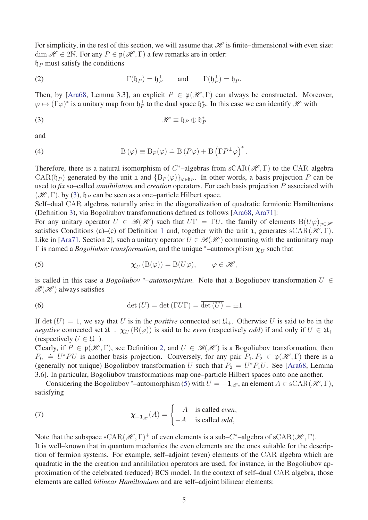For simplicity, in the rest of this section, we will assume that  $\mathcal H$  is finite–dimensional with even size: dim  $\mathscr{H} \in 2\mathbb{N}$ . For any  $P \in \mathfrak{p}(\mathscr{H}, \Gamma)$  a few remarks are in order:  $\n *f*<sub>P</sub>$  must satisfy the conditions

(2) 
$$
\Gamma(\mathfrak{h}_P) = \mathfrak{h}_P^{\perp} \quad \text{and} \quad \Gamma(\mathfrak{h}_P^{\perp}) = \mathfrak{h}_P.
$$

Then, by [\[Ara68,](#page-35-7) Lemma 3.3], an explicit  $P \in \mathfrak{p}(\mathcal{H}, \Gamma)$  can always be constructed. Moreover,  $\varphi \mapsto (\Gamma \varphi)^*$  is a unitary map from  $\mathfrak{h}_P^{\perp}$  to the dual space  $\mathfrak{h}_P^*$ . In this case we can identify  $\mathscr{H}$  with

<span id="page-4-1"></span>(3) 
$$
\mathscr{H} \equiv \mathfrak{h}_P \oplus \mathfrak{h}_P^*
$$

and

<span id="page-4-5"></span>(4) 
$$
B(\varphi) \equiv B_P(\varphi) \doteq B(P\varphi) + B(\Gamma P^{\perp}\varphi)^*.
$$

Therefore, there is a natural isomorphism of  $C^*$ -algebras from  $sCAR(\mathcal{H}, \Gamma)$  to the CAR algebra CAR( $\mathfrak{h}_P$ ) generated by the unit 1 and  $\{B_P(\varphi)\}_{\varphi \in \mathfrak{h}_P}$ . In other words, a basis projection *P* can be used to *fix* so–called *annihilation* and *creation* operators. For each basis projection *P* associated with  $(\mathcal{H}, \Gamma)$ , by [\(3\)](#page-4-1),  $\mathfrak{h}_P$  can be seen as a one-particle Hilbert space.

Self–dual CAR algebras naturally arise in the diagonalization of quadratic fermionic Hamiltonians (Definition [3\)](#page-4-2), via Bogoliubov transformations defined as follows [\[Ara68,](#page-35-7) [Ara71\]](#page-35-8):

For any unitary operator  $U \in \mathcal{B}(\mathcal{H})$  such that  $U\Gamma = \Gamma U$ , the family of elements  $B(U\varphi)_{\varphi \in \mathcal{H}}$ satisfies Conditions (a)–(c) of Definition [1](#page-3-7) and, together with the unit 1, generates  $sCAR(\mathcal{H}, \Gamma)$ . Like in [\[Ara71,](#page-35-8) Section 2], such a unitary operator  $U \in \mathcal{B}(\mathcal{H})$  commuting with the antiunitary map  $\Gamma$  is named a *Bogoliubov transformation*, and the unique  $*$ –automorphism  $\chi_U$  such that

<span id="page-4-0"></span>(5) 
$$
\chi_U(\mathcal{B}(\varphi)) = \mathcal{B}(U\varphi), \qquad \varphi \in \mathscr{H},
$$

is called in this case a *Bogoliubov* \*–automorphism. Note that a Bogoliubov transformation  $U \in$  $\mathscr{B}(\mathscr{H})$  always satisfies

<span id="page-4-4"></span>(6) 
$$
\det(U) = \det(\Gamma U \Gamma) = \overline{\det(U)} = \pm 1
$$

If det  $(U) = 1$ , we say that *U* is in the *positive* connected set  $\mathfrak{U}_+$ . Otherwise *U* is said to be in the *negative* connected set  $\mathfrak{U}_-$ .  $\chi_U(\mathcal{B}(\varphi))$  is said to be *even* (respectively *odd*) if and only if  $U \in \mathfrak{U}_+$ (respectively  $U \in \mathfrak{U}_-$ ).

Clearly, if  $P \in \mathfrak{p}(\mathcal{H}, \Gamma)$ , see Definition [2,](#page-3-2) and  $U \in \mathcal{B}(\mathcal{H})$  is a Bogoliubov transformation, then  $P_U \doteq U^*PU$  is another basis projection. Conversely, for any pair  $P_1, P_2 \in \mathfrak{p}(\mathcal{H}, \Gamma)$  there is a (generally not unique) Bogoliubov transformation *U* such that  $P_2 = U^* P_1 U$ . See [\[Ara68,](#page-35-7) Lemma 3.6]. In particular, Bogoliubov transformations map one–particle Hilbert spaces onto one another.

Considering the Bogoliubov \*–automorphism [\(5\)](#page-4-0) with  $U = -\mathbf{1}_{\mathcal{H}}$ , an element  $A \in \text{sCAR}(\mathcal{H}, \Gamma)$ , satisfying

<span id="page-4-3"></span>(7) 
$$
\chi_{-1,\mathscr{H}}(A) = \begin{cases} A & \text{is called even,} \\ -A & \text{is called odd,} \end{cases}
$$

<span id="page-4-2"></span>Note that the subspace  $sCAR(\mathcal{H}, \Gamma)^+$  of even elements is a sub– $C^*$ –algebra of  $sCAR(\mathcal{H}, \Gamma)$ . It is well–known that in quantum mechanics the even elements are the ones suitable for the description of fermion systems. For example, self–adjoint (even) elements of the CAR algebra which are quadratic in the the creation and annihilation operators are used, for instance, in the Bogoliubov approximation of the celebrated (reduced) BCS model. In the context of self–dual CAR algebra, those elements are called *bilinear Hamiltonians* and are self–adjoint bilinear elements: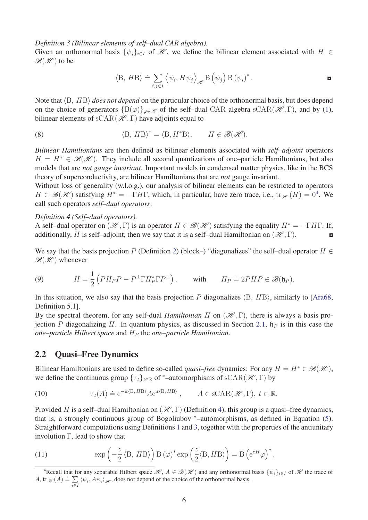*Definition 3 (Bilinear elements of self–dual CAR algebra).*

Given an orthonormal basis  $\{\psi_i\}_{i \in I}$  of  $\mathcal{H}$ , we define the bilinear element associated with  $H \in$  $\mathscr{B}(\mathscr{H})$  to be

$$
\langle \mathbf{B}, H\mathbf{B} \rangle \doteq \sum_{i,j \in I} \left\langle \psi_i, H\psi_j \right\rangle_{\mathscr{H}} \mathbf{B} \left( \psi_j \right) \mathbf{B} \left( \psi_i \right)^*.
$$

Note that  $\langle B, H B \rangle$  *does not depend* on the particular choice of the orthonormal basis, but does depend on the choice of generators  ${B(\varphi)}_{\varphi \in \mathcal{H}}$  of the self-dual CAR algebra sCAR( $\mathcal{H}, \Gamma$ ), and by [\(1\)](#page-3-6), bilinear elements of  $sCAR(\mathcal{H}, \Gamma)$  have adjoints equal to

(8) 
$$
\langle B, HB \rangle^* = \langle B, H^*B \rangle, \qquad H \in \mathcal{B}(\mathcal{H}).
$$

*Bilinear Hamiltonians* are then defined as bilinear elements associated with *self–adjoint* operators  $H = H^* \in \mathcal{B}(\mathcal{H})$ . They include all second quantizations of one–particle Hamiltonians, but also models that are *not gauge invariant*. Important models in condensed matter physics, like in the BCS theory of superconductivity, are bilinear Hamiltonians that are *not* gauge invariant.

Without loss of generality (w.l.o.g.), our analysis of bilinear elements can be restricted to operators  $H \in \mathcal{B}(\mathcal{H})$  satisfying  $H^* = -\Gamma H\Gamma$ , which, in particular, have zero trace, i.e.,  $\text{tr}_{\mathcal{H}}(H) = 0^4$  $\text{tr}_{\mathcal{H}}(H) = 0^4$ . We call such operators *self–dual operators*:

#### <span id="page-5-2"></span>*Definition 4 (Self–dual operators).*

A self–dual operator on  $(\mathcal{H}, \Gamma)$  is an operator  $H \in \mathcal{B}(\mathcal{H})$  satisfying the equality  $H^* = -\Gamma H\Gamma$ . If, additionally, *H* is self-adjoint, then we say that it is a self-dual Hamiltonian on  $(\mathcal{H}, \Gamma)$ .

We say that the basis projection *P* (Definition [2\)](#page-3-2) (block–) "diagonalizes" the self–dual operator  $H \in$  $\mathscr{B}(\mathscr{H})$  whenever

<span id="page-5-4"></span>(9) 
$$
H = \frac{1}{2} \left( PH_P P - P^{\perp} \Gamma H_P^* \Gamma P^{\perp} \right), \quad \text{with} \quad H_P \doteq 2PHP \in \mathscr{B}(\mathfrak{h}_P).
$$

In this situation, we also say that the basis projection  $P$  diagonalizes  $\langle B, HB \rangle$ , similarly to [\[Ara68,](#page-35-7) Definition 5.1].

By the spectral theorem, for any self-dual *Hamiltonian H* on  $(\mathcal{H}, \Gamma)$ , there is always a basis projection *P* diagonalizing *H*. In quantum physics, as discussed in Section [2.1,](#page-3-1)  $\mathfrak{h}_P$  is in this case the *one–particle Hilbert space* and *H<sup>P</sup>* the *one–particle Hamiltonian*.

#### <span id="page-5-0"></span>2.2 Quasi–Free Dynamics

Bilinear Hamiltonians are used to define so-called *quasi–free* dynamics: For any  $H = H^* \in \mathcal{B}(\mathcal{H})$ , we define the continuous group  $\{\tau_t\}_{t \in \mathbb{R}}$  of <sup>\*</sup>–automorphisms of sCAR( $\mathcal{H}, \Gamma$ ) by

<span id="page-5-3"></span>(10) 
$$
\tau_t(A) \doteq e^{-it \langle B, H B \rangle} A e^{it \langle B, H B \rangle}, \qquad A \in \text{sCAR}(\mathcal{H}, \Gamma), \ t \in \mathbb{R}.
$$

Provided *H* is a self-dual Hamiltonian on  $(\mathcal{H}, \Gamma)$  (Definition [4\)](#page-5-2), this group is a quasi-free dynamics, that is, a strongly continuous group of Bogoliubov <sup>∗</sup>–automorphisms, as defined in Equation [\(5\)](#page-4-0). Straightforward computations using Definitions [1](#page-3-7) and [3,](#page-4-2) together with the properties of the antiunitary involution  $\Gamma$ , lead to show that

<span id="page-5-5"></span>(11) 
$$
\exp\left(-\frac{z}{2}\langle B, HB\rangle\right)B(\varphi)^* \exp\left(\frac{z}{2}\langle B, HB\rangle\right) = B\left(e^{zH}\varphi\right)^*,
$$

<span id="page-5-1"></span><sup>&</sup>lt;sup>4</sup>Recall that for any separable Hilbert space  $\mathcal{H}$ ,  $A \in \mathcal{B}(\mathcal{H})$  and any orthonormal basis  $\{\psi_i\}_{i \in I}$  of  $\mathcal{H}$  the trace of *A*, tr<sub>*H*</sub> $(A) \doteq \sum$  $\sum_{i \in I} \langle \psi_i, A \psi_i \rangle_{\mathcal{H}}$ , does not depend of the choice of the orthonormal basis.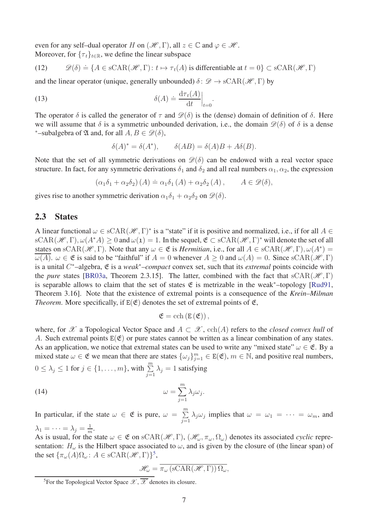even for any self-dual operator *H* on  $(\mathcal{H}, \Gamma)$ , all  $z \in \mathbb{C}$  and  $\varphi \in \mathcal{H}$ . Moreover, for  $\{\tau_t\}_{t \in \mathbb{R}}$ , we define the linear subspace

(12) 
$$
\mathscr{D}(\delta) \doteq \{ A \in \text{sCAR}(\mathcal{H}, \Gamma) \colon t \mapsto \tau_t(A) \text{ is differentiable at } t = 0 \} \subset \text{sCAR}(\mathcal{H}, \Gamma)
$$

and the linear operator (unique, generally unbounded)  $\delta : \mathscr{D} \to \text{sCAR}(\mathscr{H}, \Gamma)$  by

(13) 
$$
\delta(A) \doteq \frac{\mathrm{d}\tau_t(A)}{\mathrm{d}t}\Big|_{t=0}.
$$

The operator  $\delta$  is called the generator of  $\tau$  and  $\mathscr{D}(\delta)$  is the (dense) domain of definition of  $\delta$ . Here we will assume that  $\delta$  is a symmetric unbounded derivation, i.e., the domain  $\mathscr{D}(\delta)$  of  $\delta$  is a dense <sup>\*</sup>–subalgebra of  $\mathfrak A$  and, for all  $A, B \in \mathscr D(\delta)$ ,

<span id="page-6-3"></span>
$$
\delta(A)^* = \delta(A^*), \qquad \delta(AB) = \delta(A)B + A\delta(B).
$$

Note that the set of all symmetric derivations on  $\mathscr{D}(\delta)$  can be endowed with a real vector space structure. In fact, for any symmetric derivations  $\delta_1$  and  $\delta_2$  and all real numbers  $\alpha_1, \alpha_2$ , the expression

$$
(\alpha_1 \delta_1 + \alpha_2 \delta_2) (A) \doteq \alpha_1 \delta_1 (A) + \alpha_2 \delta_2 (A) , \qquad A \in \mathscr{D}(\delta),
$$

gives rise to another symmetric derivation  $\alpha_1 \delta_1 + \alpha_2 \delta_2$  on  $\mathscr{D}(\delta)$ .

#### <span id="page-6-0"></span>2.3 States

A linear functional  $\omega \in \text{sCAR}(\mathcal{H}, \Gamma)^*$  is a "state" if it is positive and normalized, i.e., if for all  $A \in$  $sCAR(\mathcal{H}, \Gamma), \omega(A^*A) > 0$  and  $\omega(1) = 1$ . In the sequel,  $\mathfrak{E} \subset sCAR(\mathcal{H}, \Gamma)^*$  will denote the set of all states on  $sCAR(\mathcal{H}, \Gamma)$ . Note that any  $\omega \in \mathfrak{E}$  is *Hermitian*, i.e., for all  $A \in sCAR(\mathcal{H}, \Gamma)$ ,  $\omega(A^*)$ *ω*(*A*). *ω* ∈ *ε* is said to be "faithful" if *A* = 0 whenever *A* > 0 and *ω*(*A*) = 0. Since sCAR(*H*, Γ) is a unital *C* <sup>∗</sup>–algebra, E is a *weak*<sup>∗</sup>*–compact* convex set, such that its *extremal* points coincide with the *pure* states [\[BR03a,](#page-35-11) Theorem 2.3.15]. The latter, combined with the fact that  $sCAR(\mathcal{H}, \Gamma)$ is separable allows to claim that the set of states  $\mathfrak E$  is metrizable in the weak<sup>\*</sup>–topology [\[Rud91,](#page-37-5) Theorem 3.16]. Note that the existence of extremal points is a consequence of the *Krein–Milman Theorem.* More specifically, if  $E(\mathfrak{E})$  denotes the set of extremal points of  $\mathfrak{E}$ ,

$$
\mathfrak{E}=\textrm{cch}\left(E\left(\mathfrak{E}\right)\right),
$$

where, for  $\mathscr X$  a Topological Vector Space and  $A \subset \mathscr X$ , cch(A) refers to the *closed convex hull* of *A*. Such extremal points  $E(\mathfrak{E})$  or pure states cannot be written as a linear combination of any states. As an application, we notice that extremal states can be used to write any "mixed state"  $\omega \in \mathfrak{E}$ . By a mixed state  $\omega \in \mathfrak{E}$  we mean that there are states  $\{\omega_j\}_{j=1}^m \in E(\mathfrak{E})$ ,  $m \in \mathbb{N}$ , and positive real numbers,

$$
0 \le \lambda_j \le 1
$$
 for  $j \in \{1, ..., m\}$ , with  $\sum_{j=1}^{m} \lambda_j = 1$  satisfying

(14) 
$$
\omega = \sum_{j=1}^{m} \lambda_j \omega_j
$$

In particular, if the state  $\omega \in \mathfrak{E}$  is pure,  $\omega = \sum_{i=1}^{m}$  $\sum_{j=1}^{\infty} \lambda_j \omega_j$  implies that  $\omega = \omega_1 = \cdots = \omega_m$ , and  $\lambda_1 = \cdots = \lambda_j = \frac{1}{m}$  $\frac{1}{m}$ .

<span id="page-6-2"></span>*.*

As is usual, for the state  $\omega \in \mathfrak{E}$  on  $\text{sCAR}(\mathcal{H}, \Gamma)$ ,  $(\mathcal{H}_{\omega}, \pi_{\omega}, \Omega_{\omega})$  denotes its associated *cyclic* representation:  $H_\omega$  is the Hilbert space associated to  $\omega$ , and is given by the closure of (the linear span) of the set  ${\{\pi_{\omega}(A)\Omega_{\omega} : A \in \text{sCAR}(\mathcal{H}, \Gamma)\}}^5$  ${\{\pi_{\omega}(A)\Omega_{\omega} : A \in \text{sCAR}(\mathcal{H}, \Gamma)\}}^5$ ,

$$
\mathscr{H}_{\omega} = \overline{\pi_{\omega} \left( \text{sCAR}(\mathscr{H}, \Gamma) \right) \Omega_{\omega}},
$$

<span id="page-6-1"></span><sup>&</sup>lt;sup>5</sup>For the Topological Vector Space  $\mathscr{X}, \overline{\mathscr{X}}$  denotes its closure.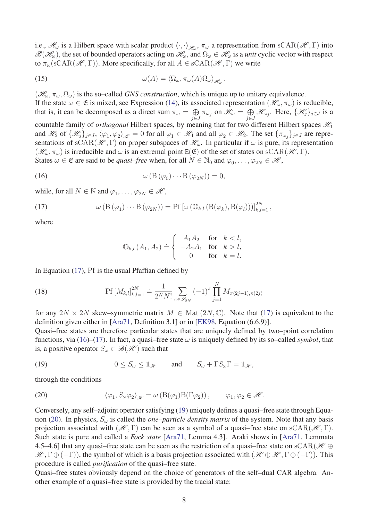i.e.,  $\mathcal{H}_{\omega}$  is a Hilbert space with scalar product  $\langle \cdot, \cdot \rangle_{\mathcal{H}_{\omega}}, \pi_{\omega}$  a representation from sCAR( $\mathcal{H}, \Gamma$ ) into  $\mathscr{B}(\mathscr{H}_\omega)$ , the set of bounded operators acting on  $\mathscr{H}_\omega$ , and  $\Omega_\omega \in \mathscr{H}_\omega$  is a *unit* cyclic vector with respect to  $\pi_{\omega}(\text{sCAR}(\mathcal{H}, \Gamma))$ . More specifically, for all  $A \in \text{sCAR}(\mathcal{H}, \Gamma)$  we write

<span id="page-7-6"></span>(15) 
$$
\omega(A) = \langle \Omega_{\omega}, \pi_{\omega}(A) \Omega_{\omega} \rangle_{\mathscr{H}_{\omega}}.
$$

 $(\mathcal{H}_{\omega}, \pi_{\omega}, \Omega_{\omega})$  is the so–called *GNS construction*, which is unique up to unitary equivalence. If the state  $\omega \in \mathfrak{E}$  is mixed, see Expression [\(14\)](#page-6-2), its associated representation  $(\mathcal{H}_{\omega}, \pi_{\omega})$  is reducible, that is, it can be decomposed as a direct sum  $\pi_{\omega} = \bigoplus$  $\bigoplus_{j\in J} \pi_{\omega_j}$  on  $\mathscr{H}_\omega = \bigoplus_{j\in J}$  $\bigoplus_{j\in J} \mathcal{H}_{\omega_j}$ . Here,  $\{\mathcal{H}_j\}_{j\in J}$  is a countable family of *orthogonal* Hilbert spaces, by meaning that for two different Hilbert spaces  $\mathcal{H}_1$ and  $\mathcal{H}_2$  of  $\{\mathcal{H}_j\}_{j\in J}$ ,  $\langle \varphi_1, \varphi_2 \rangle_{\mathcal{H}} = 0$  for all  $\varphi_1 \in \mathcal{H}_1$  and all  $\varphi_2 \in \mathcal{H}_2$ . The set  $\{\pi_{\omega_j}\}_{j\in J}$  are representations of  $sCAR(\mathcal{H}, \Gamma)$  on proper subspaces of  $\mathcal{H}_{\omega}$ . In particular if  $\omega$  is pure, its representation  $(\mathcal{H}_{\omega}, \pi_{\omega})$  is irreducible and  $\omega$  is an extremal point  $E(\mathfrak{E})$  of the set of states on  $sCAR(\mathcal{H}, \Gamma)$ . States  $\omega \in \mathfrak{E}$  are said to be *quasi–free* when, for all  $N \in \mathbb{N}_0$  and  $\varphi_0, \dots, \varphi_{2N} \in \mathcal{H}$ ,

(16) 
$$
\omega\left(\mathcal{B}\left(\varphi_0\right)\cdots\mathcal{B}\left(\varphi_{2N}\right)\right)=0,
$$

while, for all  $N \in \mathbb{N}$  and  $\varphi_1, \ldots, \varphi_{2N} \in \mathcal{H}$ ,

(17) 
$$
\omega\left(\mathcal{B}\left(\varphi_{1}\right)\cdots\mathcal{B}\left(\varphi_{2N}\right)\right)=\mathcal{P}f\left[\omega\left(\mathbb{O}_{k,l}\left(\mathcal{B}(\varphi_{k}),\mathcal{B}(\varphi_{l})\right)\right)\right]_{k,l=1}^{2N},
$$

where

<span id="page-7-5"></span><span id="page-7-1"></span><span id="page-7-0"></span>
$$
\mathbb{O}_{k,l}(A_1, A_2) \doteq \left\{ \begin{array}{cl} A_1 A_2 & \text{for} \quad k < l, \\ -A_2 A_1 & \text{for} \quad k > l, \\ 0 & \text{for} \quad k = l. \end{array} \right.
$$

In Equation [\(17\)](#page-7-0), Pf is the usual Pfaffian defined by

(18) 
$$
\text{Pf}\left[M_{k,l}\right]_{k,l=1}^{2N} \doteq \frac{1}{2^N N!} \sum_{\pi \in \mathscr{S}_{2N}} (-1)^{\pi} \prod_{j=1}^N M_{\pi(2j-1),\pi(2j)}
$$

for any  $2N \times 2N$  skew–symmetric matrix  $M \in \text{Mat}(2N, \mathbb{C})$ . Note that [\(17\)](#page-7-0) is equivalent to the definition given either in [\[Ara71,](#page-35-8) Definition 3.1] or in [\[EK98,](#page-36-2) Equation (6.6.9)].

Quasi–free states are therefore particular states that are uniquely defined by two–point correlation functions, via [\(16\)](#page-7-1)–[\(17\)](#page-7-0). In fact, a quasi–free state  $\omega$  is uniquely defined by its so–called *symbol*, that is, a positive operator  $S_\omega \in \mathcal{B}(\mathcal{H})$  such that

<span id="page-7-2"></span>(19) 
$$
0 \leq S_{\omega} \leq \mathbf{1}_{\mathscr{H}} \quad \text{and} \quad S_{\omega} + \Gamma S_{\omega} \Gamma = \mathbf{1}_{\mathscr{H}},
$$

through the conditions

<span id="page-7-3"></span>(20) 
$$
\langle \varphi_1, S_{\omega} \varphi_2 \rangle_{\mathscr{H}} = \omega \left( B(\varphi_1) B(\Gamma \varphi_2) \right), \qquad \varphi_1, \varphi_2 \in \mathscr{H}.
$$

Conversely, any self–adjoint operator satisfying [\(19\)](#page-7-2) uniquely defines a quasi–free state through Equation [\(20\)](#page-7-3). In physics, *S<sup>ω</sup>* is called the *one–particle density matrix* of the system. Note that any basis projection associated with  $(\mathcal{H}, \Gamma)$  can be seen as a symbol of a quasi–free state on  $sCAR(\mathcal{H}, \Gamma)$ . Such state is pure and called a *Fock state* [\[Ara71,](#page-35-8) Lemma 4.3]. Araki shows in [\[Ara71,](#page-35-8) Lemmata 4.5–4.6] that any quasi–free state can be seen as the restriction of a quasi–free state on  $\text{sCAR}(\mathcal{H} \oplus$  $\mathscr{H}, \Gamma \oplus (-\Gamma)$ , the symbol of which is a basis projection associated with  $(\mathscr{H} \oplus \mathscr{H}, \Gamma \oplus (-\Gamma))$ . This procedure is called *purification* of the quasi–free state.

<span id="page-7-4"></span>Quasi–free states obviously depend on the choice of generators of the self–dual CAR algebra. Another example of a quasi–free state is provided by the tracial state: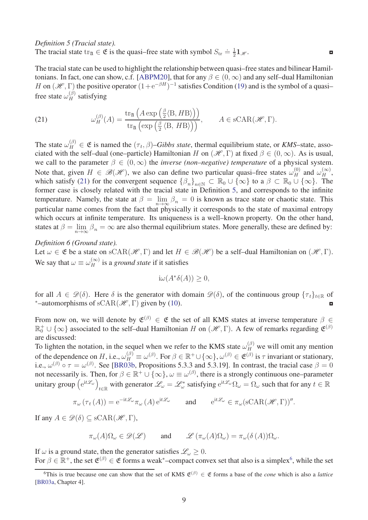*Definition 5 (Tracial state).* The tracial state tr<sub>2l</sub>  $\in \mathfrak{E}$  is the quasi–free state with symbol  $S_{\text{tr}} \doteq \frac{1}{2}$  $\frac{1}{2}$ **1** $\mathcal{H}$ .

The tracial state can be used to highlight the relationship between quasi–free states and bilinear Hamil-tonians. In fact, one can show, c.f. [\[ABPM20\]](#page-34-1), that for any  $\beta \in (0, \infty)$  and any self-dual Hamiltonian *H* on  $(\mathcal{H}, \Gamma)$  the positive operator  $(1 + e^{-\beta H})^{-1}$  satisfies Condition [\(19\)](#page-7-2) and is the symbol of a quasi– free state  $\omega_H^{(\beta)}$  satisfying

<span id="page-8-0"></span>(21) 
$$
\omega_H^{(\beta)}(A) = \frac{\text{tr}_{\mathfrak{A}}\left(A \exp\left(\frac{\beta}{2} \langle B, H B \rangle\right)\right)}{\text{tr}_{\mathfrak{A}}\left(\exp\left(\frac{\beta}{2} \langle B, H B \rangle\right)\right)}, \quad A \in \text{sCAR}(\mathcal{H}, \Gamma).
$$

The state  $\omega_H^{(\beta)} \in \mathfrak{E}$  is named the  $(\tau_t, \beta)$ –*Gibbs state*, thermal equilibrium state, or *KMS*–state, associated with the self–dual (one–particle) Hamiltonian *H* on  $(\mathcal{H}, \Gamma)$  at fixed  $\beta \in (0, \infty)$ . As is usual, we call to the parameter  $\beta \in (0,\infty)$  the *inverse (non–negative) temperature* of a physical system. Note that, given  $H \in \mathcal{B}(\mathcal{H})$ , we also can define two particular quasi–free states  $\omega_H^{(0)}$  and  $\omega_H^{(\infty)}$ , which satisfy [\(21\)](#page-8-0) for the convergent sequence  $\{\beta_n\}_{n\in\mathbb{N}} \subset \mathbb{R}_0 \cup \{\infty\}$  to a  $\beta \subset \mathbb{R}_0 \cup \{\infty\}$ . The former case is closely related with the tracial state in Definition [5,](#page-7-4) and corresponds to the infinite temperature. Namely, the state at  $\beta = \lim_{n \to \infty} \beta_n = 0$  is known as trace state or chaotic state. This particular name comes from the fact that physically it corresponds to the state of maximal entropy which occurs at infinite temperature. Its uniqueness is a well–known property. On the other hand, states at  $\beta = \lim_{n \to \infty} \beta_n = \infty$  are also thermal equilibrium states. More generally, these are defined by:

*Definition 6 (Ground state).*

Let  $\omega \in \mathfrak{E}$  be a state on sCAR( $\mathcal{H}, \Gamma$ ) and let  $H \in \mathcal{B}(\mathcal{H})$  be a self-dual Hamiltonian on  $(\mathcal{H}, \Gamma)$ . We say that  $\omega \equiv \omega_H^{(\infty)}$  is a *ground state* if it satisfies

<span id="page-8-2"></span> $i\omega(A^*\delta(A)) \geq 0,$ 

for all  $A \in \mathcal{D}(\delta)$ . Here  $\delta$  is the generator with domain  $\mathcal{D}(\delta)$ , of the continuous group  $\{\tau_t\}_{t \in \mathbb{R}}$  of \*-automorphisms of sCAR( $\mathcal{H}$ .  $\Gamma$ ) given by (10). <sup>\*</sup>–automorphisms of  $sCAR(\mathcal{H}, \Gamma)$  given by [\(10\)](#page-5-3).

From now on, we will denote by  $\mathfrak{E}^{(\beta)} \in \mathfrak{E}$  the set of all KMS states at inverse temperature  $\beta \in$  $\mathbb{R}_0^+ \cup \{\infty\}$  associated to the self-dual Hamiltonian *H* on  $(\mathcal{H}, \Gamma)$ . A few of remarks regarding  $\mathfrak{E}^{(\beta)}$ are discussed:

To lighten the notation, in the sequel when we refer to the KMS state  $\omega_H^{(\beta)}$  we will omit any mention of the dependence on *H*, i.e.,  $\omega_H^{(\beta)} \equiv \omega^{(\beta)}$ . For  $\beta \in \mathbb{R}^+ \cup \{\infty\}$ ,  $\omega^{(\beta)} \in \mathfrak{E}^{(\beta)}$  is  $\tau$  invariant or stationary, i.e.,  $\omega^{(\beta)} \circ \tau = \omega^{(\beta)}$ . See [\[BR03b,](#page-36-14) Propositions 5.3.3 and 5.3.19]. In contrast, the tracial case  $\beta = 0$ not necessarily is. Then, for  $\beta \in \mathbb{R}^+ \cup \{\infty\}$ ,  $\omega \equiv \omega^{(\beta)}$ , there is a strongly continuous one–parameter unitary group (e<sup>it L</sup>ω)  $t \in \mathbb{R}$  with generator  $\mathscr{L}_\omega = \mathscr{L}_\omega^*$  satisfying  $e^{it\mathscr{L}_\omega}\Omega_\omega = \Omega_\omega$  such that for any  $t \in \mathbb{R}$ 

$$
\pi_{\omega}(\tau_t(A)) = e^{-it\mathcal{L}_{\omega}} \pi_{\omega}(A) e^{it\mathcal{L}_{\omega}}
$$
 and  $e^{it\mathcal{L}_{\omega}} \in \pi_{\omega}(\mathrm{sCAR}(\mathcal{H}, \Gamma))''$ .

If any  $A \in \mathscr{D}(\delta) \subseteq \text{sCAR}(\mathscr{H}, \Gamma)$ ,

$$
\pi_{\omega}(A)\Omega_{\omega}\in\mathscr{D}(\mathscr{L})\qquad\text{and}\qquad\mathscr{L}\left(\pi_{\omega}(A)\Omega_{\omega}\right)=\pi_{\omega}(\delta(A))\Omega_{\omega}.
$$

If  $\omega$  is a ground state, then the generator satisfies  $\mathcal{L}_{\omega} \geq 0$ . For  $\beta \in \mathbb{R}^+$ , the set  $\mathfrak{E}^{(\beta)} \in \mathfrak{E}$  forms a weak\*–compact convex set that also is a simplex<sup>[6](#page-8-1)</sup>, while the set

<span id="page-8-1"></span> $^{6}$ This is true because one can show that the set of KMS  $\mathfrak{E}^{(\beta)} \in \mathfrak{E}$  forms a base of the *cone* which is also a *lattice* [\[BR03a,](#page-35-11) Chapter 4].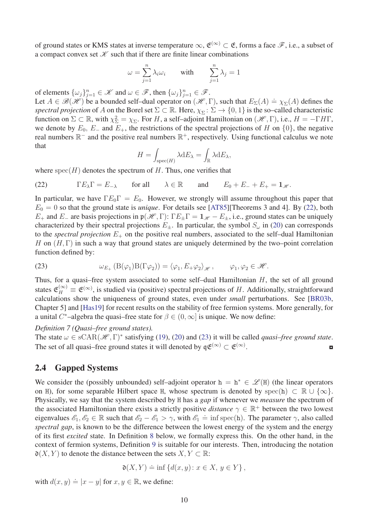of ground states or KMS states at inverse temperature  $\infty$ ,  $\mathfrak{E}^{(\infty)} \subset \mathfrak{E}$ , forms a face  $\mathscr{F}$ , i.e., a subset of a compact convex set  $K$  such that if there are finite linear combinations

$$
\omega = \sum_{j=1}^{n} \lambda_i \omega_i \quad \text{with} \quad \sum_{j=1}^{n} \lambda_j = 1
$$

of elements  $\{\omega_j\}_{j=1}^n \in \mathcal{K}$  and  $\omega \in \mathcal{F}$ , then  $\{\omega_j\}_{j=1}^n \in \mathcal{F}$ .

Let  $A \in \mathcal{B}(\mathcal{H})$  be a bounded self-dual operator on  $(\mathcal{H}, \Gamma)$ , such that  $E_{\Sigma}(A) = \chi_{\Sigma}(A)$  defines the *spectral projection* of *A* on the Borel set  $\Sigma \subset \mathbb{R}$ . Here,  $\chi_{\Sigma} \colon \Sigma \to \{0,1\}$  is the so–called characteristic function on  $\Sigma \subset \mathbb{R}$ , with  $\chi_{\Sigma}^2 = \chi_{\Sigma}$ . For *H*, a self–adjoint Hamiltonian on  $(\mathcal{H}, \Gamma)$ , i.e.,  $H = -\Gamma H\Gamma$ , we denote by  $E_0$ ,  $E_-\$  and  $E_+$ , the restrictions of the spectral projections of *H* on  $\{0\}$ , the negative real numbers  $\mathbb{R}^-$  and the positive real numbers  $\mathbb{R}^+$ , respectively. Using functional calculus we note that

$$
H = \int_{\text{spec}(H)} \lambda \, \mathrm{d}E_{\lambda} = \int_{\mathbb{R}} \lambda \, \mathrm{d}E_{\lambda},
$$

where  $spec(H)$  denotes the spectrum of  $H$ . Thus, one verifies that

<span id="page-9-1"></span>(22) 
$$
\Gamma E_{\lambda} \Gamma = E_{-\lambda} \quad \text{for all} \quad \lambda \in \mathbb{R} \quad \text{and} \quad E_0 + E_{-} + E_{+} = \mathbf{1}_{\mathscr{H}}.
$$

In particular, we have  $\Gamma E_0 \Gamma = E_0$ . However, we strongly will assume throughout this paper that  $E_0 = 0$  so that the ground state is *unique*. For details see [\[AT85\]](#page-35-4)[Theorems 3 and 4]. By [\(22\)](#page-9-1), both *E*<sub>+</sub> and *E*<sub>−</sub> are basis projections in  $\mathfrak{p}(\mathcal{H}, \Gamma)$ :  $\Gamma E_{\pm} \Gamma = \mathbf{1}_{\mathcal{H}} - E_{\pm}$ , i.e., ground states can be uniquely characterized by their spectral projections  $E_{\pm}$ . In particular, the symbol  $S_{\omega}$  in [\(20\)](#page-7-3) can corresponds to the *spectral projection*  $E_+$  on the positive real numbers, associated to the self-dual Hamiltonian *H* on (*H*, Γ) in such a way that ground states are uniquely determined by the two–point correlation function defined by:

<span id="page-9-2"></span>(23) 
$$
\omega_{E_+}(\mathcal{B}(\varphi_1)\mathcal{B}(\Gamma\varphi_2)) = \langle \varphi_1, E_+\varphi_2 \rangle_{\mathscr{H}}, \qquad \varphi_1, \varphi_2 \in \mathscr{H}.
$$

Thus, for a quasi–free system associated to some self–dual Hamiltonian *H*, the set of all ground states  $\mathfrak{E}_H^{(\infty)} \equiv \mathfrak{E}^{(\infty)}$ , is studied via (positive) spectral projections of *H*. Additionally, straightforward calculations show the uniqueness of ground states, even under *small* perturbations. See [\[BR03b,](#page-36-14) Chapter 5] and [\[Has19\]](#page-36-0) for recent results on the stability of free fermion systems. More generally, for a unital *C*<sup>\*</sup>-algebra the quasi-free state for  $\beta \in (0, \infty]$  is unique. We now define:

#### *Definition 7 (Quasi–free ground states).*

The state  $\omega \in \text{sCAR}(\mathcal{H}, \Gamma)^*$  satisfying [\(19\)](#page-7-2), [\(20\)](#page-7-3) and [\(23\)](#page-9-2) it will be called *quasi–free ground state*. The set of all quasi–free ground states it will denoted by  $\mathfrak{q} \mathfrak{E}^{(\infty)} \subset \mathfrak{E}^{(\infty)}$ .  $\blacksquare$ 

#### <span id="page-9-0"></span>2.4 Gapped Systems

We consider the (possibly unbounded) self–adjoint operator  $h = h^* \in \mathcal{L}(H)$  (the linear operators on H), for some separable Hilbert space H, whose spectrum is denoted by spec(h)  $\subset \mathbb{R} \cup \{\infty\}$ . Physically, we say that the system described by H has a *gap* if whenever we *measure* the spectrum of the associated Hamiltonian there exists a strictly positive *distance*  $\gamma \in \mathbb{R}^+$  between the two lowest eigenvalues  $\mathscr{E}_1, \mathscr{E}_2 \in \mathbb{R}$  such that  $\mathscr{E}_2 - \mathscr{E}_1 > \gamma$ , with  $\mathscr{E}_1 = \inf \text{spec}(\mathbf{h})$ . The parameter  $\gamma$ , also called *spectral gap*, is known to be the difference between the lowest energy of the system and the energy of its first *excited* state. In Definition [8](#page-9-3) below, we formally express this. On the other hand, in the context of fermion systems, Definition [9](#page-11-1) is suitable for our interests. Then, introducing the notation  $\mathfrak{d}(X, Y)$  to denote the distance between the sets  $X, Y \subset \mathbb{R}$ :

<span id="page-9-4"></span><span id="page-9-3"></span>
$$
\mathfrak{d}(X,Y)\doteq\inf\left\{d(x,y)\colon x\in X,\,y\in Y\right\},\,
$$

with  $d(x, y) \doteq |x - y|$  for  $x, y \in \mathbb{R}$ , we define: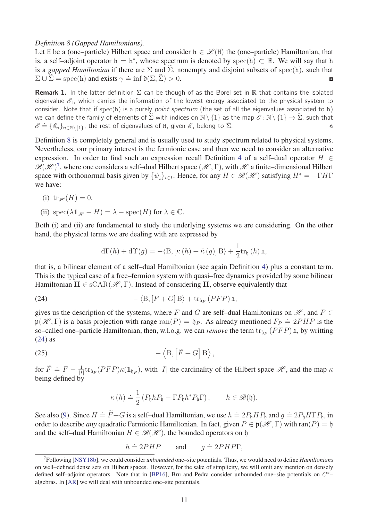#### *Definition 8 (Gapped Hamiltonians).*

Let H be a (one–particle) Hilbert space and consider  $h \in \mathcal{L}(H)$  the (one–particle) Hamiltonian, that is, a self–adjoint operator  $h = h^*$ , whose spectrum is denoted by spec(h)  $\subset \mathbb{R}$ . We will say that h is a *gapped Hamiltonian* if there are  $\Sigma$  and  $\Sigma$ , nonempty and disjoint subsets of spec(h), such that  $\Sigma$  ∪  $\widetilde{\Sigma}$  = spec(h) and exists  $\gamma \doteq$  inf  $\mathfrak{d}(\Sigma, \widetilde{\Sigma}) > 0$ .

**Remark 1.** In the latter definition  $\Sigma$  can be though of as the Borel set in R that contains the isolated eigenvalue  $\mathscr{E}_1$ , which carries the information of the lowest energy associated to the physical system to consider. Note that if  $spec(h)$  is a purely *point spectrum* (the set of all the eigenvalues associated to  $h$ ) we can define the family of elements of  $\tilde{\Sigma}$  with indices on  $\mathbb{N} \setminus \{1\}$  as the map  $\mathscr{E} : \mathbb{N} \setminus \{1\} \to \tilde{\Sigma}$ , such that  $\mathscr{E} = \{\mathscr{E}_n\}_{n \in \mathbb{N}}$  (1), the rest of eigenvalues of H, given  $\mathscr{E}$ , belon  $\mathscr{E} = {\mathscr{E}_n}_{n \in \mathbb{N} \setminus \{1\}}$ , the rest of eigenvalues of H, given  $\mathscr{E}$ , belong to  $\tilde{\Sigma}$ .

Definition [8](#page-9-3) is completely general and is usually used to study spectrum related to physical systems. Nevertheless, our primary interest is the fermionic case and then we need to consider an alternative expression. In order to find such an expression recall Definition [4](#page-5-2) of a self–dual operator  $H \in$  $\mathscr{B}(\mathscr{H})^7$  $\mathscr{B}(\mathscr{H})^7$ , where one considers a self-dual Hilbert space  $(\mathscr{H}, \Gamma)$ , with  $\mathscr{H}$  a finite-dimensional Hilbert space with orthonormal basis given by  $\{\psi_i\}_{i \in I}$ . Hence, for any  $H \in \mathcal{B}(\mathcal{H})$  satisfying  $H^* = -\Gamma H\Gamma$ we have:

(i) 
$$
\text{tr}_{\mathscr{H}}(H) = 0.
$$

(ii)  $\operatorname{spec}(\lambda \mathbf{1}_{\mathscr{H}} - H) = \lambda - \operatorname{spec}(H)$  for  $\lambda \in \mathbb{C}$ .

Both (i) and (ii) are fundamental to study the underlying systems we are considering. On the other hand, the physical terms we are dealing with are expressed by

<span id="page-10-1"></span>
$$
d\Gamma(h) + d\Upsilon(g) = -\langle B, [\kappa(h) + \tilde{\kappa}(g)]B \rangle + \frac{1}{2}tr_b(h)\mathbf{1},
$$

that is, a bilinear element of a self–dual Hamiltonian (see again Definition [4\)](#page-5-2) plus a constant term. This is the typical case of a free–fermion system with quasi–free dynamics provided by some bilinear Hamiltonian  $H \in \text{sCAR}(\mathcal{H}, \Gamma)$ . Instead of considering H, observe equivalently that

(24) 
$$
-\langle B, [F+G]B \rangle + \operatorname{tr}_{\mathfrak{h}_P} (PFP) \mathbf{1},
$$

gives us the description of the systems, where *F* and *G* are self-dual Hamiltonians on  $\mathcal{H}$ , and  $P \in$  $\mathfrak{p}(\mathcal{H}, \Gamma)$  is a basis projection with range ran(*P*) = h<sub>*P*</sub>. As already mentioned  $F_P \doteq 2PHP$  is the so–called one–particle Hamiltonian, then, w.l.o.g. we can *remove* the term  $\text{tr}_{\mathfrak{h}_P}(PFP)$  1, by writting [\(24\)](#page-10-1) as

(25) 
$$
-\left\langle \mathbf{B}, \left[\tilde{F}+G\right] \mathbf{B}\right\rangle,
$$

for  $\widetilde{F} \doteq F - \frac{1}{|I|}$  $\frac{1}{|I|}$ tr<sub> $\mathfrak{h}_P$ </sub> (*PFP*) $\kappa(\mathbf{1}_{\mathfrak{h}_P})$ , with |*I*| the cardinality of the Hilbert space  $\mathcal{H}$ , and the map  $\kappa$ being defined by

<span id="page-10-2"></span>
$$
\kappa(h) \doteq \frac{1}{2} \left( P_{\mathfrak{h}} h P_{\mathfrak{h}} - \Gamma P_{\mathfrak{h}} h^* P_{\mathfrak{h}} \Gamma \right), \qquad h \in \mathscr{B}(\mathfrak{h}).
$$

See also [\(9\)](#page-5-4). Since  $H \doteq \tilde{F} + G$  is a self-dual Hamiltonian, we use  $h \doteq 2P_{b}HP_{b}$  and  $g \doteq 2P_{b}H\Gamma P_{b}$ , in order to describe *any* quadratic Fermionic Hamiltonian. In fact, given  $P \in \mathfrak{p}(\mathcal{H}, \Gamma)$  with ran( $P$ ) = h and the self–dual Hamiltonian  $H \in \mathcal{B}(\mathcal{H})$ , the bounded operators on h

$$
h \doteq 2PHP \qquad \text{and} \qquad g \doteq 2PHP\Gamma,
$$

<span id="page-10-0"></span><sup>7</sup>Following [\[NSY18b\]](#page-37-6), we could consider *unbounded* one–site potentials. Thus, we would need to define *Hamiltonians* on well–defined dense sets on Hilbert spaces. However, for the sake of simplicity, we will omit any mention on densely defined self–adjoint operators. Note that in [\[BP16\]](#page-35-12), Bru and Pedra consider unbounded one–site potentials on *C* ∗– algebras. In [\[AR\]](#page-35-5) we will deal with unbounded one–site potentials.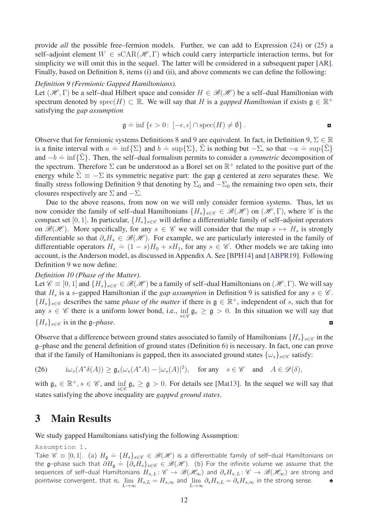provide *all* the possible free–fermion models. Further, we can add to Expression [\(24\)](#page-10-1) or [\(25\)](#page-10-2) a self–adjoint element  $W \in \text{sCAR}(\mathcal{H}, \Gamma)$  which could carry interparticle interaction terms, but for simplicity we will omit this in the sequel. The latter will be considered in a subsequent paper [\[AR\]](#page-35-5). Finally, based on Definition [8,](#page-9-3) items (i) and (ii), and above comments we can define the following:

#### *Definition 9 (Fermionic Gapped Hamiltonians).*

Let  $(\mathcal{H}, \Gamma)$  be a self-dual Hilbert space and consider  $H \in \mathcal{B}(\mathcal{H})$  be a self-dual Hamiltonian with spectrum denoted by spec(*H*)  $\subset \mathbb{R}$ . We will say that *H* is a *gapped Hamiltonian* if exists  $\mathfrak{g} \in \mathbb{R}^+$ satisfying the *gap assumption*

<span id="page-11-1"></span>
$$
\mathfrak{g} \doteq \inf \left\{ \epsilon > 0 \colon \left[ -\epsilon, \epsilon \right] \cap \text{spec}(H) \neq \emptyset \right\}.
$$

Observe that for fermionic systems Definitions [8](#page-9-3) and [9](#page-11-1) are equivalent. In fact, in Definition [9,](#page-11-1)  $\Sigma \in \mathbb{R}$ is a finite interval with  $a = \inf{\{\Sigma\}}$  and  $b = \sup{\{\Sigma\}}$ ,  $\tilde{\Sigma}$  is nothing but  $-\Sigma$ , so that  $-a = \sup{\{\tilde{\Sigma}\}}$ and  $-b \doteq \inf{\sum}$ . Then, the self–dual formalism permits to consider a *symmetric* decomposition of the spectrum. Therefore  $\Sigma$  can be understood as a Borel set on  $\mathbb{R}^+$  related to the positive part of the energy while  $\Sigma \equiv -\Sigma$  its symmetric negative part: the gap g centered at zero separates these. We finally stress following Definition [9](#page-11-1) that denoting by  $\Sigma_0$  and  $-\Sigma_0$  the remaining two open sets, their closures respectively are  $\Sigma$  and  $-\Sigma$ .

Due to the above reasons, from now on we will only consider fermion systems. Thus, let us now consider the family of self–dual Hamiltonians  $\{H_s\}_{s\in\mathscr{C}}\in\mathscr{B}(\mathscr{H})$  on  $(\mathscr{H},\Gamma)$ , where  $\mathscr{C}$  is the compact set [0, 1]. In particular,  ${H_s}_{s \in \mathscr{C}}$  will define a differentiable family of self–adjoint operators on  $\mathcal{B}(\mathcal{H})$ . More specifically, for any  $s \in \mathcal{C}$  we will consider that the map  $s \mapsto H_s$  is strongly differentiable so that  $\partial_s H_s \in \mathcal{B}(\mathcal{H})$ . For example, we are particularly interested in the family of differentiable operators  $H_s = (1 - s)H_0 + sH_1$ , for any  $s \in \mathscr{C}$ . Other models we are taking into account, is the Anderson model, as discussed in Appendix [A.](#page-30-0) See [\[BPH14\]](#page-35-13) and [\[ABPR19\]](#page-34-2). Following Definition [9](#page-11-1) we now define:

#### <span id="page-11-2"></span>*Definition 10 (Phase of the Matter).*

Let  $\mathcal{C} \equiv [0, 1]$  and  $\{H_s\}_{s \in \mathcal{C}} \in \mathcal{B}(\mathcal{H})$  be a family of self-dual Hamiltonians on  $(\mathcal{H}, \Gamma)$ . We will say that  $H_s$  is a *s*–gapped Hamiltonian if the *gap assumption* in Definition [9](#page-11-1) is satisfied for any  $s \in \mathscr{C}$ .  ${H_s}_{s \in \mathscr{C}}$  describes the same *phase of the matter* if there is  $\mathfrak{g} \in \mathbb{R}^+$ , independent of *s*, such that for any  $s \in \mathscr{C}$  there is a uniform lower bond, i.e.,  $\inf_{s \in \mathscr{C}} \mathfrak{g}_s \geq \mathfrak{g} > 0$ . In this situation we will say that  ${H_s}_{s \in \mathscr{C}}$  is in the g–*phase*.

Observe that a difference between ground states associated to family of Hamiltonians  ${H_s}_{s \in \mathscr{C}}$  in the g–phase and the general definition of ground states (Definition [6\)](#page-8-2) is necessary. In fact, one can prove that if the family of Hamiltonians is gapped, then its associated ground states  $\{\omega_s\}_{s\in\mathscr{C}}$  satisfy:

<span id="page-11-4"></span>(26)  $i\omega_s(A^*\delta(A)) \geq \mathfrak{g}_s(\omega_s(A^*A) - |\omega_s(A)|^2)$ , for any  $s \in \mathscr{C}$  and  $A \in \mathscr{D}(\delta)$ ,

with  $\mathfrak{g}_s \in \mathbb{R}^+, s \in \mathscr{C}$ , and  $\inf_{s \in \mathscr{C}} \mathfrak{g}_s \geq \mathfrak{g} > 0$ . For details see [\[Mat13\]](#page-37-7). In the sequel we will say that states satisfying the above inequality are *gapped ground states*.

## <span id="page-11-0"></span>3 Main Results

<span id="page-11-3"></span>We study gapped Hamiltonians satisfying the following Assumption:

Assumption 1.

Take  $\mathscr{C} \equiv [0,1]$ . (a)  $H_{\mathfrak{g}} \doteq \{H_s\}_{s \in \mathscr{C}} \in \mathscr{B}(\mathscr{H})$  is a differentiable family of self—dual Hamiltonians on the g–phase such that  $\partial H_{\mathfrak{g}} = \{\partial_s H_s\}_{s \in \mathscr{C}} \in \mathscr{B}(\mathscr{H})$ . (b) For the infinite volume we assume that the sequences of self–dual Hamiltonians  $H_{s,L}: \mathscr{C} \to \mathscr{B}(\mathscr{H}_{\infty})$  and  $\partial_s H_{s,L}: \mathscr{C} \to \mathscr{B}(\mathscr{H}_{\infty})$  are strong and pointwise convergent, that is,  $\lim_{L\to\infty} H_{s,L} = H_{s,\infty}$  and  $\lim_{L\to\infty} \partial_s H_{s,L} = \partial_s H_{s,\infty}$  in the strong sense. **←**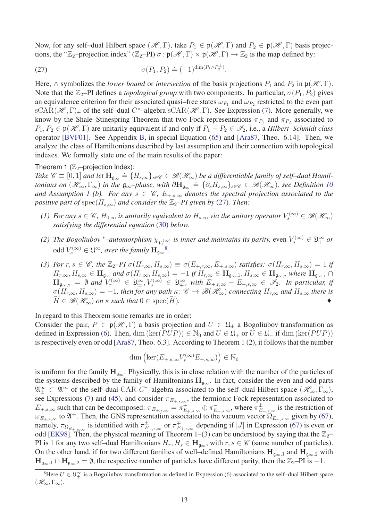Now, for any self-dual Hilbert space  $(\mathcal{H}, \Gamma)$ , take  $P_1 \in \mathfrak{p}(\mathcal{H}, \Gamma)$  and  $P_2 \in \mathfrak{p}(\mathcal{H}, \Gamma)$  basis projections, the " $\mathbb{Z}_2$ -projection index" ( $\mathbb{Z}_2$ -PI)  $\sigma$ :  $\mathfrak{p}(\mathcal{H}, \Gamma) \times \mathfrak{p}(\mathcal{H}, \Gamma) \to \mathbb{Z}_2$  is the map defined by:

<span id="page-12-0"></span>(27) 
$$
\sigma(P_1, P_2) \doteq (-1)^{\dim(P_1 \wedge P_2^{\perp})}.
$$

Here,  $\wedge$  symbolizes the *lower bound* or *intersection* of the basis projections  $P_1$  and  $P_2$  in  $\mathfrak{p}(\mathcal{H}, \Gamma)$ . Note that the  $\mathbb{Z}_2$ –PI defines a *topological group* with two components. In particular,  $\sigma(P_1, P_2)$  gives an equivalence criterion for their associated quasi–free states  $\omega_{P_1}$  and  $\omega_{P_2}$  restricted to the even part  $\text{sCAR}(\mathcal{H}, \Gamma)_+$  of the self-dual  $C^*$ -algebra  $\text{sCAR}(\mathcal{H}, \Gamma)$ . See Expression [\(7\)](#page-4-3). More generally, we know by the Shale–Stinespring Theorem that two Fock representations  $\pi_{P_1}$  and  $\pi_{P_2}$  associated to  $P_1, P_2 \in \mathfrak{p}(\mathcal{H}, \Gamma)$  are unitarily equivalent if and only if  $P_1 - P_2 \in \mathcal{I}_2$ , i.e., a *Hilbert–Schmidt class* operator [\[BVF01\]](#page-36-3). See Appendix [B,](#page-32-0) in special Equation [\(65\)](#page-33-0) and [\[Ara87,](#page-35-9) Theo. 6.14]. Then, we analyze the class of Hamiltonians described by last assumption and their connection with topological indexes. We formally state one of the main results of the paper:

#### <span id="page-12-1"></span>Theorem 1  $(\mathbb{Z}_2$ -projection Index):

*Take*  $\mathscr{C} \equiv [0, 1]$  *and let*  $\mathbf{H}_{\mathfrak{g}_{\infty}} \doteq \{H_{s, \infty}\}_{s \in \mathscr{C}} \in \mathscr{B}(\mathscr{H}_{\infty})$  be a differentiable family of self-dual Hamil*tonians on*  $(\mathscr{H}_{\infty}, \Gamma_{\infty})$  *in the*  $\mathfrak{g}_{\infty}$ *-phase, with*  $\partial \mathbf{H}_{\mathfrak{g}_{\infty}} = {\partial_s H_{s,\infty}}_{s \in \mathscr{C}} \in \mathscr{B}(\mathscr{H}_{\infty})$ *, see Definition [10](#page-11-2) and Assumption [1](#page-11-3) (b). For any*  $s \in \mathscr{C}$ ,  $E_{+,s,\infty}$  *denotes the spectral projection associated to the positive part of*  $spec(H_{s,\infty})$  *and consider the*  $\mathbb{Z}_2$ *-PI given by* [\(27\)](#page-12-0)*. Then:* 

- *(1) For any*  $s \in \mathscr{C}$ ,  $H_{0,\infty}$  *is unitarily equivalent to*  $H_{s,\infty}$  *via the unitary operator*  $V_s^{(\infty)} \in \mathscr{B}(\mathscr{H}_\infty)$ *satisfying the differential equation* [\(30\)](#page-16-3) *below.*
- *(2)* The Bogoliubov \*–automorphism  $\chi_{V_s^{(\infty)}}$  is inner and maintains its parity, even  $V_s^{(\infty)} \in \mathfrak{U}_+^\infty$  or  $\text{odd } V_s^{(\infty)} \in \mathfrak{U}^{\infty}_{-}$ , over the family  $\mathbf{H}_{\mathfrak{g}_{\infty}}^{\mathfrak{g}}$ .
- (3) For  $r, s \in \mathscr{C}$ , the  $\mathbb{Z}_2$ -PI  $\sigma(H_{r,\infty}, H_{s,\infty}) \equiv \sigma(E_{+,r,\infty}, E_{+,s,\infty})$  satisfies:  $\sigma(H_{r,\infty}, H_{s,\infty}) = 1$  if  $H_{r,\infty}, H_{s,\infty} \in \mathbf{H}_{\mathfrak{g}_{\infty}}$  and  $\sigma(H_{r,\infty}, H_{s,\infty}) = -1$  if  $H_{r,\infty} \in \mathbf{H}_{\mathfrak{g}_{\infty},1}, H_{s,\infty} \in \mathbf{H}_{\mathfrak{g}_{\infty},2}$  where  $\mathbf{H}_{\mathfrak{g}_{\infty},1} \cap$  $\mathbf{H}_{\mathfrak{g}_{\infty,2}} = \emptyset$  and  $V_r^{(\infty)} \in \mathfrak{U}_{\pm}^{\infty}, V_s^{(\infty)} \in \mathfrak{U}_{\mp}^{\infty},$  with  $E_{+,r,\infty} - E_{+,s,\infty} \in \mathscr{I}_2$ . In particular, if  $\sigma(H_{r,\infty}, H_{s,\infty}) = -1$ , then for any path  $\kappa: \mathscr{C} \to \mathscr{B}(\mathscr{H}_{\infty})$  connecting  $H_{r,\infty}$  and  $H_{s,\infty}$  there is  $H \in \mathcal{B}(\mathcal{H}_{\infty})$  *on*  $\kappa$  *such that*  $0 \in \text{spec}(\overline{H})$ *.*

In regard to this Theorem some remarks are in order:

Consider the pair,  $P \in \mathfrak{p}(\mathcal{H}, \Gamma)$  a basis projection and  $U \in \mathfrak{U}_{\pm}$  a Bogoliubov transformation as defined in Expression [\(6\)](#page-4-4). Then, dim (ker(*PUP*))  $\in \mathbb{N}_0$  and  $U \in \mathfrak{U}_+$  or  $U \in \mathfrak{U}_-$  if dim (ker(*PUP*)) is respectively even or odd [\[Ara87,](#page-35-9) Theo. 6.3]. According to Theorem [1](#page-12-1) (2), it follows that the number

$$
\dim\left(\ker(E_{+,s,\infty}V_s^{(\infty)}E_{+,s,\infty})\right)\in\mathbb{N}_0
$$

is uniform for the family  $H_{g_{\infty}}$ . Physically, this is in close relation with the number of the particles of the systems described by the family of Hamiltonians  $H_{\beta\infty}$ . In fact, consider the even and odd parts  $\mathfrak{A}_{\pm}^{\infty} \subset \mathfrak{A}^{\infty}$  of the self-dual CAR *C*<sup>\*</sup>-algebra associated to the self-dual Hilbert space  $(\mathscr{H}_{\infty}, \Gamma_{\infty})$ , see Expressions [\(7\)](#page-4-3) and [\(45\)](#page-21-0), and consider  $\pi_{E_{+,s,\infty}}$ , the fermionic Fock representation associated to  $E_{+,s,\infty}$  such that can be decomposed:  $\pi_{E_{+,s,\infty}} = \pi_{E_{+,s,\infty}}^+ \oplus \pi_{E_{+,s,\infty}}^-$ , where  $\pi_{E_{+,s,\infty}}^{\pm}$  is the restriction of  $\omega_{E_{+,s,\infty}}$  to  $\mathfrak{A}^{\pm}$ . Then, the GNS representation associated to the vacuum vector  $\Omega_{E_{+,s,\infty}}$  given by [\(67\)](#page-33-1), namely,  $\pi_{\Omega_{E_+,s,\infty}}$  is identified with  $\pi_{E_{+,s,\infty}}^{\pm}$  or  $\pi_{E_{+,s,\infty}}^{\mp}$  depending if |*J*| in Expression [\(67\)](#page-33-1) is even or odd [\[EK98\]](#page-36-2). Then, the physical meaning of Theorem [1–](#page-12-1)(3) can be understood by saying that the  $\mathbb{Z}_2$ – PI is 1 for any two self–dual Hamiltonians  $H_r$ ,  $H_s \in \mathbf{H}_{g_\infty}$ , with  $r, s \in \mathscr{C}$  (same number of particles). On the other hand, if for two different families of well–defined Hamiltonians  $H_{q_{\infty},1}$  and  $H_{q_{\infty},2}$  with  $\mathbf{H}_{\mathfrak{g}_{\infty},1} \cap \mathbf{H}_{\mathfrak{g}_{\infty},2} = \emptyset$ , the respective number of particles have different parity, then the  $\mathbb{Z}_2$ –PI is −1.

<span id="page-12-2"></span><sup>&</sup>lt;sup>8</sup>Here  $U \in \mathfrak{U}_{\pm}^{\infty}$  is a Bogoliubov transformation as defined in Expression [\(6\)](#page-4-4) associated to the self-dual Hilbert space  $(\mathscr{H}_{\infty},\Gamma_{\infty}).$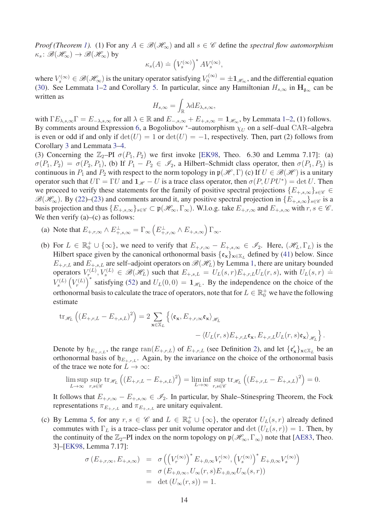*Proof (Theorem [1\)](#page-12-1).* (1) For any  $A \in \mathcal{B}(\mathcal{H}_{\infty})$  and all  $s \in \mathcal{C}$  define the *spectral flow automorphism*  $\kappa_s \colon \mathscr{B}(\mathscr{H}_\infty) \to \mathscr{B}(\mathscr{H}_\infty)$  by

$$
\kappa_s(A) \doteq \left(V_s^{(\infty)}\right)^* A V_s^{(\infty)},
$$

where  $V_s^{(\infty)} \in \mathscr{B}(\mathscr{H}_\infty)$  is the unitary operator satisfying  $V_0^{(\infty)} = \pm 1_{\mathscr{H}_\infty}$ , and the differential equation [\(30\)](#page-16-3). See Lemmata [1–](#page-16-2)[2](#page-24-0) and Corollary [5.](#page-26-1) In particular, since any Hamiltonian  $H_{s,\infty}$  in  $\mathbf{H}_{g_{\infty}}$  can be written as

$$
H_{s,\infty}=\int_{\mathbb{R}}\lambda \mathrm{d} E_{\lambda,s,\infty},
$$

with  $\Gamma E_{\lambda,s,\infty} \Gamma = E_{-\lambda,s,\infty}$  for all  $\lambda \in \mathbb{R}$  and  $E_{-,s,\infty} + E_{+,s,\infty} = \mathbb{1}_{\mathscr{H}_{\infty}}$  $E_{-,s,\infty} + E_{+,s,\infty} = \mathbb{1}_{\mathscr{H}_{\infty}}$  $E_{-,s,\infty} + E_{+,s,\infty} = \mathbb{1}_{\mathscr{H}_{\infty}}$ , by Lemmata 1[–2,](#page-24-0) (1) follows. By comments around Expression [6,](#page-4-4) a Bogoliubov \*–automorphism  $\chi_U$  on a self–dual CAR–algebra is even or odd if and only if  $\det(U) = 1$  or  $\det(U) = -1$ , respectively. Then, part (2) follows from Corollary [3](#page-18-0) and Lemmata [3–](#page-26-0)[4.](#page-28-0)

(3) Concerning the  $\mathbb{Z}_2$ –PI  $\sigma(P_1, P_2)$  we first invoke [\[EK98,](#page-36-2) Theo. 6.30 and Lemma 7.17]: (a)  $\sigma(P_1, P_2) = \sigma(P_2, P_1)$ , (b) If  $P_1 - P_2 \in \mathcal{I}_2$ , a Hilbert–Schmidt class operator, then  $\sigma(P_1, P_2)$  is continuous in  $P_1$  and  $P_2$  with respect to the norm topology in  $\mathfrak{p}(\mathcal{H}, \Gamma)$  (c) If  $U \in \mathcal{B}(\mathcal{H})$  is a unitary operator such that  $U\Gamma = \Gamma U$  and  $\mathbf{1}_{\mathcal{H}} - U$  is a trace class operator, then  $\sigma(P, UPU^*) = \det U$ . Then we proceed to verify these statements for the family of positive spectral projections  ${E_{+,s,\infty}}_{s \in \mathscr{C}} \in$  $\mathscr{B}(\mathscr{H}_{\infty})$ . By [\(22\)](#page-9-1)–[\(23\)](#page-9-2) and comments around it, any positive spectral projection in  $\{E_{+,s,\infty}\}_{s\in\mathscr{C}}$  is a basis projection and thus  $\{E_{+,s,\infty}\}_{s\in\mathscr{C}}\subset\mathfrak{p}(\mathscr{H}_{\infty},\Gamma_{\infty})$ . W.l.o.g. take  $E_{+,r,\infty}$  and  $E_{+,s,\infty}$  with  $r, s \in \mathscr{C}$ . We then verify  $(a)$ – $(c)$  as follows:

- (a) Note that  $E_{+,r,\infty} \wedge E_{+,s,\infty}^{\perp} = \Gamma_{\infty} \left( E_{+,r,\infty}^{\perp} \wedge E_{+,s,\infty} \right) \Gamma_{\infty}$ .
- (b) For  $L \in \mathbb{R}_0^+ \cup \{\infty\}$ , we need to verify that  $E_{+,r,\infty} E_{+,s,\infty} \in \mathscr{I}_2$ . Here,  $(\mathscr{H}_L, \Gamma_L)$  is the Hilbert space given by the canonical orthonormal basis  $\{\mathfrak{e}_x\}_{x \in \mathbb{X}_L}$  defined by [\(41\)](#page-20-1) below. Since  $E_{+,r,L}$  and  $E_{+,s,L}$  are self-adjoint operators on  $\mathscr{B}(\mathscr{H}_L)$  by Lemma [1,](#page-16-2) there are unitary bounded operators  $V_r^{(L)}, V_s^{(L)} \in \mathcal{B}(\mathcal{H}_L)$  such that  $E_{+,s,L} = U_L(s,r)E_{+,r,L}U_L(r,s)$ , with  $U_L(s,r) \doteq$  $V_s^{(L)}$  $\left(V_r^{(L)}\right)$ <sup>\*</sup> satisfying [\(52\)](#page-25-0) and  $U_L(0,0) = 1_{\mathcal{H}_L}$ . By the independence on the choice of the orthonormal basis to calculate the trace of operators, note that for  $L \in \mathbb{R}^+_0$  we have the following estimate

$$
\begin{split} \text{tr}_{\mathscr{H}_{L}}\left((E_{+,r,L}-E_{+,s,L})^{2}\right)&=2\sum_{\mathbf{x}\in\mathbb{X}_{L}}\left\{\left\langle\mathfrak{e}_{\mathbf{x}},E_{+,r,\infty}\mathfrak{e}_{\mathbf{x}}\right\rangle_{\mathscr{H}_{L}}\\ &-\left\langle U_{L}(r,s)E_{+,r,L}\mathfrak{e}_{\mathbf{x}},E_{+,r,L}U_{L}(r,s)\mathfrak{e}_{\mathbf{x}}\right\rangle_{\mathscr{H}_{L}}\right\}.\end{split}
$$

Denote by  $\mathfrak{h}_{E_{+,r,L}}$ , the range  $\text{ran}(E_{+,r,L})$  of  $E_{+,r,L}$  (see Definition [2\)](#page-3-2), and let  $\{\mathfrak{e}'_{\mathbf{x}}\}_{\mathbf{x}\in\mathbb{X}_L}$  be an orthonormal basis of  $\mathfrak{h}_{E_{+,r,L}}$ . Again, by the invariance on the choice of the orthonormal basis of the trace we note for  $L \to \infty$ :

$$
\limsup_{L\to\infty}\sup_{r,s\in\mathscr{C}}\text{tr}_{\mathscr{H}_L}\left(\left(E_{+,r,L}-E_{+,s,L}\right)^2\right)=\liminf_{L\to\infty}\sup_{r,s\in\mathscr{C}}\text{tr}_{\mathscr{H}_L}\left(\left(E_{+,r,L}-E_{+,s,L}\right)^2\right)=0.
$$

It follows that  $E_{+,r,\infty} - E_{+,s,\infty} \in \mathcal{I}_2$ . In particular, by Shale–Stinespring Theorem, the Fock representations  $\pi_{E_{+,r,L}}$  and  $\pi_{E_{+,s,L}}$  are unitary equivalent.

(c) By Lemma [5,](#page-29-0) for any  $r, s \in \mathscr{C}$  and  $L \in \mathbb{R}_0^+ \cup \{\infty\}$ , the operator  $U_L(s,r)$  already defined commutes with  $\Gamma_L$  is a trace–class per unit volume operator and  $\det(U_L(s, r)) = 1$ . Then, by the continuity of the  $\mathbb{Z}_2$ –PI index on the norm topology on  $\mathfrak{p}(\mathcal{H}_\infty,\Gamma_\infty)$  note that [\[AE83,](#page-34-0) Theo. 3]–[\[EK98,](#page-36-2) Lemma 7.17]:

$$
\begin{array}{rcl}\n\sigma(E_{+,r,\infty},E_{+,s,\infty}) &=& \sigma\left(\left(V_r^{(\infty)}\right)^*E_{+,0,\infty}V_r^{(\infty)},\left(V_s^{(\infty)}\right)^*E_{+,0,\infty}V_s^{(\infty)}\right) \\
&=& \sigma\left(E_{+,0,\infty},U_\infty(r,s)E_{+,0,\infty}U_\infty(s,r)\right) \\
&=& \det\left(U_\infty(r,s)\right)=1.\n\end{array}
$$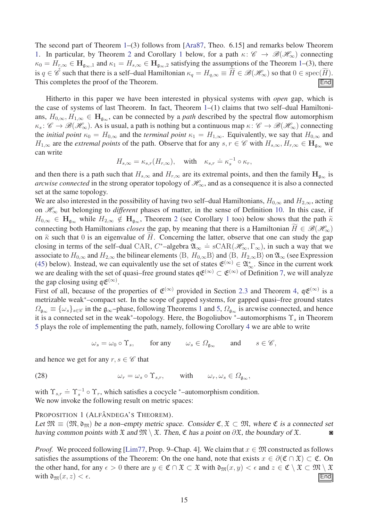The second part of Theorem [1–](#page-12-1)(3) follows from [\[Ara87,](#page-35-9) Theo. 6.15] and remarks below Theorem [1.](#page-12-1) In particular, by Theorem [2](#page-15-0) and Corollary [1](#page-15-1) below, for a path  $\kappa: \mathscr{C} \to \mathscr{B}(\mathscr{H}_{\infty})$  connecting  $\kappa_0 = H_{r,\infty} \in \mathbf{H}_{\mathfrak{g}_{\infty},1}$  and  $\kappa_1 = H_{s,\infty} \in \mathbf{H}_{\mathfrak{g}_{\infty},2}$  satisfying the assumptions of the Theorem [1–](#page-12-1)(3), there is *q* ∈  $\mathscr{C}$  such that there is a self-dual Hamiltonian  $\kappa_q = H_{q,\infty} \equiv H \in \mathscr{B}(\mathscr{H}_{\infty})$  so that  $0 \in \text{spec}(H)$ .<br>This completes the proof of the Theorem. This completes the proof of the Theorem.

Hitherto in this paper we have been interested in physical systems with *open* gap, which is the case of systems of last Theorem. In fact, Theorem [1–](#page-12-1)(1) claims that two self–dual Hamiltonians,  $H_{0,\infty}, H_{1,\infty} \in \mathbf{H}_{g_{\infty}}$ , can be connected by a *path* described by the spectral flow automorphism  $\kappa_s: \mathscr{C} \to \mathscr{B}(\mathscr{H}_{\infty})$ . As is usual, a path is nothing but a continuous map  $\kappa: \mathscr{C} \to \mathscr{B}(\mathscr{H}_{\infty})$  connecting the *initial point*  $\kappa_0 = H_{0,\infty}$  and the *terminal point*  $\kappa_1 = H_{1,\infty}$ . Equivalently, we say that  $H_{0,\infty}$  and *H*<sub>1</sub>,∞ are the *extremal points* of the path. Observe that for any *s*, *r* ∈ C with  $H_{s,\infty}, H_{r,\infty}$  ∈  $\mathbf{H}_{g_{\infty}}$  we can write

$$
H_{s,\infty} = \kappa_{s,r}(H_{r,\infty}), \quad \text{with} \quad \kappa_{s,r} \doteq \kappa_s^{-1} \circ \kappa_r,
$$

and then there is a path such that  $H_{s,\infty}$  and  $H_{r,\infty}$  are its extremal points, and then the family  $H_{\mathfrak{q}_{\infty}}$  is *arcwise connected* in the strong operator topology of  $\mathcal{H}_{\infty}$ , and as a consequence it is also a connected set at the same topology.

We are also interested in the possibility of having two self–dual Hamiltonians,  $H_{0,\infty}$  and  $H_{2,\infty}$ , acting on  $\mathcal{H}_{\infty}$  but belonging to *different* phases of matter, in the sense of Definition [10.](#page-11-2) In this case, if  $H_{0,\infty} \in H_{\mathfrak{g}_{\infty}}$  while  $H_{2,\infty} \notin H_{\mathfrak{g}_{\infty}}$  $H_{2,\infty} \notin H_{\mathfrak{g}_{\infty}}$  $H_{2,\infty} \notin H_{\mathfrak{g}_{\infty}}$ , Theorem 2 (see Corollary [1](#page-15-1) too) below shows that the path  $\tilde{\kappa}$ connecting both Hamiltonians *closes* the gap, by meaning that there is a Hamiltonian  $H \in \mathcal{B}(\mathcal{H}_{\infty})$ on  $\tilde{\kappa}$  such that 0 is an eigenvalue of *H*. Concerning the latter, observe that one can study the gap closing in terms of the self–dual CAR,  $C^*$ –algebra  $\mathfrak{A}_{\infty} \doteq \text{sCAR}(\mathcal{H}_{\infty}, \Gamma_{\infty})$ , in such a way that we associate to  $H_{0,\infty}$  and  $H_{2,\infty}$  the bilinear elements  $\langle B, H_{0,\infty}B \rangle$  and  $\langle B, H_{2,\infty}B \rangle$  on  $\mathfrak{A}_{\infty}$  (see Expression [\(45\)](#page-21-0) below). Instead, we can equivalently use the set of states  $\mathfrak{E}^{(\infty)} \in \mathfrak{A}^*_{\infty}$ . Since in the current work we are dealing with the set of quasi–free ground states  $\mathfrak{q} \mathfrak{E}^{(\infty)} \subset \mathfrak{E}^{(\infty)}$  of Definition [7,](#page-9-4) we will analyze the gap closing using  $\mathfrak{q} \mathfrak{E}^{(\infty)}$ .

First of all, because of the properties of  $\mathfrak{E}^{(\infty)}$  provided in Section [2.3](#page-6-0) and Theorem [4,](#page-24-1)  $\mathfrak{q}\mathfrak{E}^{(\infty)}$  is a metrizable weak<sup>∗</sup>–compact set. In the scope of gapped systems, for gapped quasi–free ground states  $Q_{\alpha_{\infty}} \equiv {\{\omega_s\}}_{s \in \mathscr{C}}$  in the  $\mathfrak{g}_{\infty}$ –phase, following Theorems [1](#page-12-1) and [5,](#page-29-1)  $\Omega_{\mathfrak{g}_{\infty}}$  is arcwise connected, and hence it is a connected set in the weak<sup>∗</sup>–topology. Here, the Bogoliubov <sup>∗</sup>–automorphisms Υ*<sup>s</sup>* in Theorem [5](#page-29-1) plays the role of implementing the path, namely, following Corollary [4](#page-20-2) we are able to write

<span id="page-14-0"></span> $\omega_s = \omega_0 \circ \Upsilon_s$ , for any  $\omega_s \in \Omega_{\mathfrak{g}_\infty}$  and  $s \in \mathscr{C}$ ,

and hence we get for any  $r, s \in \mathscr{C}$  that

(28) 
$$
\omega_r = \omega_s \circ \Upsilon_{s,r}, \quad \text{with} \quad \omega_r, \omega_s \in \Omega_{\mathfrak{g}_\infty},
$$

with  $\Upsilon_{s,r} = \Upsilon_s^{-1} \circ \Upsilon_r$ , which satisfies a cocycle \*-automorphism condition. We now invoke the following result on metric spaces:

#### PROPOSITION 1 (ALFÂNDEGA'S THEOREM).

Let  $\mathfrak{M} \equiv (\mathfrak{M}, \mathfrak{d}_{\mathfrak{M}})$  be a non–empty metric space. Consider  $\mathfrak{C}, \mathfrak{X} \subset \mathfrak{M}$ , where  $\mathfrak{C}$  is a connected set having common points with  $\mathfrak{X}$  and  $\mathfrak{M} \setminus \mathfrak{X}$ . Then,  $\mathfrak{C}$  has a having common points with  $\mathfrak X$  and  $\mathfrak M \setminus \mathfrak X$ . Then,  $\mathfrak C$  has a point on  $\partial \mathfrak X$ , the boundary of  $\mathfrak X$ .

*Proof.* We proceed following [\[Lim77,](#page-37-8) Prop. 9–Chap. 4]. We claim that  $x \in \mathfrak{M}$  constructed as follows satisfies the assumptions of the Theorem: On the one hand, note that exists  $x \in \partial(\mathfrak{C} \cap \mathfrak{X}) \subset \mathfrak{C}$ . On the other hand, for any  $\epsilon > 0$  there are  $y \in \mathfrak{C} \cap \mathfrak{X} \subset \mathfrak{X}$  with  $\mathfrak{d}_{\mathfrak{M}}(x, y) < \epsilon$  and  $z \in \mathfrak{C} \setminus \mathfrak{X} \subset \mathfrak{M} \setminus \mathfrak{X}$  with  $\mathfrak{d}_{\mathfrak{M}}(x, z) < \epsilon$ . with  $\mathfrak{d}_{\mathfrak{M}}(x, z) < \epsilon$ .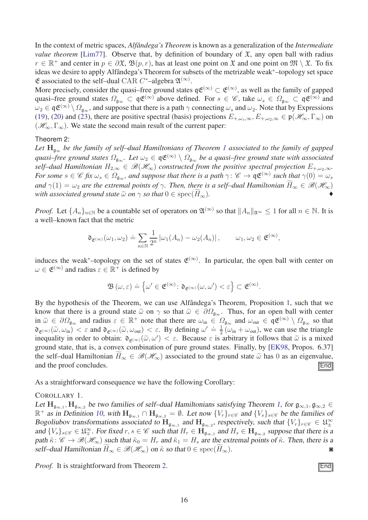In the context of metric spaces, *Alfândega's Theorem* is known as a generalization of the *Intermediate value theorem* [\[Lim77\]](#page-37-8). Observe that, by definition of boundary of  $\mathfrak{X}$ , any open ball with radius *r* ∈  $\mathbb{R}^+$  and center in *p* ∈  $\partial \mathfrak{X}, \mathfrak{B}(p,r)$ , has at least one point on  $\mathfrak{X}$  and one point on  $\mathfrak{M} \setminus \mathfrak{X}$ . To fix ideas we desire to apply Alfândega's Theorem for subsets of the metrizable weak<sup>∗</sup>–topology set space  $\mathfrak E$  associated to the self-dual CAR  $C^*$ -algebra  $\mathfrak A^{(\infty)}$ .

More precisely, consider the quasi–free ground states  $q\mathfrak{E}^{(\infty)} \subset \mathfrak{E}^{(\infty)}$ , as well as the family of gapped quasi–free ground states  $\Omega_{\mathfrak{g}_{\infty}} \subset \mathfrak{q} \mathfrak{E}^{(\infty)}$  above defined. For  $s \in \mathscr{C}$ , take  $\omega_s \in \Omega_{\mathfrak{g}_{\infty}} \subset \mathfrak{q} \mathfrak{E}^{(\infty)}$  and  $\omega_2 \in \mathfrak{q}(\mathfrak{E}^{(\infty)} \setminus \Omega_{\mathfrak{a}_{\infty}})$ , and suppose that there is a path  $\gamma$  connecting  $\omega_s$  and  $\omega_2$ . Note that by Expressions [\(19\)](#page-7-2), [\(20\)](#page-7-3) and [\(23\)](#page-9-2), there are positive spectral (basis) projections  $E_{+,\omega_s,\infty}, E_{+,\omega_2,\infty} \in \mathfrak{p}(\mathcal{H}_\infty, \Gamma_\infty)$  on  $(\mathcal{H}_{\infty}, \Gamma_{\infty})$ . We state the second main result of the current paper:

#### Theorem 2:

*Let* **H**<sup>g</sup><sup>∞</sup> *be the family of self–dual Hamiltonians of Theorem [1](#page-12-1) associated to the family of gapped quasi–free ground states*  $\Omega_{\mathfrak{g}_{\infty}}$ *. Let*  $\omega_2 \in \mathfrak{q} \mathfrak{E}^{(\infty)} \setminus \Omega_{\mathfrak{g}_{\infty}}$  *be a quasi–free ground state with associated self–dual Hamiltonian*  $H_{2,\infty} \in \mathcal{B}(\mathcal{H}_{\infty})$  constructed from the positive spectral projection  $E_{+\omega_2,\infty}$ . *For some*  $s \in C$  *fix*  $\omega_s \in \Omega_{\mathfrak{g}_\infty}$ , and suppose that there is a path  $\gamma: C \to \mathfrak{q} \mathfrak{E}^{(\infty)}$  such that  $\gamma(0) = \omega_s$ *and*  $\gamma(1) = \omega_2$  *are the extremal points of*  $\gamma$ *. Then, there is a self–dual Hamiltonian*  $\widetilde{H}_{\infty} \in \mathcal{B}(\mathcal{H}_{\infty})$ *with associated ground state*  $\tilde{\omega}$  *on*  $\gamma$  *so that*  $0 \in \text{spec}(\widetilde{H}_{\infty})$ *.* 

*Proof.* Let  $\{A_n\}_{n\in\mathbb{N}}$  be a countable set of operators on  $\mathfrak{A}^{(\infty)}$  so that  $||A_n||_{\mathfrak{A}^{\infty}} \leq 1$  for all  $n \in \mathbb{N}$ . It is a well–known fact that the metric

<span id="page-15-0"></span>
$$
\mathfrak{d}_{\mathfrak{E}^{(\infty)}}(\omega_1, \omega_2) \doteq \sum_{n \in \mathbb{N}} \frac{1}{2^n} |\omega_1(A_n) - \omega_2(A_n)|, \qquad \omega_1, \omega_2 \in \mathfrak{E}^{(\infty)},
$$

induces the weak<sup>\*</sup>-topology on the set of states  $\mathfrak{E}^{(\infty)}$ . In particular, the open ball with center on  $\omega \in \mathfrak{E}^{(\infty)}$  and radius  $\varepsilon \in \mathbb{R}^+$  is defined by

$$
\mathfrak{B}\left( \omega,\varepsilon\right) \doteq\left\{ \omega^{\prime}\in\mathfrak{E}^{(\infty)}\colon\mathfrak{d}_{\mathfrak{E}^{(\infty)}}(\omega,\omega^{\prime})<\varepsilon\right\} \subset\mathfrak{E}^{(\infty)}.
$$

By the hypothesis of the Theorem, we can use Alfândega's Theorem, Proposition [1,](#page-14-0) such that we know that there is a ground state  $\tilde{\omega}$  on  $\gamma$  so that  $\tilde{\omega} \in \partial \Omega_{\mathfrak{g}_{\infty}}$ . Thus, for an open ball with center in  $\tilde{\omega} \in \partial \Omega_{\mathfrak{g}_{\infty}}$  and radius  $\varepsilon \in \mathbb{R}^+$  note that there are  $\omega_{\text{in}} \in \Omega_{\mathfrak{g}_{\infty}}$  and  $\omega_{\text{out}} \in \mathfrak{q} \mathfrak{E}^{(\infty)} \setminus \Omega_{\mathfrak{g}_{\infty}}$  so that  $\mathfrak{d}_{\mathfrak{E}^{(\infty)}}(\tilde{\omega}, \omega_{\text{in}}) < \varepsilon$  and  $\mathfrak{d}_{\mathfrak{E}^{(\infty)}}(\tilde{\omega}, \omega_{\text{out}}) < \varepsilon$ . By defining  $\omega' \doteq \frac{1}{2}$  $\frac{1}{2}(\omega_{\text{in}} + \omega_{\text{out}})$ , we can use the triangle inequality in order to obtain:  $\mathfrak{d}_{\mathfrak{E}(\infty)}(\tilde{\omega}, \omega') < \varepsilon$ . Because  $\varepsilon$  is arbitrary it follows that  $\tilde{\omega}$  is a mixed ground state, that is, a convex combination of pure ground states. Finally, by [\[EK98,](#page-36-2) Propos. 6.37] the self–dual Hamiltonian  $\overline{H}_{\infty} \in \mathcal{B}(\mathcal{H}_{\infty})$  associated to the ground state  $\tilde{\omega}$  has 0 as an eigenvalue, and the proof concludes. and the proof concludes.

As a straightforward consequence we have the following Corollary:

COROLLARY 1.

Let  $\mathbf{H}_{\mathfrak{g}_{\infty,1}}, \mathbf{H}_{\mathfrak{g}_{\infty,2}}$  be two families of self-dual Hamiltonians satisfying Theorem [1,](#page-12-1) for  $\mathfrak{g}_{\infty,1}, \mathfrak{g}_{\infty,2} \in$  $\mathbb{R}^+$  as in Definition [10,](#page-11-2) with  $\mathbf{H}_{\mathfrak{g}_{\infty,1}} \cap \mathbf{H}_{\mathfrak{g}_{\infty,2}} = \emptyset$ . Let now  $\{V_r\}_{r \in \mathscr{C}}$  and  $\{V_s\}_{s \in \mathscr{C}}$  be the families of Bogoliubov transformations associated to  $H_{\mathfrak{g}_{\infty,1}}$  and  $H_{\mathfrak{g}_{\infty,2}}$ , respectively, such that  $\{V_r\}_{r \in \mathscr{C}} \in \mathfrak{U}^{\infty}_{\pm}$ and  $\{V_s\}_{s\in\mathscr{C}}\in\mathfrak{U}^\infty_+$ . For fixed  $r, s \in \mathscr{C}$  such that  $H_r \in \mathbf{H}_{\mathfrak{g}_{\infty,1}}$  and  $H_s \in \mathbf{H}_{\mathfrak{g}_{\infty,2}}$  suppose that there is a path  $\tilde{\kappa}$ :  $\mathscr{C} \to \mathscr{B}(\mathscr{H}_{\infty})$  such that  $\tilde{\kappa}_0 = H_r$  and  $\tilde{\kappa}_1 = H_s$  are the extremal points of  $\tilde{\kappa}$ . Then, there is a self–dual Hamiltonian  $H_{\infty} \in \mathcal{B}(\mathcal{H}_{\infty})$  on  $\tilde{\kappa}$  so that  $0 \in \text{spec}(H_{\infty})$ .

*Proof.* It is straightforward from Theorem [2.](#page-15-0)

<span id="page-15-1"></span>
$$
\overline{\text{End}}
$$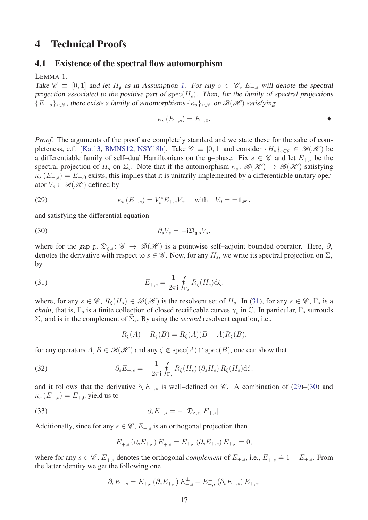## <span id="page-16-1"></span><span id="page-16-0"></span>4 Technical Proofs

#### <span id="page-16-2"></span>4.1 Existence of the spectral flow automorphism

LEMMA 1.

Take  $\mathscr{C} \equiv [0, 1]$  and let  $H_a$  as in Assumption [1.](#page-11-3) For any  $s \in \mathscr{C}$ ,  $E_{+,s}$  will denote the spectral projection associated to the positive part of  $spec(H_s)$ . Then, for the family of spectral projections  ${E_{+,s}}_{s \in \mathscr{C}}$ , there exists a family of automorphisms  $\{\kappa_s\}_{s \in \mathscr{C}}$  on  $\mathscr{B}(\mathscr{H})$  satisfying

$$
\kappa_s(E_{+,s}) = E_{+,0}.\tag{}
$$

*Proof.* The arguments of the proof are completely standard and we state these for the sake of com-pleteness, c.f. [\[Kat13,](#page-36-15) [BMNS12,](#page-35-3) [NSY18b\]](#page-37-6). Take  $\mathscr{C} \equiv [0, 1]$  and consider  $\{H_s\}_{s \in \mathscr{C}} \in \mathscr{B}(\mathscr{H})$  be a differentiable family of self-dual Hamiltonians on the g-phase. Fix  $s \in \mathscr{C}$  and let  $E_{+,s}$  be the spectral projection of  $H_s$  on  $\Sigma_s$ . Note that if the automorphism  $\kappa_s \colon \mathscr{B}(\mathscr{H}) \to \mathscr{B}(\mathscr{H})$  satisfying  $\kappa_s(E_{+,s}) = E_{+,0}$  exists, this implies that it is unitarily implemented by a differentiable unitary operator  $V_s \in \mathcal{B}(\mathcal{H})$  defined by

<span id="page-16-5"></span>(29) 
$$
\kappa_s(E_{+,s}) \doteq V_s^* E_{+,s} V_s, \quad \text{with} \quad V_0 = \pm \mathbf{1}_{\mathscr{H}},
$$

and satisfying the differential equation

$$
(30) \t\t\t \partial_s V_s = -\mathrm{i} \mathfrak{D}_{\mathfrak{g},s} V_s,
$$

where for the gap g,  $\mathfrak{D}_{\mathfrak{a},s}$ :  $\mathscr{C} \to \mathscr{B}(\mathscr{H})$  is a pointwise self–adjoint bounded operator. Here,  $\partial_s$ denotes the derivative with respect to  $s \in \mathscr{C}$ . Now, for any  $H_s$ , we write its spectral projection on  $\Sigma_s$ by

<span id="page-16-4"></span>(31) 
$$
E_{+,s} = \frac{1}{2\pi i} \oint_{\Gamma_s} R_\zeta(H_s) d\zeta,
$$

where, for any  $s \in \mathscr{C}$ ,  $R_{\zeta}(H_s) \in \mathscr{B}(\mathscr{H})$  is the resolvent set of  $H_s$ . In [\(31\)](#page-16-4), for any  $s \in \mathscr{C}$ ,  $\Gamma_s$  is a *chain*, that is,  $\Gamma_s$  is a finite collection of closed rectificable curves  $\gamma_s$  in C. In particular,  $\Gamma_s$  surrouds  $\Sigma_s$  and is in the complement of  $\Sigma_s$ . By using the *second* resolvent equation, i.e.,

<span id="page-16-6"></span><span id="page-16-3"></span>
$$
R_{\zeta}(A) - R_{\zeta}(B) = R_{\zeta}(A)(B - A)R_{\zeta}(B),
$$

for any operators  $A, B \in \mathcal{B}(\mathcal{H})$  and any  $\zeta \notin \text{spec}(A) \cap \text{spec}(B)$ , one can show that

(32) 
$$
\partial_s E_{+,s} = -\frac{1}{2\pi i} \oint_{\Gamma_s} R_\zeta(H_s) \left( \partial_s H_s \right) R_\zeta(H_s) d\zeta,
$$

and it follows that the derivative  $\partial_s E_{+,s}$  is well–defined on  $\mathscr{C}$ . A combination of [\(29\)](#page-16-5)–[\(30\)](#page-16-3) and  $\kappa$ <sup>*s*</sup> (*E*<sub>+*,s*</sub>) = *E*<sub>+*,*0</sub> yield us to

(33) 
$$
\partial_s E_{+,s} = -i[\mathfrak{D}_{\mathfrak{g},s}, E_{+,s}].
$$

Additionally, since for any  $s \in \mathcal{C}$ ,  $E_{+,s}$  is an orthogonal projection then

<span id="page-16-7"></span>
$$
E_{+,s}^{\perp}(\partial_{s}E_{+,s}) E_{+,s}^{\perp} = E_{+,s}(\partial_{s}E_{+,s}) E_{+,s} = 0,
$$

where for any  $s \in \mathscr{C}$ ,  $E_{+,s}^{\perp}$  denotes the orthogonal *complement* of  $E_{+,s}$ , i.e.,  $E_{+,s}^{\perp} = 1 - E_{+,s}$ . From the latter identity we get the following one

$$
\partial_s E_{+,s} = E_{+,s} \left( \partial_s E_{+,s} \right) E_{+,s}^{\perp} + E_{+,s}^{\perp} \left( \partial_s E_{+,s} \right) E_{+,s},
$$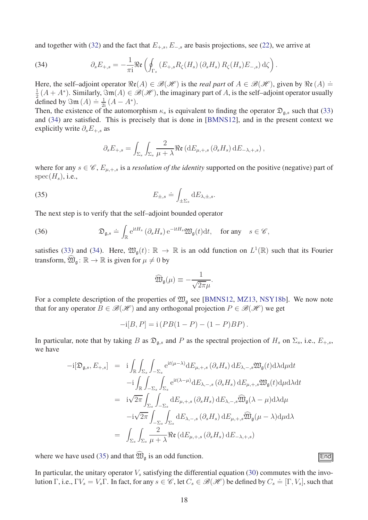and together with [\(32\)](#page-16-6) and the fact that  $E_{+,s}$ ,  $E_{-,s}$  are basis projections, see [\(22\)](#page-9-1), we arrive at

<span id="page-17-0"></span>(34) 
$$
\partial_s E_{+,s} = -\frac{1}{\pi i} \Re \mathfrak{e} \left( \oint_{\Gamma_s} \left( E_{+,s} R_{\zeta} (H_s) \left( \partial_s H_s \right) R_{\zeta} (H_s) E_{-,s} \right) d\zeta \right).
$$

Here, the self–adjoint operator  $\Re(\mathcal{A}) \in \mathcal{B}(\mathcal{H})$  is the *real part* of  $A \in \mathcal{B}(\mathcal{H})$ , given by  $\Re(\mathcal{A}) =$ 1  $\frac{1}{2}(A+A^*)$ . Similarly,  $\Im$ m $(A) \in \mathscr{B}(\mathscr{H})$ , the imaginary part of *A*, is the self–adjoint operator usually defined by  $\Im$ m  $(A) \doteq \frac{1}{2i} (A - A^*)$ .

Then, the existence of the automorphism  $\kappa_s$  is equivalent to finding the operator  $\mathfrak{D}_{\mathfrak{a},s}$  such that [\(33\)](#page-16-7) and [\(34\)](#page-17-0) are satisfied. This is precisely that is done in [\[BMNS12\]](#page-35-3), and in the present context we explicitly write *∂sE*+*,s* as

<span id="page-17-1"></span>
$$
\partial_s E_{+,s} = \int_{\Sigma_s} \int_{\Sigma_s} \frac{2}{\mu + \lambda} \Re \mathfrak{e} \left( dE_{\mu,+,s} \left( \partial_s H_s \right) dE_{-\lambda,+,s} \right),
$$

where for any  $s \in \mathcal{C}$ ,  $E_{\mu, +,s}$  is a *resolution of the identity* supported on the positive (negative) part of  $spec(H_s), i.e.,$ 

(35) 
$$
E_{\pm,s} \doteq \int_{\pm\Sigma_s} dE_{\lambda,\pm,s}.
$$

The next step is to verify that the self–adjoint bounded operator

<span id="page-17-2"></span>(36) 
$$
\mathfrak{D}_{\mathfrak{g},s} \doteq \int_{\mathbb{R}} e^{itH_s} \left( \partial_s H_s \right) e^{-itH_s} \mathfrak{W}_{\mathfrak{g}}(t) dt, \text{ for any } s \in \mathscr{C},
$$

satisfies [\(33\)](#page-16-7) and [\(34\)](#page-17-0). Here,  $\mathfrak{W}_{\mathfrak{g}}(t)$ :  $\mathbb{R} \to \mathbb{R}$  is an odd function on  $L^1(\mathbb{R})$  such that its Fourier transform,  $\mathfrak{W}_{\mathfrak{a}}: \mathbb{R} \to \mathbb{R}$  is given for  $\mu \neq 0$  by

$$
\widehat{\mathfrak{W}}_{\mathfrak{g}}(\mu) \equiv -\frac{1}{\sqrt{2\pi}\mu}.
$$

For a complete description of the properties of  $\mathfrak{W}_{g}$  see [\[BMNS12,](#page-35-3) [MZ13,](#page-37-9) [NSY18b\]](#page-37-6). We now note that for any operator  $B \in \mathcal{B}(\mathcal{H})$  and any orthogonal projection  $P \in \mathcal{B}(\mathcal{H})$  we get

$$
-i[B, P] = i(PB(1 - P) - (1 - P)BP).
$$

In particular, note that by taking *B* as  $\mathfrak{D}_{\mathfrak{g},s}$  and *P* as the spectral projection of  $H_s$  on  $\Sigma_s$ , i.e.,  $E_{+,s}$ , we have

$$
-i[\mathfrak{D}_{\mathfrak{g},s},E_{+,s}] = i \int_{\mathbb{R}} \int_{\Sigma_{s}} \int_{-\Sigma_{s}} e^{it(\mu-\lambda)} dE_{\mu,+,s} (\partial_{s}H_{s}) dE_{\lambda,-,s} \mathfrak{W}_{\mathfrak{g}}(t) d\lambda d\mu dt
$$
  
\n
$$
-i \int_{\mathbb{R}} \int_{-\Sigma_{s}} \int_{\Sigma_{s}} e^{it(\lambda-\mu)} dE_{\lambda,-,s} (\partial_{s}H_{s}) dE_{\mu,+,s} \mathfrak{W}_{\mathfrak{g}}(t) d\mu d\lambda dt
$$
  
\n
$$
= i \sqrt{2\pi} \int_{\Sigma_{s}} \int_{-\Sigma_{s}} dE_{\mu,+,s} (\partial_{s}H_{s}) dE_{\lambda,-,s} \widehat{\mathfrak{W}}_{\mathfrak{g}}(\lambda-\mu) d\lambda d\mu
$$
  
\n
$$
-i \sqrt{2\pi} \int_{-\Sigma_{s}} \int_{\Sigma_{s}} dE_{\lambda,-,s} (\partial_{s}H_{s}) dE_{\mu,+,s} \widehat{\mathfrak{W}}_{\mathfrak{g}}(\mu-\lambda) d\mu d\lambda
$$
  
\n
$$
= \int_{\Sigma_{s}} \int_{\Sigma_{s}} \frac{2}{\mu+\lambda} \Re(\mu_{\mu,+,s} (\partial_{s}H_{s}) dE_{-\lambda,+,s})
$$

where we have used [\(35\)](#page-17-1) and that  $\mathfrak{W}_\mathfrak{a}$  is an odd function. **End** 

In particular, the unitary operator  $V_s$  satisfying the differential equation [\(30\)](#page-16-3) commutes with the involution  $\Gamma$ , i.e.,  $\Gamma V_s = V_s \Gamma$ . In fact, for any  $s \in \mathscr{C}$ , let  $C_s \in \mathscr{B}(\mathscr{H})$  be defined by  $C_s \doteq [\Gamma, V_s]$ , such that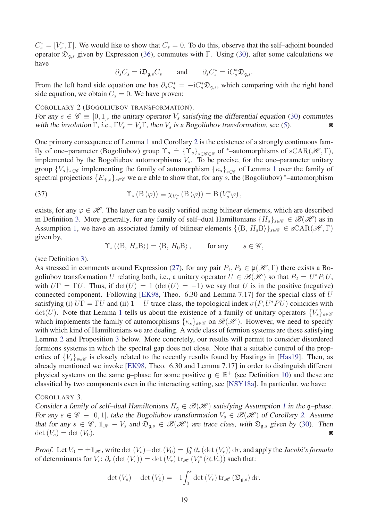$C_s^* = [V_s^*, \Gamma]$ . We would like to show that  $C_s = 0$ . To do this, observe that the self–adjoint bounded operator Dg*,s* given by Expression [\(36\)](#page-17-2), commutes with Γ. Using [\(30\)](#page-16-3), after some calculations we have

<span id="page-18-1"></span>
$$
\partial_s C_s = i \mathfrak{D}_{\mathfrak{g},s} C_s
$$
 and  $\partial_s C_s^* = i C_s^* \mathfrak{D}_{\mathfrak{g},s}.$ 

From the left hand side equation one has  $\partial_s C_s^* = -iC_s^* \mathfrak{D}_{\mathfrak{g},s}$ , which comparing with the right hand side equation, we obtain  $C_s = 0$ . We have proven:

COROLLARY 2 (BOGOLIUBOV TRANSFORMATION).

For any  $s \in \mathscr{C} \equiv [0, 1]$ , the unitary operator  $V_s$  satisfying the differential equation [\(30\)](#page-16-3) commutes with the involution  $\Gamma$ , i.e.,  $\Gamma V_s = V_s \Gamma$ , then  $V_s$  is a Bogoliubov transformation, see (5). with the involution  $\Gamma$ , i.e.,  $\Gamma V_s = V_s \Gamma$ , then  $V_s$  is a Bogoliubov transformation, see [\(5\)](#page-4-0).

One primary consequence of Lemma [1](#page-16-2) and Corollary [2](#page-18-1) is the existence of a strongly continuous family of one–parameter (Bogoliubov) group  $\Upsilon_s = {\Upsilon_s}_{s \in \mathscr{C} \in \mathbb{R}}$  of  $*$ –automorphisms of sCAR( $\mathscr{H}, \Gamma$ ), implemented by the Bogoliubov automorphisms *Vs*. To be precise, for the one–parameter unitary group  $\{V_s\}_{s \in \mathscr{C}}$  implementing the family of automorphism  $\{\kappa_s\}_{s \in \mathscr{C}}$  of Lemma [1](#page-16-2) over the family of spectral projections  ${E_{+,s}}_{s \in \mathscr{C}}$  we are able to show that, for any *s*, the (Bogoliubov) \*–automorphism

(37) 
$$
\Upsilon_s (B(\varphi)) \equiv \chi_{V_s^*} (B(\varphi)) = B(V_s^* \varphi),
$$

exists, for any  $\varphi \in \mathcal{H}$ . The latter can be easily verified using bilinear elements, which are described in Definition [3.](#page-4-2) More generally, for any family of self–dual Hamiltonians  ${H_s}_{s \in \mathscr{C}} \in \mathscr{B}(\mathscr{H})$  as in Assumption [1,](#page-11-3) we have an associated family of bilinear elements  $\{\langle B, H_s B \rangle\}_{s \in \mathscr{C}} \in \text{sCAR}(\mathscr{H}, \Gamma)$ given by,

<span id="page-18-2"></span> $\Upsilon_s (\langle B, H_s B \rangle) = \langle B, H_0 B \rangle$ , for any  $s \in \mathscr{C}$ ,

(see Definition [3\)](#page-4-2).

As stressed in comments around Expression [\(27\)](#page-12-0), for any pair  $P_1, P_2 \in \mathfrak{p}(\mathcal{H}, \Gamma)$  there exists a Bogoliubov transformation *U* relating both, i.e., a unitary operator  $U \in \mathcal{B}(\mathcal{H})$  so that  $P_2 = U^* P_1 U$ , with  $U\Gamma = \Gamma U$ . Thus, if  $\det(U) = 1$  ( $\det(U) = -1$ ) we say that *U* is in the positive (negative) connected component. Following [\[EK98,](#page-36-2) Theo. 6.30 and Lemma 7.17] for the special class of *U* satisfying (i)  $U\Gamma = \Gamma U$  and (ii)  $1 - U$  trace class, the topological index  $\sigma (P, U^*PU)$  coincides with  $det(U)$ . Note that Lemma [1](#page-16-2) tells us about the existence of a family of unitary operators  ${V_s}_{s \in \mathscr{C}}$ which implements the family of automorphisms  $\{\kappa_s\}_{s\in\mathscr{C}}$  on  $\mathscr{B}(\mathscr{H})$ . However, we need to specify with which kind of Hamiltonians we are dealing. A wide class of fermion systems are those satisfying Lemma [2](#page-24-0) and Proposition [3](#page-27-1) below. More concretely, our results will permit to consider disordered fermions systems in which the spectral gap does not close. Note that a suitable control of the properties of  $\{V_s\}_{s\in\mathscr{C}}$  is closely related to the recently results found by Hastings in [\[Has19\]](#page-36-0). Then, as already mentioned we invoke [\[EK98,](#page-36-2) Theo. 6.30 and Lemma 7.17] in order to distinguish different physical systems on the same g–phase for some positive  $g \in \mathbb{R}^+$  (see Definition [10\)](#page-11-2) and these are classified by two components even in the interacting setting, see [\[NSY18a\]](#page-37-10). In particular, we have:

#### COROLLARY 3.

Consider a family of self-dual Hamiltonians  $H_{\mathfrak{g}} \in \mathcal{B}(\mathcal{H})$  satisfying Assumption [1](#page-11-3) in the g-phase. For any  $s \in \mathscr{C} \equiv [0, 1]$ , take the Bogoliubov transformation  $V_s \in \mathscr{B}(\mathscr{H})$  of Corollary [2](#page-18-1). Assume that for any  $s \in \mathscr{C}$ ,  $1_{\mathscr{H}} - V_s$  and  $\mathfrak{D}_{\mathfrak{g},s} \in \mathscr{B}(\mathscr{H})$  are trace class, with  $\mathfrak{D}_{\mathfrak{g},s}$  given by [\(30\)](#page-16-3). Then  $\det(V_s) = \det(V_0).$ 

*Proof.* Let  $V_0 = \pm 1_{\mathcal{H}}$ , write det  $(V_s) - \det(V_0) = \int_0^s \partial_r (\det(V_r)) dr$ , and apply the *Jacobi's formula* of determinants for  $V_r$ :  $\partial_r (\det(V_r)) = \det(V_r) \operatorname{tr}_{\mathcal{H}}(V_r^*(\partial_r V_r))$  such that:

<span id="page-18-0"></span>
$$
\det(V_s) - \det(V_0) = -i \int_0^s \det(V_r) \operatorname{tr}_{\mathscr{H}}(\mathfrak{D}_{\mathfrak{g},s}) dr,
$$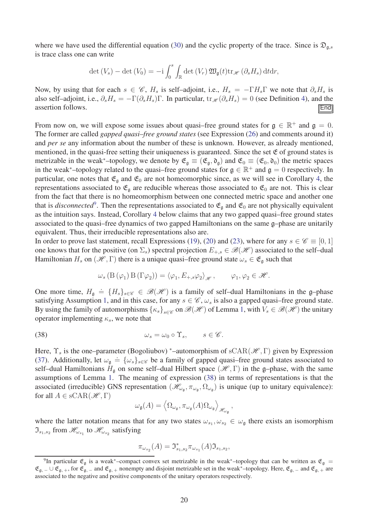where we have used the differential equation [\(30\)](#page-16-3) and the cyclic property of the trace. Since is  $\mathfrak{D}_{q,s}$ is trace class one can write

$$
\det(V_s) - \det(V_0) = -i \int_0^s \int_{\mathbb{R}} \det(V_r) \mathfrak{W}_{\mathfrak{g}}(t) \mathrm{tr}_{\mathscr{H}} (\partial_s H_s) \mathrm{d}t \mathrm{d}r,
$$

Now, by using that for each  $s \in \mathscr{C}$ ,  $H_s$  is self-adjoint, i.e.,  $H_s = -\Gamma H_s \Gamma$  we note that  $\partial_s H_s$  is also self–adjoint, i.e.,  $\partial_s H_s = -\Gamma(\partial_s H_s)\Gamma$ . In particular,  $\text{tr}_{\mathcal{H}}(\partial_s H_s) = 0$  (see Definition [4\)](#page-5-2), and the assertion follows. assertion follows.

From now on, we will expose some issues about quasi–free ground states for  $\mathfrak{g} \in \mathbb{R}^+$  and  $\mathfrak{g} = 0$ . The former are called *gapped quasi–free ground states* (see Expression [\(26\)](#page-11-4) and comments around it) and *per se* any information about the number of these is unknown. However, as already mentioned, mentioned, in the quasi-free setting their uniqueness is guaranteed. Since the set  $\mathfrak E$  of ground states is metrizable in the weak<sup>\*</sup>–topology, we denote by  $\mathfrak{E}_{\mathfrak{g}} \equiv (\mathfrak{E}_{\mathfrak{g}}, \mathfrak{d}_{\mathfrak{g}})$  and  $\mathfrak{E}_{0} \equiv (\mathfrak{E}_{0}, \mathfrak{d}_{0})$  the metric spaces in the weak<sup>\*</sup>–topology related to the quasi–free ground states for  $\mathfrak{g} \in \mathbb{R}^+$  and  $\mathfrak{g} = 0$  respectively. In particular, one notes that  $\mathfrak{E}_q$  and  $\mathfrak{E}_0$  are not homeomorphic since, as we will see in Corollary [4,](#page-20-2) the representations associated to  $\mathfrak{E}_q$  are reducible whereas those associated to  $\mathfrak{E}_0$  are not. This is clear from the fact that there is no homeomorphism between one connected metric space and another one that is *disconnected*<sup>[9](#page-19-0)</sup>. Then the representations associated to  $\mathfrak{E}_{\mathfrak{g}}$  and  $\mathfrak{E}_0$  are not physically equivalent as the intuition says. Instead, Corollary [4](#page-20-2) below claims that any two gapped quasi–free ground states associated to the quasi–free dynamics of two gapped Hamiltonians on the same g–phase are unitarily equivalent. Thus, their irreducible representations also are.

In order to prove last statement, recall Expressions [\(19\)](#page-7-2), [\(20\)](#page-7-3) and [\(23\)](#page-9-2), where for any  $s \in \mathscr{C} \equiv [0, 1]$ one knows that for the positive (on  $\Sigma_s$ ) spectral projection  $E_{+,s} \in \mathcal{B}(\mathcal{H})$  associated to the self-dual Hamiltonian  $H_s$  on  $(\mathcal{H}, \Gamma)$  there is a unique quasi–free ground state  $\omega_s \in \mathfrak{E}_{\mathfrak{g}}$  such that

$$
\omega_s (B(\varphi_1) B(\Gamma \varphi_2)) = \langle \varphi_1, E_{+,s} \varphi_2 \rangle_{\mathscr{H}}, \qquad \varphi_1, \varphi_2 \in \mathscr{H}.
$$

One more time,  $H_{\mathfrak{g}} = \{H_s\}_{s \in \mathscr{C}} \in \mathscr{B}(\mathscr{H})$  is a family of self-dual Hamiltonians in the g-phase satisfying Assumption [1,](#page-11-3) and in this case, for any  $s \in \mathscr{C}$ ,  $\omega_s$  is also a gapped quasi–free ground state. By using the family of automorphisms  $\{k_s\}_{s\in\mathscr{C}}$  on  $\mathscr{B}(\mathscr{H})$  of Lemma [1,](#page-16-2) with  $V_s\in\mathscr{B}(\mathscr{H})$  the unitary operator implementing *κs*, we note that

(38) 
$$
\omega_s = \omega_0 \circ \Upsilon_s, \qquad s \in \mathscr{C}.
$$

Here,  $\Upsilon_s$  is the one–parameter (Bogoliubov) \*–automorphism of sCAR( $\mathcal{H}, \Gamma$ ) given by Expression [\(37\)](#page-18-2). Additionally, let  $\omega_{\mathfrak{g}} \doteq \{\omega_s\}_{s \in \mathscr{C}}$  be a family of gapped quasi–free ground states associated to self-dual Hamiltonians  $H_{\mathfrak{g}}$  on some self-dual Hilbert space  $(\mathcal{H}, \Gamma)$  in the g-phase, with the same assumptions of Lemma [1.](#page-16-2) The meaning of expression [\(38\)](#page-19-1) in terms of representations is that the associated (irreducible) GNS representation ( $\mathcal{H}_{\omega_{\mathfrak{g}}}, \pi_{\omega_{\mathfrak{g}}}, \Omega_{\omega_{\mathfrak{g}}})$  is unique (up to unitary equivalence): for all  $A \in \text{sCAR}(\mathcal{H}, \Gamma)$ 

<span id="page-19-1"></span>
$$
\omega_{\mathfrak{g}}(A) = \left\langle \Omega_{\omega_{\mathfrak{g}}}, \pi_{\omega_{\mathfrak{g}}}(A) \Omega_{\omega_{\mathfrak{g}}} \right\rangle_{\mathscr{H}_{\omega_{\mathfrak{g}}}},
$$

where the latter notation means that for any two states  $\omega_{s_1}, \omega_{s_2} \in \omega_{\mathfrak{g}}$  there exists an isomorphism  $\mathfrak{I}_{s_1, s_2}$  from  $\mathcal{H}_{\omega_{s_1}}$  to  $\mathcal{H}_{\omega_{s_2}}$  satisfying

$$
\pi_{\omega_{s_2}}(A) = \mathfrak{I}^*_{s_1, s_2} \pi_{\omega_{s_1}}(A) \mathfrak{I}_{s_1, s_2},
$$

<span id="page-19-0"></span><sup>&</sup>lt;sup>9</sup>In particular  $\mathfrak{E}_{\mathfrak{g}}$  is a weak<sup>\*</sup>–compact convex set metrizable in the weak<sup>\*</sup>–topology that can be written as  $\mathfrak{E}_{\mathfrak{g}} =$  $\mathfrak{E}_{\mathfrak{g},-}\cup \mathfrak{E}_{\mathfrak{g},+}$ , for  $\mathfrak{E}_{\mathfrak{g},-}$  and  $\mathfrak{E}_{\mathfrak{g},+}$  nonempty and disjoint metrizable set in the weak<sup>\*</sup>–topology. Here,  $\mathfrak{E}_{\mathfrak{g},-}$  and  $\mathfrak{E}_{\mathfrak{g},+}$  are associated to the negative and positive components of the unitary operators respectively.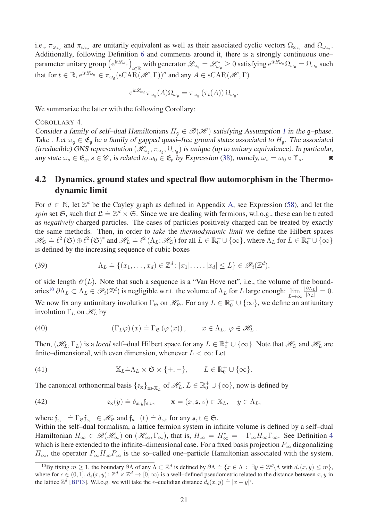i.e.,  $\pi_{\omega_{s_2}}$  and  $\pi_{\omega_{s_2}}$  are unitarily equivalent as well as their associated cyclic vectors  $\Omega_{\omega_{s_1}}$  and  $\Omega_{\omega_{s_2}}$ . Additionally, following Definition [6](#page-8-2) and comments around it, there is a strongly continuous one– parameter unitary group (e<sup>it L</sup>ωg)  $t \in \mathbb{R}$  with generator  $\mathscr{L}_{\omega_{\mathfrak{g}}} = \mathscr{L}_{\omega_{\mathfrak{g}}}^* \ge 0$  satisfying  $e^{it\mathscr{L}_{\omega_{\mathfrak{g}}}} \Omega_{\omega_{\mathfrak{g}}} = \Omega_{\omega_{\mathfrak{g}}}$  such that for  $t \in \mathbb{R}$ ,  $e^{it\mathcal{L}_{\omega_{\mathfrak{g}}}} \in \pi_{\omega_{\mathfrak{g}}}(\mathrm{sCAR}(\mathscr{H}, \Gamma))''$  and any  $A \in \mathrm{sCAR}(\mathscr{H}, \Gamma)$ 

<span id="page-20-2"></span>
$$
e^{it\mathcal{L}_{\omega_{\mathfrak{g}}}}\pi_{\omega_{\mathfrak{g}}}(A)\Omega_{\omega_{\mathfrak{g}}}=\pi_{\omega_{\mathfrak{g}}}(\tau_t(A))\,\Omega_{\omega_{\mathfrak{g}}}.
$$

We summarize the latter with the following Corollary:

#### COROLLARY 4.

Consider a family of self-dual Hamiltonians  $H_{\mathfrak{q}} \in \mathcal{B}(\mathcal{H})$  satisfying Assumption [1](#page-11-3) in the g-phase. Take . Let  $\omega_{\rm g} \in \mathfrak{E}_{\rm g}$  be a family of gapped quasi–free ground states associated to  $H_{\rm g}$ . The associated (irreducible) GNS representation  $(\mathcal{H}_{\omega_{\mathfrak{g}}}, \pi_{\omega_{\mathfrak{g}}}, \Omega_{\omega_{\mathfrak{g}}})$  is unique (up to unitary equivalence). In particular, any state  $\omega_s \in \mathfrak{E}_{\mathfrak{g}}, s \in \mathscr{C}$ , is related to  $\omega_0 \in \mathfrak{E}_{\mathfrak{g}}$  by Expression [\(38\)](#page-19-1), namely,  $\omega_s = \omega_0 \circ \Upsilon_s$ .

### <span id="page-20-0"></span>4.2 Dynamics, ground states and spectral flow automorphism in the Thermodynamic limit

For  $d \in \mathbb{N}$ , let  $\mathbb{Z}^d$  be the Cayley graph as defined in Appendix [A,](#page-30-0) see Expression [\(58\)](#page-31-0), and let the *spin* set S, such that  $\mathcal{L} = \mathbb{Z}^d \times \mathfrak{S}$ . Since we are dealing with fermions, w.l.o.g., these can be treated as *negatively* charged particles. The cases of particles positively charged can be treated by exactly the same methods. Then, in order to *take* the *thermodynamic limit* we define the Hilbert spaces  $\mathscr{H}_{\mathfrak{S}} = \ell^2(\mathfrak{S}) \oplus \ell^2(\mathfrak{S})^*$  and  $\mathscr{H}_L = \ell^2(\Lambda_L; \mathscr{H}_{\mathfrak{S}})$  for all  $L \in \mathbb{R}_0^+ \cup \{\infty\}$ , where  $\Lambda_L$  for  $L \in \mathbb{R}_0^+ \cup \{\infty\}$ is defined by the increasing sequence of cubic boxes

<span id="page-20-5"></span>(39) 
$$
\Lambda_L \doteq \{(x_1,\ldots,x_d) \in \mathbb{Z}^d \colon |x_1|,\ldots,|x_d| \leq L\} \in \mathscr{P}_f(\mathbb{Z}^d),
$$

of side length  $\mathcal{O}(L)$ . Note that such a sequence is a "Van Hove net", i.e., the volume of the bound-aries<sup>[10](#page-20-3)</sup>  $\partial \Lambda_L \subset \Lambda_L \in \mathscr{P}_f(\mathbb{Z}^d)$  is negligible w.r.t. the volume of  $\Lambda_L$  for *L* large enough:  $\lim_{L\to\infty}$  $\frac{|\partial\Lambda_L|}{|\Lambda_L|}=0.$ We now fix any antiunitary involution  $\Gamma_{\mathfrak{S}}$  on  $\mathcal{H}_{\mathfrak{S}}$ . For any  $L \in \mathbb{R}_0^+ \cup \{\infty\}$ , we define an antiunitary involution  $\Gamma_L$  on  $\mathcal{H}_L$  by

<span id="page-20-4"></span>(40) 
$$
(\Gamma_L \varphi)(x) \doteq \Gamma_{\mathfrak{S}}(\varphi(x)), \qquad x \in \Lambda_L, \ \varphi \in \mathscr{H}_L.
$$

Then,  $(\mathscr{H}_L, \Gamma_L)$  is a *local* self-dual Hilbert space for any  $L \in \mathbb{R}_0^+ \cup \{\infty\}$ . Note that  $\mathscr{H}_\mathcal{S}$  and  $\mathscr{H}_L$  are finite–dimensional, with even dimension, whenever  $L < \infty$ : Let

<span id="page-20-1"></span>(41) 
$$
\mathbb{X}_L \dot{=} \Lambda_L \times \mathfrak{S} \times \{+, -\}, \qquad L \in \mathbb{R}_0^+ \cup \{\infty\}.
$$

The canonical orthonormal basis  $\{\mathfrak{e}_x\}_{x \in \mathbb{X}_L}$  of  $\mathcal{H}_L$ ,  $L \in \mathbb{R}_0^+ \cup \{\infty\}$ , now is defined by

(42) 
$$
\mathfrak{e}_{\mathbf{x}}(y) \doteq \delta_{x,y} \mathfrak{f}_{\mathfrak{s},v}, \qquad \mathbf{x} = (x, \mathfrak{s}, v) \in \mathbb{X}_L, \quad y \in \Lambda_L,
$$

where  $f_{\mathfrak{s},+} = \Gamma_{\mathfrak{S}} f_{\mathfrak{s},-} \in \mathcal{H}_{\mathfrak{S}}$  and  $f_{\mathfrak{s},-}(t) = \delta_{\mathfrak{s},t}$  for any  $\mathfrak{s}, t \in \mathfrak{S}$ .

Within the self–dual formalism, a lattice fermion system in infinite volume is defined by a self–dual Hamiltonian  $H_{\infty} \in \mathscr{B}(\mathscr{H}_{\infty})$  on  $(\mathscr{H}_{\infty}, \Gamma_{\infty})$ , that is,  $H_{\infty} = H_{\infty}^{*} = -\Gamma_{\infty} H_{\infty} \Gamma_{\infty}$ . See Definition [4](#page-5-2) which is here extended to the infinite–dimensional case. For a fixed basis projection  $P_{\infty}$  diagonalizing  $H_{\infty}$ , the operator  $P_{\infty}H_{\infty}P_{\infty}$  is the so–called one–particle Hamiltonian associated with the system.

<span id="page-20-3"></span> $\overline{P}$ <sup>10</sup>By fixing  $m \ge 1$ , the boundary  $\partial \Lambda$  of any  $\Lambda \subset \mathbb{Z}^d$  is defined by  $\partial \Lambda = \{x \in \Lambda : \exists y \in \mathbb{Z}^d \setminus \Lambda \text{ with } d_\epsilon(x, y) \le m\},$ where for  $\epsilon \in (0,1], d_{\epsilon}(x,y): \mathbb{Z}^d \times \mathbb{Z}^d \to [0,\infty)$  is a well-defined pseudometric related to the distance between  $x, y$  in the lattice  $\mathbb{Z}^d$  [\[BP13\]](#page-35-14). W.l.o.g. we will take the  $\epsilon$ –euclidian distance  $d_{\epsilon}(x, y) \doteq |x - y|^{\epsilon}$ .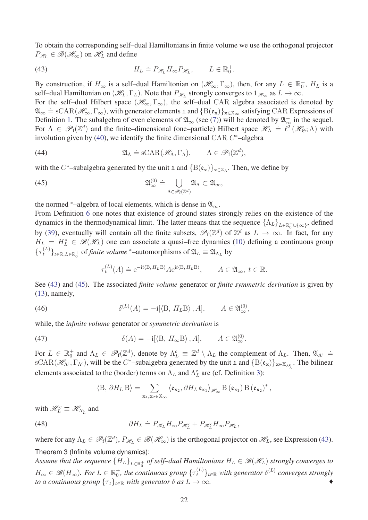To obtain the corresponding self–dual Hamiltonians in finite volume we use the orthogonal projector  $P_{\mathscr{H}_L} \in \mathscr{B}(\mathscr{H}_\infty)$  on  $\mathscr{H}_L$  and define

<span id="page-21-1"></span>(43) 
$$
H_L \doteq P_{\mathscr{H}_L} H_{\infty} P_{\mathscr{H}_L}, \qquad L \in \mathbb{R}_0^+.
$$

By construction, if  $H_{\infty}$  is a self-dual Hamiltonian on  $(\mathcal{H}_{\infty}, \Gamma_{\infty})$ , then, for any  $L \in \mathbb{R}_0^+$ ,  $H_L$  is a self–dual Hamiltonian on  $(\mathcal{H}_L, \Gamma_L)$ . Note that  $P_{\mathcal{H}_L}$  strongly converges to  $1_{\mathcal{H}_\infty}$  as  $L \to \infty$ .

For the self–dual Hilbert space  $(\mathscr{H}_{\infty}, \Gamma_{\infty})$ , the self–dual CAR algebra associated is denoted by  $\mathfrak{A}_{\infty}$  = sCAR( $\mathcal{H}_{\infty}, \Gamma_{\infty}$ ), with generator elements 1 and  $\{B(\mathfrak{e}_{\mathbf{x}})\}_{\mathbf{x}\in\mathbb{X}_{\infty}}$  satisfying CAR Expressions of Definition [1.](#page-3-7) The subalgebra of even elements of  $\mathfrak{A}_{\infty}$  (see [\(7\)](#page-4-3)) will be denoted by  $\mathfrak{A}_{\infty}^+$  in the sequel. For  $\Lambda \in \mathscr{P}_f(\mathbb{Z}^d)$  and the finite–dimensional (one–particle) Hilbert space  $\mathscr{H}_{\Lambda} \doteq \ell^2(\mathscr{H}_{\mathfrak{S}};\Lambda)$  with involution given by [\(40\)](#page-20-4), we identify the finite dimensional CAR *C* <sup>∗</sup>–algebra

<span id="page-21-3"></span>(44) 
$$
\mathfrak{A}_{\Lambda} \doteq \mathrm{sCAR}(\mathscr{H}_{\Lambda}, \Gamma_{\Lambda}), \qquad \Lambda \in \mathscr{P}_{f}(\mathbb{Z}^{d}),
$$

with the  $C^*$ –subalgebra generated by the unit 1 and  ${B(\mathfrak{e}_x)}_{x \in X_\Lambda}$ . Then, we define by

(45) 
$$
\mathfrak{A}_{\infty}^{(0)} \doteq \bigcup_{\Lambda \in \mathscr{P}_{f}(\mathbb{Z}^{d})} \mathfrak{A}_{\Lambda} \subset \mathfrak{A}_{\infty},
$$

the normed  $*$ –algebra of local elements, which is dense in  $\mathfrak{A}_{\infty}$ .

From Definition [6](#page-8-2) one notes that existence of ground states strongly relies on the existence of the dynamics in the thermodynamical limit. The latter means that the sequence  $\{\Lambda_L\}_{L\in\mathbb{R}_0^+\cup\{\infty\}}$ , defined by [\(39\)](#page-20-5), eventually will contain all the finite subsets,  $\mathscr{P}_f(\mathbb{Z}^d)$  of  $\mathbb{Z}^d$  as  $L \to \infty$ . In fact, for any  $H_L = H_L^* \in \mathscr{B}(\mathscr{H}_L)$  one can associate a quasi–free dynamics [\(10\)](#page-5-3) defining a continuous group  ${\{\tau_t^{(L)}\}}_{t \in \mathbb{R}, L \in \mathbb{R}_0^+}$  of *finite volume* \*–automorphisms of  $\mathfrak{A}_L \equiv \mathfrak{A}_{\Lambda_L}$  by

<span id="page-21-2"></span><span id="page-21-0"></span>
$$
\tau_t^{(L)}(A) \doteq \mathrm{e}^{-\mathrm{i} t \langle \mathbf{B}, H_L \mathbf{B} \rangle} A \mathrm{e}^{\mathrm{i} t \langle \mathbf{B}, H_L \mathbf{B} \rangle}, \qquad A \in \mathfrak{A}_{\infty}, \ t \in \mathbb{R}.
$$

See [\(43\)](#page-21-1) and [\(45\)](#page-21-0). The associated *finite volume* generator or *finite symmetric derivation* is given by [\(13\)](#page-6-3), namely,

(46) 
$$
\delta^{(L)}(A) = -i[\langle B, H_L B \rangle, A], \qquad A \in \mathfrak{A}_{\infty}^{(0)},
$$

while, the *infinite volume* generator or *symmetric derivation* is

(47) 
$$
\delta(A) = -i[\langle B, H_{\infty}B \rangle, A], \qquad A \in \mathfrak{A}_{\infty}^{(0)}.
$$

For  $L \in \mathbb{R}_0^+$  and  $\Lambda_L \in \mathscr{P}_f(\mathbb{Z}^d)$ , denote by  $\Lambda_L^c \equiv \mathbb{Z}^d \setminus \Lambda_L$  the complement of  $\Lambda_L$ . Then,  $\mathfrak{A}_{\Lambda_c} \doteq$  $\text{sCAR}(\mathcal{H}_{\Lambda^c}, \Gamma_{\Lambda^c})$ , will be the *C*<sup>\*</sup>-subalgebra generated by the unit 1 and  $\{B(\mathfrak{e}_x)\}_{x \in \mathbb{X}_{\Lambda^c_{L}}}$ . The bilinear elements associated to the (border) terms on  $\Lambda_L$  and  $\Lambda_L^c$  are (cf. Definition [3\)](#page-4-2):

$$
\left\langle \mathbf{B},\,\partial H_L\,\mathbf{B}\right\rangle=\sum_{\mathbf{x}_1,\mathbf{x}_2\in\mathbb{X}_{\infty}}\left\langle \mathfrak{e}_{\mathbf{x}_2},\partial H_L\,\mathfrak{e}_{\mathbf{x}_1}\right\rangle_{\mathscr{H}_{\infty}}\,\mathbf{B}\left(\mathfrak{e}_{\mathbf{x}_1}\right)\mathbf{B}\left(\mathfrak{e}_{\mathbf{x}_2}\right)^*,
$$

with  $\mathscr{H}_L^c \equiv \mathscr{H}_{\Lambda_L^c}$  and

(48) 
$$
\partial H_L \doteq P_{\mathscr{H}_L} H_{\infty} P_{\mathscr{H}_L^c} + P_{\mathscr{H}_L^c} H_{\infty} P_{\mathscr{H}_L},
$$

where for any  $\Lambda_L \in \mathscr{P}_f(\mathbb{Z}^d)$ ,  $P_{\mathscr{H}_L} \in \mathscr{B}(\mathscr{H}_\infty)$  is the orthogonal projector on  $\mathscr{H}_L$ , see Expression [\(43\)](#page-21-1). Theorem 3 (Infinite volume dynamics):

Assume that the sequence  $\{H_L\}_{L\in\mathbb{R}^+_0}$  of self–dual Hamiltonians  $H_L\in\mathscr{B}(\mathscr{H}_L)$  strongly converges to  $H_{\infty} \in \mathscr{B}(H_{\infty})$ . For  $L \in \mathbb{R}_0^+$ , the continuous group  $\{\tau_t^{(L)}\}_{t \in \mathbb{R}}$  with generator  $\delta^{(L)}$  converges strongly *to a continuous group*  $\{\tau_t\}_{t \in \mathbb{R}}$  *with generator*  $\delta$  *as*  $L \to \infty$ *.*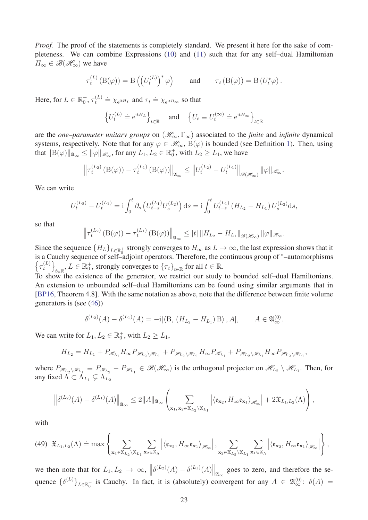*Proof.* The proof of the statements is completely standard. We present it here for the sake of completeness. We can combine Expressions [\(10\)](#page-5-3) and [\(11\)](#page-5-5) such that for any self–dual Hamiltonian  $H_{\infty} \in \mathscr{B}(\mathscr{H}_{\infty})$  we have

$$
\tau_t^{(L)}(\mathcal{B}(\varphi)) = \mathcal{B}\left(\left(U_t^{(L)}\right)^*\varphi\right) \quad \text{and} \quad \tau_t(\mathcal{B}(\varphi)) = \mathcal{B}\left(U_t^*\varphi\right).
$$

Here, for  $L \in \mathbb{R}_0^+$ ,  $\tau_t^{(L)}$  $t_t^{(L)} \doteq \chi_{e^{itH}L}$  and  $\tau_t \doteq \chi_{e^{itH}\infty}$  so that

$$
\left\{U_t^{(L)} \doteq \mathrm{e}^{\mathrm{i} t H_L}\right\}_{t\in\mathbb{R}} \quad \text{ and } \quad \left\{U_t \equiv U_t^{(\infty)} \doteq \mathrm{e}^{\mathrm{i} t H_\infty}\right\}_{t\in\mathbb{R}}
$$

are the *one–parameter unitary groups* on  $(\mathcal{H}_{\infty}, \Gamma_{\infty})$  associated to the *finite* and *infinite* dynamical systems, respectively. Note that for any  $\varphi \in \mathscr{H}_{\infty}$ ,  $B(\varphi)$  is bounded (see Definition [1\)](#page-3-7). Then, using that  $||B(\varphi)||_{\mathfrak{A}_{\infty}} \le ||\varphi||_{\mathscr{H}_{\infty}}$ , for any  $L_1, L_2 \in \mathbb{R}_0^+$ , with  $L_2 \ge L_1$ , we have

$$
\left\|\tau_t^{(L_2)}\left(\mathcal{B}(\varphi)\right)-\tau_t^{(L_1)}\left(\mathcal{B}(\varphi)\right)\right\|_{\mathfrak{A}_{\infty}}\leq \left\|U_t^{(L_2)}-U_t^{(L_1)}\right\|_{\mathscr{B}(\mathscr{H}_{\infty})}\|\varphi\|_{\mathscr{H}_{\infty}}.
$$

We can write

$$
U_t^{(L_2)} - U_t^{(L_1)} = i \int_0^t \partial_s \left( U_{t-s}^{(L_1)} U_s^{(L_2)} \right) ds = i \int_0^t U_{t-s}^{(L_1)} \left( H_{L_2} - H_{L_1} \right) U_s^{(L_2)} ds,
$$

so that

$$
\left\|\tau_t^{(L_2)}\left(\mathcal{B}(\varphi)\right)-\tau_t^{(L_1)}\left(\mathcal{B}(\varphi)\right)\right\|_{\mathfrak{A}_{\infty}}\leq |t| \left\|H_{L_2}-H_{L_1}\right\|_{\mathscr{B}(\mathscr{H}_{\infty})}\|\varphi\|_{\mathscr{H}_{\infty}}.
$$

Since the sequence  ${H_L}_{L\in\mathbb{R}_0^+}$  strongly converges to  $H_{\infty}$  as  $L \to \infty$ , the last expression shows that it is a Cauchy sequence of self–adjoint operators. Therefore, the continuous group of <sup>∗</sup>–automorphisms  $\left\{ \tau_t^{(L)} \right\}$ *t*  $\overline{1}$  $\mathcal{L}_{t \in \mathbb{R}}$ ,  $L \in \mathbb{R}^+$ , strongly converges to  $\{\tau_t\}_{t \in \mathbb{R}}$  for all  $t \in \mathbb{R}$ .

To show the existence of the generator, we restrict our study to bounded self–dual Hamiltonians. An extension to unbounded self–dual Hamiltonians can be found using similar arguments that in [\[BP16,](#page-35-12) Theorem 4.8]. With the same notation as above, note that the difference between finite volume generators is (see [\(46\)](#page-21-2))

$$
\delta^{(L_2)}(A) - \delta^{(L_1)}(A) = -i[\langle B, (H_{L_2} - H_{L_1})B \rangle, A], \qquad A \in \mathfrak{A}_{\infty}^{(0)}.
$$

We can write for  $L_1, L_2 \in \mathbb{R}_0^+$ , with  $L_2 \ge L_1$ ,

$$
H_{L_2} = H_{L_1} + P_{\mathscr{H}_{L_1}} H_{\infty} P_{\mathscr{H}_{L_2} \setminus \mathscr{H}_{L_1}} + P_{\mathscr{H}_{L_2} \setminus \mathscr{H}_{L_1}} H_{\infty} P_{\mathscr{H}_{L_1}} + P_{\mathscr{H}_{L_2} \setminus \mathscr{H}_{L_1}} H_{\infty} P_{\mathscr{H}_{L_2} \setminus \mathscr{H}_{L_1}},
$$

where  $P_{\mathcal{H}_{L_2} \setminus \mathcal{H}_{L_1}} \equiv P_{\mathcal{H}_{L_2}} - P_{\mathcal{H}_{L_1}} \in \mathcal{B}(\mathcal{H}_{\infty})$  is the orthogonal projector on  $\mathcal{H}_{L_2} \setminus \mathcal{H}_{L_1}$ . Then, for any fixed  $\Lambda \subset \Lambda_{L_1} \subsetneq \Lambda_{L_2}$ 

$$
\left\|\delta^{(L_2)}(A)-\delta^{(L_1)}(A)\right\|_{\mathfrak{A}_{\infty}}\leq 2\|A\|_{\mathfrak{A}_{\infty}}\left(\sum_{\mathbf{x}_1,\,\mathbf{x}_2\in\mathbb{X}_{L_2}\backslash\mathbb{X}_{L_1}}\left|\langle\mathfrak{e}_{\mathbf{x}_2},H_\infty\mathfrak{e}_{\mathbf{x}_1}\rangle_{\mathscr{H}_\infty}\right|+2\mathfrak{X}_{L_1,L_2}(\Lambda)\right),
$$

with

<span id="page-22-0"></span>
$$
(49)\ \ \mathfrak{X}_{L_1,L_2}(\Lambda)\doteq\max\left\{\sum_{\mathbf{x}_1\in\mathbb{X}_{L_2}\backslash\mathbb{X}_{L_1}}\sum_{\mathbf{x}_2\in\mathbb{X}_{\Lambda}}\left|\langle\mathfrak{e}_{\mathbf{x}_2},H_{\infty}\mathfrak{e}_{\mathbf{x}_1}\rangle_{\mathscr{H}_{\infty}}\right|,\sum_{\mathbf{x}_2\in\mathbb{X}_{L_2}\backslash\mathbb{X}_{L_1}}\sum_{\mathbf{x}_1\in\mathbb{X}_{\Lambda}}\left|\langle\mathfrak{e}_{\mathbf{x}_2},H_{\infty}\mathfrak{e}_{\mathbf{x}_1}\rangle_{\mathscr{H}_{\infty}}\right|\right\},
$$

we then note that for  $L_1, L_2 \to \infty$ ,  $\left\| \delta^{(L_2)}(A) - \delta^{(L_1)}(A) \right\|_{\mathfrak{A}_{\infty}}$  goes to zero, and therefore the sequence  $\{\delta^{(L)}\}_L \in \mathbb{R}^+_0$  is Cauchy. In fact, it is (absolutely) convergent for any  $A \in \mathfrak{A}_{\infty}^{(0)}$ :  $\delta(A) =$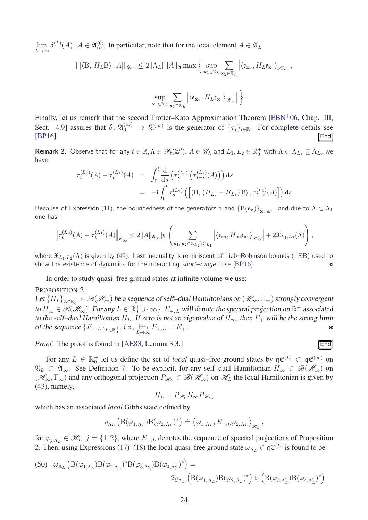$\lim_{L\to\infty} \delta^{(L)}(A)$ ,  $A \in \mathfrak{A}_{\infty}^{(0)}$ . In particular, note that for the local element  $A \in \mathfrak{A}_L$ 

**x**2∈X*<sup>L</sup>*

$$
\|[\langle \mathbf{B}, H_L \mathbf{B} \rangle, A] \|_{\mathfrak{A}_{\infty}} \leq 2 \|\Lambda_L\| \|A\|_{\mathfrak{A}} \max \Big\{ \sup_{\mathbf{x}_1 \in \mathbb{X}_L} \sum_{\mathbf{x}_2 \in \mathbb{X}_L} \Big| \langle \mathfrak{e}_{\mathbf{x}_2}, H_L \mathfrak{e}_{\mathbf{x}_1} \rangle_{\mathscr{H}_{\infty}} \Big|,
$$
  

$$
\sup_{\mathbf{x}_1 \in \mathbb{X}_L} \sum_{\mathbf{x}_2 \in \mathbb{X}_L} \Big| \langle \mathfrak{e}_{\mathbf{x}_2}, H_L \mathfrak{e}_{\mathbf{x}_1} \rangle_{\mathscr{H}_{\infty}} \Big| \Big\}.
$$

Finally, let us remark that the second Trotter–Kato Approximation Theorem [\[EBN](#page-36-16)+06, Chap. III, Sect. 4.9] assures that  $\delta: \mathfrak{A}_{0}^{(\infty)} \to \mathfrak{A}^{(\infty)}$  is the generator of  $\{\tau_t\}_{t \in \mathbb{R}}$ . For complete details see  $[BP16]$ .  $[End]$ 

**x**1∈X*<sup>L</sup>*

**Remark 2.** Observe that for any  $t \in \mathbb{R}, \Lambda \in \mathscr{P}_f(\mathbb{Z}^d)$ ,  $A \in \mathscr{U}_\Lambda$  and  $L_1, L_2 \in \mathbb{R}_0^+$  with  $\Lambda \subset \Lambda_{L_1} \subsetneq \Lambda_{L_2}$  we have:

$$
\tau_t^{(L_2)}(A) - \tau_t^{(L_1)}(A) = \int_0^t \frac{d}{ds} \left( \tau_s^{(L_2)} \left( \tau_{t-s}^{(L_1)}(A) \right) \right) ds
$$
  
= 
$$
-i \int_0^t \tau_s^{(L_2)} \left( \left[ \langle B, (H_{L_2} - H_{L_1}) B \rangle, \tau_{t-s}^{(L_1)}(A) \right] \right) ds
$$

Because of Expression [\(11\)](#page-5-5), the boundedness of the generators  $_1$  and  $(B(\mathfrak{e_x})\}_{\mathbf{x}\in\mathbb{X}_L}$ , and due to  $\Lambda\subset\Lambda_1$ one has:

$$
\left\|\tau_t^{(L_2)}(A)-\tau_t^{(L_1)}(A)\right\|_{\mathfrak{A}_{\infty}}\leq 2\|A\|_{\mathfrak{A}_{\infty}}|t|\left(\sum_{\mathbf{x}_1,\,\mathbf{x}_2\in\mathbb{X}_{L_2}\backslash\mathbb{X}_{L_1}}\left|\langle\mathfrak{e}_{\mathbf{x}_2},H_\infty\mathfrak{e}_{\mathbf{x}_1}\rangle_{\mathscr{H}_\infty}\right|+2\mathfrak{X}_{L_1,L_2}(\Lambda)\right),
$$

where  $\mathfrak{X}_{L_1,L_2}(\Lambda)$  is given by [\(49\)](#page-22-0). Last inequality is reminiscent of Lieb–Robinson bounds (LRB) used to show the existence of dynamics for the interacting *short–range* case  $[BP16]$ .

In order to study quasi–free ground states at infinite volume we use:

#### PROPOSITION 2.

Let  $\{H_L\}_{L\in\R_0^+}\in \mathscr{B}(\mathscr{H}_\infty)$  be a sequence of self–dual Hamiltonians on  $(\mathscr{H}_\infty,\Gamma_\infty)$  strongly convergent to  $H_{\infty} \in \mathcal{B}(\mathcal{H}_{\infty})$ . For any  $L \in \mathbb{R}_0^+ \cup \{\infty\}$ ,  $E_{+,L}$  will denote the spectral projection on  $\mathbb{R}^+$  associated to the self–dual Hamiltonian  $H_L$ . If zero is not an eigenvalue of  $H_{\infty}$ , then  $E_+$  will be the strong limit of the sequence  ${E_{+,L}}_{L \in \mathbb{R}_0^+}$ , *i.e.*,  $\lim_{L \to \infty} E_{+,L} = E_+$ . **■** 

*Proof.* The proof is found in [\[AE83,](#page-34-0) Lemma 3.3.]

For any  $L \in \mathbb{R}_0^+$  let us define the set of *local* quasi–free ground states by  $q\mathfrak{E}^{(L)} \subset q\mathfrak{E}^{(\infty)}$  on  $\mathfrak{A}_L \subset \mathfrak{A}_{\infty}$ . See Definition [7.](#page-9-4) To be explicit, for any self-dual Hamiltonian  $H_{\infty} \in \mathcal{B}(\mathcal{H}_{\infty})$  on  $(\mathscr{H}_{\infty}, \Gamma_{\infty})$  and any orthogonal projection  $P_{\mathscr{H}_L} \in \mathscr{B}(\mathscr{H}_{\infty})$  on  $\mathscr{H}_L$  the local Hamiltonian is given by [\(43\)](#page-21-1), namely,

$$
H_L \doteq P_{\mathcal{H}_L} H_{\infty} P_{\mathcal{H}_L},
$$

which has an associated *local* Gibbs state defined by

$$
\varrho_{\Lambda_L}\left(\mathbf{B}(\varphi_{1,\,\Lambda_L})\mathbf{B}(\varphi_{2,\,\Lambda_L})^*\right)\doteq\left\langle\varphi_{1,\,\Lambda_L},E_{+,L}\varphi_{2,\,\Lambda_L}\right\rangle_{\mathscr{H}_L},
$$

for  $\varphi_{j,\Lambda_L} \in \mathcal{H}_L$ ,  $j = \{1,2\}$ , where  $E_{+,L}$  denotes the sequence of spectral projections of Proposition [2.](#page-23-0) Then, using Expressions [\(17\)](#page-7-0)–[\(18\)](#page-7-5) the local quasi–free ground state  $\omega_{\Lambda_L} \in \mathfrak{q} \mathfrak{E}^{(L)}$  is found to be

<span id="page-23-1"></span>(50) 
$$
\omega_{\Lambda_L} \left( B(\varphi_{1,\Lambda_L}) B(\varphi_{2,\Lambda_L})^* B(\varphi_{3,\Lambda_L^c}) B(\varphi_{4,\Lambda_L^c})^* \right) =
$$

$$
2 \varrho_{\Lambda_L} \left( B(\varphi_{1,\Lambda_L}) B(\varphi_{2,\Lambda_L})^* \right) \operatorname{tr} \left( B(\varphi_{3,\Lambda_L^c}) B(\varphi_{4,\Lambda_L^c})^* \right)
$$

<span id="page-23-0"></span>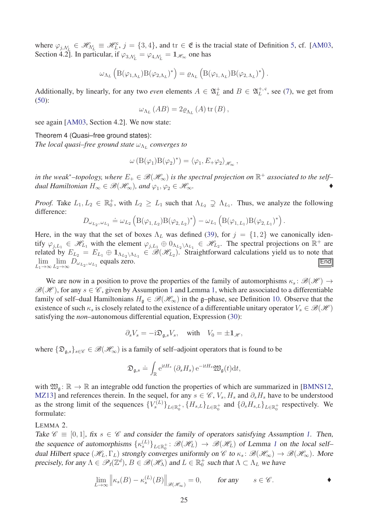where  $\varphi_{j,\Lambda_{L}^{c}} \in \mathscr{H}_{\Lambda_{L}^{c}} \equiv \mathscr{H}_{L}^{c}, j = \{3,4\}$ , and  $\mathrm{tr} \in \mathfrak{E}$  is the tracial state of Definition [5,](#page-7-4) cf. [\[AM03,](#page-34-3) Section 4.2]. In particular, if  $\varphi_{3,\Lambda_L^c} = \varphi_{4,\Lambda_L^c} = \mathbf{1}_{\mathscr{H}_{\infty}}$  one has

$$
\omega_{\Lambda_L} \left( B(\varphi_{1,\Lambda_L}) B(\varphi_{2,\Lambda_L})^* \right) = \varrho_{\Lambda_L} \left( B(\varphi_{1,\Lambda_L}) B(\varphi_{2,\Lambda_L})^* \right).
$$

Additionally, by linearly, for any two *even* elements  $A \in \mathfrak{A}_L^+$  and  $B \in \mathfrak{A}_L^{+, c}$ , see [\(7\)](#page-4-3), we get from [\(50\)](#page-23-1):

<span id="page-24-1"></span>
$$
\omega_{\Lambda_L}(AB) = 2\varrho_{\Lambda_L}(A) \operatorname{tr}(B),
$$

see again [\[AM03,](#page-34-3) Section 4.2]. We now state:

Theorem 4 (Quasi–free ground states):

*The local quasi–free ground state*  $\omega_{\Lambda_L}$  *converges to* 

$$
\omega\left(\mathcal{B}(\varphi_1)\mathcal{B}(\varphi_2)^*\right) = \langle \varphi_1, E_+\varphi_2 \rangle_{\mathscr{H}_\infty},
$$

in the weak<sup>∗</sup>–topology, where  $E_+ \in \mathscr{B}(\mathscr{H}_\infty)$  is the spectral projection on  $\mathbb{R}^+$  associated to the self– *dual Hamiltonian*  $H_{\infty} \in \mathscr{B}(\mathscr{H}_{\infty})$ , and  $\varphi_1, \varphi_2 \in \mathscr{H}_{\infty}$ .

*Proof.* Take  $L_1, L_2 \in \mathbb{R}_0^+$ , with  $L_2 \geq L_1$  such that  $\Lambda_{L_2} \supsetneq \Lambda_{L_1}$ . Thus, we analyze the following difference:

$$
D_{\omega_{L_2}, \omega_{L_1}} \doteq \omega_{L_2} \left( \mathcal{B}(\varphi_{1, L_2}) \mathcal{B}(\varphi_{2, L_2})^* \right) - \omega_{L_1} \left( \mathcal{B}(\varphi_{1, L_1}) \mathcal{B}(\varphi_{2, L_1})^* \right).
$$

Here, in the way that the set of boxes  $\Lambda_L$  was defined [\(39\)](#page-20-5), for  $j = \{1, 2\}$  we canonically identify  $\varphi_{j,L_1} \in \mathcal{H}_{L_1}$  with the element  $\varphi_{j,L_1} \oplus 0_{\Lambda_{L_2} \setminus \Lambda_{L_1}} \in \mathcal{H}_{L_2}$ . The spectral projections on  $\mathbb{R}^+$  are related by  $E_{L_2} = E_{L_1} \oplus \mathbb{1}_{\Lambda_{L_2} \setminus \Lambda_{L_1}} \in \mathcal{B}(\mathcal{H}_{L_2})$ . Straightforward calculations yield us to note that  $\lim_{L_1 \to \infty} \lim_{L_2 \to \infty} D_{\omega_{L_2}, \omega_{L_1}}$  equals zero.  $\boxed{\text{End}}$ 

We are now in a position to prove the properties of the family of automorphisms  $\kappa_s$ :  $\mathscr{B}(\mathscr{H}) \to$  $\mathscr{B}(\mathscr{H})$ , for any  $s \in \mathscr{C}$ , given by Assumption [1](#page-11-3) and Lemma [1,](#page-16-2) which are associated to a differentiable family of self–dual Hamiltonians  $H_{\mathfrak{g}} \in \mathcal{B}(\mathcal{H}_{\infty})$  in the g–phase, see Definition [10.](#page-11-2) Observe that the existence of such  $\kappa_s$  is closely related to the existence of a differentiable unitary operator  $V_s \in \mathcal{B}(\mathcal{H})$ satisfying the *non*–autonomous differential equation, Expression [\(30\)](#page-16-3):

$$
\partial_s V_s = -\mathrm{i} \mathfrak{D}_{\mathfrak{g},s} V_s
$$
, with  $V_0 = \pm \mathbf{1}_{\mathscr{H}}$ ,

where  $\{\mathfrak{D}_{\mathfrak{a},s}\}_{s\in\mathscr{C}}\in\mathscr{B}(\mathscr{H}_{\infty})$  is a family of self–adjoint operators that is found to be

$$
\mathfrak{D}_{\mathfrak{g},s} \doteq \int_{\mathbb{R}} \mathrm{e}^{\mathrm{i} t H_s} \left( \partial_s H_s \right) \mathrm{e}^{-\mathrm{i} t H_s} \mathfrak{W}_{\mathfrak{g}}(t) \mathrm{d} t,
$$

with  $\mathfrak{W}_{\mathfrak{a}}: \mathbb{R} \to \mathbb{R}$  an integrable odd function the properties of which are summarized in [\[BMNS12,](#page-35-3) [MZ13\]](#page-37-9) and references therein. In the sequel, for any  $s \in \mathcal{C}$ ,  $V_s$ ,  $H_s$  and  $\partial_s H_s$  have to be understood as the strong limit of the sequences  $\{V_s^{(L)}\}_{L \in \mathbb{R}_0^+}$ ,  $\{H_{s,L}\}_{L \in \mathbb{R}_0^+}$  and  $\{\partial_s H_{s,L}\}_{L \in \mathbb{R}_0^+}$  respectively. We formulate:

#### <span id="page-24-0"></span>LEMMA 2.

Take  $\mathscr{C} \equiv [0, 1]$ , fix  $s \in \mathscr{C}$  and consider the family of operators satisfying Assumption [1.](#page-11-3) Then, the sequence of automorphisms  $\{\kappa_s^{(L)}\}_{L \in \mathbb{R}_0^+} : \mathcal{B}(\mathcal{H}_L) \to \mathcal{B}(\mathcal{H}_L)$  of Lemma [1](#page-16-2) on the local selfdual Hilbert space  $(\mathscr{H}_L, \Gamma_L)$  strongly converges uniformly on  $\mathscr{C}$  to  $\kappa_s : \mathscr{B}(\mathscr{H}_\infty) \to \mathscr{B}(\mathscr{H}_\infty)$ . More precisely, for any  $\Lambda \in \mathcal{P}_f(\mathbb{Z}^d)$ ,  $B \in \mathcal{B}(\mathcal{H}_\Lambda)$  and  $L \in \mathbb{R}_0^+$  such that  $\Lambda \subset \Lambda_L$  we have

$$
\lim_{L \to \infty} \left\| \kappa_s(B) - \kappa_s^{(L)}(B) \right\|_{\mathscr{B}(\mathscr{H}_\infty)} = 0, \quad \text{for any} \quad s \in \mathscr{C}.
$$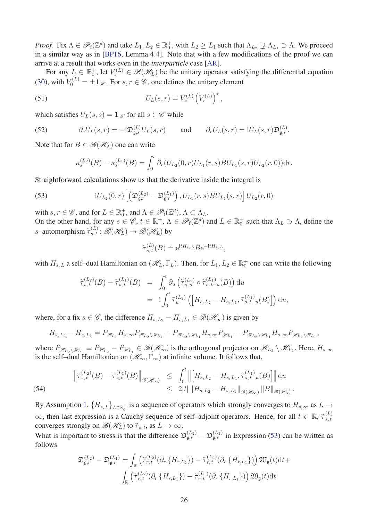*Proof.* Fix  $\Lambda \in \mathscr{P}_f(\mathbb{Z}^d)$  and take  $L_1, L_2 \in \mathbb{R}_0^+$ , with  $L_2 \ge L_1$  such that  $\Lambda_{L_2} \supsetneq \Lambda_{L_1} \supseteq \Lambda$ . We proceed in a similar way as in [\[BP16,](#page-35-12) Lemma 4.4]. Note that with a few modifications of the proof we can arrive at a result that works even in the *interparticle* case [\[AR\]](#page-35-5).

For any  $L \in \mathbb{R}_0^+$ , let  $V_s^{(L)} \in \mathcal{B}(\mathcal{H}_L)$  be the unitary operator satisfying the differential equation [\(30\)](#page-16-3), with  $V_0^{(L)} = \pm 1_{\mathcal{H}}$ . For  $s, r \in \mathcal{C}$ , one defines the unitary element

(51) 
$$
U_L(s,r) \doteq V_s^{(L)} \left(V_r^{(L)}\right)^*,
$$

which satisfies  $U_L(s, s) = \mathbf{1}_{\mathcal{H}}$  for all  $s \in \mathcal{C}$  while

(52) 
$$
\partial_s U_L(s,r) = -i \mathfrak{D}_{\mathfrak{g},s}^{(L)} U_L(s,r) \quad \text{and} \quad \partial_r U_L(s,r) = i U_L(s,r) \mathfrak{D}_{\mathfrak{g},r}^{(L)}.
$$

Note that for  $B \in \mathcal{B}(\mathcal{H}_{\Lambda})$  one can write

<span id="page-25-3"></span><span id="page-25-1"></span><span id="page-25-0"></span>
$$
\kappa_s^{(L_2)}(B) - \kappa_s^{(L_1)}(B) = \int_0^s \partial_r (U_{L_2}(0, r) U_{L_1}(r, s) B U_{L_1}(s, r) U_{L_2}(r, 0)) dr.
$$

Straightforward calculations show us that the derivative inside the integral is

(53) 
$$
iU_{L_2}(0,r) \left[ \left( \mathfrak{D}_{\mathfrak{g},r}^{(L_2)} - \mathfrak{D}_{\mathfrak{g},r}^{(L_1)} \right), U_{L_1}(r,s)BU_{L_1}(s,r) \right] U_{L_2}(r,0)
$$

with  $s, r \in \mathscr{C}$ , and for  $L \in \mathbb{R}_0^+$ , and  $\Lambda \in \mathscr{P}_f(\mathbb{Z}^d)$ ,  $\Lambda \subset \Lambda_L$ . On the other hand, for any  $s \in \mathscr{C}$ ,  $t \in \mathbb{R}^+$ ,  $\Lambda \in \mathscr{P}_f(\mathbb{Z}^d)$  and  $L \in \mathbb{R}_0^+$  such that  $\Lambda_L \supset \Lambda$ , define the *s*–automorphism  $\tilde{\tau}_{s,t}^{(L)} : \mathcal{B}(\mathcal{H}_L) \to \mathcal{B}(\mathcal{H}_L)$  by

$$
\widetilde{\tau}_{s,t}^{(L)}(B) \doteq e^{itH_{s,L}} Be^{-itH_{s,L}},
$$

with  $H_{s,L}$  a self-dual Hamiltonian on  $(\mathcal{H}_L, \Gamma_L)$ . Then, for  $L_1, L_2 \in \mathbb{R}_0^+$  one can write the following

$$
\tilde{\tau}_{s,t}^{(L_2)}(B) - \tilde{\tau}_{s,t}^{(L_1)}(B) = \int_0^t \partial_u \left( \tilde{\tau}_{s,u}^{(L_2)} \circ \tilde{\tau}_{s,t-u}^{(L_1)}(B) \right) du \n= i \int_0^t \tilde{\tau}_{u}^{(L_2)} \left( \left[ H_{s,L_2} - H_{s,L_1}, \tilde{\tau}_{s,t-u}^{(L_1)}(B) \right] \right) du,
$$

where, for a fix  $s \in \mathcal{C}$ , the difference  $H_{s,L_2} - H_{s,L_1} \in \mathcal{B}(\mathcal{H}_{\infty})$  is given by

$$
H_{s,L_2}-H_{s,L_1}=P_{\mathscr H_{L_1}}H_{s,\infty}P_{\mathscr H_{L_2}\backslash \mathscr H_{L_1}}+P_{\mathscr H_{L_2}\backslash \mathscr H_{L_1}}H_{s,\infty}P_{\mathscr H_{L_1}}+P_{\mathscr H_{L_2}\backslash \mathscr H_{L_1}}H_{s,\infty}P_{\mathscr H_{L_2}\backslash \mathscr H_{L_1}},
$$

where  $P_{\mathscr{H}_{L_2} \setminus \mathscr{H}_{L_1}} \equiv P_{\mathscr{H}_{L_2}} - P_{\mathscr{H}_{L_1}} \in \mathscr{B}(\mathscr{H}_{\infty})$  is the orthogonal projector on  $\mathscr{H}_{L_2} \setminus \mathscr{H}_{L_1}$ . Here,  $H_{s,\infty}$ is the self–dual Hamiltonian on  $(\mathscr{H}_\infty,\Gamma_\infty)$  at infinite volume. It follows that,

<span id="page-25-2"></span>(54) 
$$
\|\tilde{\tau}_{s,t}^{(L_2)}(B) - \tilde{\tau}_{s,t}^{(L_1)}(B)\|_{\mathscr{B}(\mathscr{H}_{\infty})} \leq \int_0^t \left\| \left[H_{s,L_2} - H_{s,L_1}, \tilde{\tau}_{s,t-u}^{(L_1)}(B)\right] \right\| du \\ \leq 2|t| \|H_{s,L_2} - H_{s,L_1}\|_{\mathscr{B}(\mathscr{H}_{\infty})} \|B\|_{\mathscr{B}(\mathscr{H}_{\Lambda})}.
$$

By Assumption [1,](#page-11-3)  ${H_{s,L}}_{L \in \mathbb{R}^+_0}$  is a sequence of operators which strongly converges to  $H_{s,\infty}$  as  $L \to$  $\infty$ , then last expression is a Cauchy sequence of self–adjoint operators. Hence, for all  $t \in \mathbb{R}$ ,  $\tilde{\tau}_{s,t}^{(L)}$ *s, t* converges strongly on  $\mathscr{B}(\mathscr{H}_L)$  to  $\tilde{\tau}_{s,t}$ , as  $L \to \infty$ .

What is important to stress is that the difference  $\mathfrak{D}_{\mathfrak{g},r}^{(L_2)} - \mathfrak{D}_{\mathfrak{g},r}^{(L_1)}$  in Expression [\(53\)](#page-25-1) can be written as follows

$$
\mathfrak{D}_{\mathfrak{g},r}^{(L_2)} - \mathfrak{D}_{\mathfrak{g},r}^{(L_1)} = \int_{\mathbb{R}} \left( \tilde{\tau}_{r,t}^{(L_2)} (\partial_r \{H_{r,L_2}\}) - \tilde{\tau}_{r,t}^{(L_2)} (\partial_r \{H_{r,L_1}\}) \right) \mathfrak{W}_{\mathfrak{g}}(t) dt +
$$

$$
\int_{\mathbb{R}} \left( \tilde{\tau}_{r,t}^{(L_2)} (\partial_r \{H_{r,L_1}\}) - \tilde{\tau}_{r,t}^{(L_1)} (\partial_r \{H_{r,L_1}\}) \right) \mathfrak{W}_{\mathfrak{g}}(t) dt.
$$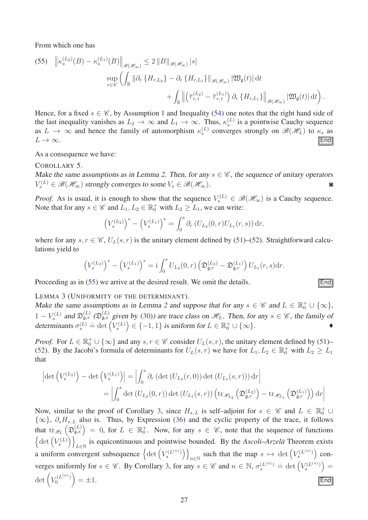From which one has

<span id="page-26-2"></span>(55) 
$$
\left\| \kappa_s^{(L_2)}(B) - \kappa_s^{(L_1)}(B) \right\|_{\mathscr{B}(\mathscr{H}_{\infty})} \leq 2 \left\| B \right\|_{\mathscr{B}(\mathscr{H}_{\infty})} |s|
$$
  
\n
$$
\sup_{r \in \mathscr{C}} \left( \int_{\mathbb{R}} \left\| \partial_r \left\{ H_{r,L_2} \right\} - \partial_r \left\{ H_{r,L_1} \right\} \right\|_{\mathscr{B}(\mathscr{H}_{\infty})} |\mathfrak{W}_{\mathfrak{g}}(t)| \, \mathrm{d}t \right. \\ \left. + \int_{\mathbb{R}} \left\| \left( \tilde{\tau}_{r,t}^{(L_2)} - \tilde{\tau}_{r,t}^{(L_1)} \right) \partial_r \left\{ H_{r,L_1} \right\} \right\|_{\mathscr{B}(\mathscr{H}_{\infty})} |\mathfrak{W}_{\mathfrak{g}}(t)| \, \mathrm{d}t \right).
$$

Hence, for a fixed  $s \in \mathscr{C}$ , by Assumption [1](#page-11-3) and Inequality [\(54\)](#page-25-2) one notes that the right hand side of the last inequality vanishes as  $L_2 \to \infty$  and  $L_1 \to \infty$ . Thus,  $\kappa_s^{(L)}$  is a pointwise Cauchy sequence as  $L \to \infty$  and hence the family of automorphism  $\kappa_s^{(L)}$  converges strongly on  $\mathcal{B}(\mathcal{H}_L)$  to  $\kappa_s$  as  $L \to \infty$ . **Find** 

As a consequence we have:

COROLLARY 5.

Make the same assumptions as in Lemma [2](#page-24-0). Then, for any  $s \in \mathcal{C}$ , the sequence of unitary operators  $V_s^{(L)} \in \mathscr{B}(\mathscr{H}_{\infty})$  strongly converges to some  $V_s \in \mathscr{B}(\mathscr{H}_{\infty})$ .

*Proof.* As is usual, it is enough to show that the sequence  $V_s^{(L)} \in \mathcal{B}(\mathcal{H}_{\infty})$  is a Cauchy sequence. Note that for any  $s \in \mathscr{C}$  and  $L_1, L_2 \in \mathbb{R}_0^+$  with  $L_2 \ge L_1$ , we can write:

<span id="page-26-1"></span>
$$
\left(V_s^{(L_2)}\right)^* - \left(V_s^{(L_1)}\right)^* = \int_0^s \partial_r \left(U_{L_2}(0, r) U_{L_1}(r, s)\right) dr,
$$

where for any  $s, r \in \mathcal{C}$ ,  $U_L(s, r)$  is the unitary element defined by [\(51\)](#page-25-3)–[\(52\)](#page-25-0). Straightforward calculations yield to

$$
\left(V_s^{(L_2)}\right)^* - \left(V_s^{(L_1)}\right)^* = \mathbf{i} \int_0^s U_{L_2}(0, r) \left(\mathfrak{D}_{\mathfrak{g},r}^{(L_2)} - \mathfrak{D}_{\mathfrak{g},r}^{(L_1)}\right) U_{L_1}(r, s) dr.
$$

Proceeding as in  $(55)$  we arrive at the desired result. We omit the details.  $\boxed{\text{End}}$ 

<span id="page-26-0"></span>LEMMA 3 (UNIFORMITY OF THE DETERMINANT).

Make the same assumptions as in Lemma [2](#page-24-0) and suppose that for any  $s \in \mathscr{C}$  and  $L \in \mathbb{R}_0^+ \cup \{\infty\}$ ,  $1 - V_s^{(L)}$  and  $\mathfrak{D}_{\mathfrak{g},s}^{(L)}$  ( $\mathfrak{D}_{\mathfrak{g},s}^{(L)}$  given by [\(30\)](#page-16-3)) are trace class on  $\mathcal{H}_L$ . Then, for any  $s \in \mathcal{C}$ , the family of determinants  $\sigma_s^{(L)} \doteq \det \left( V_s^{(L)} \right)$  $\Theta$  = {-1, 1} is uniform for  $L \in \mathbb{R}^+_0 \cup \{\infty\}.$ 

*Proof.* For  $L \in \mathbb{R}_0^+ \cup \{\infty\}$  and any  $s, r \in \mathcal{C}$  consider  $U_L(s, r)$ , the unitary element defined by [\(51\)](#page-25-3)– [\(52\)](#page-25-0). By the Jacobi's formula of determinants for  $U_L(s, r)$  we have for  $L_1, L_2 \in \mathbb{R}_0^+$  with  $L_2 \ge L_1$ that

$$
\left| \det \left( V_s^{(L_2)} \right) - \det \left( V_s^{(L_1)} \right) \right| = \left| \int_0^s \partial_r \left( \det \left( U_{L_2}(r, 0) \right) \det \left( U_{L_1}(s, r) \right) \right) dr \right|
$$
  
= 
$$
\left| \int_0^s \det \left( U_{L_2}(0, r) \right) \det \left( U_{L_1}(s, r) \right) \left( \operatorname{tr}_{\mathscr{H}_{L_2}} \left( \mathfrak{D}_{\mathfrak{g}, r}^{(L_2)} \right) - \operatorname{tr}_{\mathscr{H}_{L_1}} \left( \mathfrak{D}_{\mathfrak{g}, r}^{(L_1)} \right) \right) dr \right|
$$

Now, similar to the proof of Corollary [3,](#page-18-0) since  $H_{s,L}$  is self–adjoint for  $s \in \mathscr{C}$  and  $L \in \mathbb{R}_0^+ \cup$ {∞}, *∂sHs, L* also is. Thus, by Expression [\(36\)](#page-17-2) and the cyclic property of the trace, it follows that  $\text{tr}_{\mathscr{H}_L}(\mathfrak{D}_{\mathfrak{g},s}^{(L)}) = 0$ , for  $L \in \mathbb{R}_0^+$ . Now, for any  $s \in \mathscr{C}$ , note that the sequence of functions  $\left\{\det\left(V_s^{(L)}\right) \right\}$  $\setminus$ *L*∈N is equicontinuous and pointwise bounded. By the *Ascoli–Arzela`* Theorem exists a uniform convergent subsequence  $\left\{\det \left(V_s^{(L^{(n)})}\right)\right\}$  $\setminus$ such that the map  $s \mapsto \det \left( V_s^{(L^{(n)})} \right)$  $\vert$  converges uniformly for  $s \in \mathscr{C}$ . By Corollary [3,](#page-18-0) for any  $s \in \mathscr{C}$  and  $n \in \mathbb{N}$ ,  $\sigma_s^{(L^{(n)})} \doteq \det \left( V_s^{(L^{(n)})} \right)$  $=$ det  $\left(V_0^{(L^{(n)})}\right)$ 0  $\setminus$  $= \pm 1.$  **Find**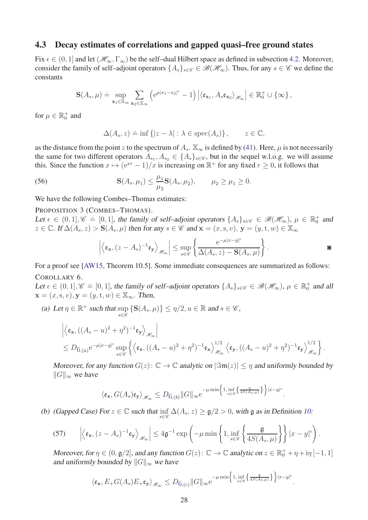#### <span id="page-27-0"></span>4.3 Decay estimates of correlations and gapped quasi–free ground states

Fix  $\epsilon \in (0, 1]$  and let  $(\mathcal{H}_{\infty}, \Gamma_{\infty})$  be the self-dual Hilbert space as defined in subsection [4.2.](#page-20-0) Moreover, consider the family of self–adjoint operators  $\{A_s\}_{s\in\mathscr{C}}\in\mathscr{B}(\mathscr{H}_\infty)$ . Thus, for any  $s\in\mathscr{C}$  we define the constants

$$
\mathbf{S}(A_s,\mu) \doteq \sup_{\mathbf{x}_1 \in \mathbb{X}_{\infty}} \sum_{\mathbf{x}_2 \in \mathbb{X}_{\infty}} \left( e^{\mu |x_1 - x_2|^{\epsilon}} - 1 \right) \left| \langle \mathfrak{e}_{\mathbf{x}_1}, A_s \mathfrak{e}_{\mathbf{x}_2} \rangle_{\mathscr{H}_{\infty}} \right| \in \mathbb{R}_0^+ \cup \{ \infty \},
$$

for  $\mu \in \mathbb{R}_0^+$  and

<span id="page-27-3"></span>
$$
\Delta(A_s, z) \doteq \inf \{|z - \lambda| : \lambda \in \text{spec}(A_s)\}, \qquad z \in \mathbb{C},
$$

as the distance from the point *z* to the spectrum of  $A_s$ .  $\mathbb{X}_{\infty}$  is defined by [\(41\)](#page-20-1). Here,  $\mu$  is not necessarily the same for two different operators  $A_{s_1}, A_{s_2} \in \{A_s\}_{s \in \mathscr{C}}$ , but in the sequel w.l.o.g. we will assume this. Since the function  $x \mapsto (e^{xr} - 1)/x$  is increasing on  $\mathbb{R}^+$  for any fixed  $r \ge 0$ , it follows that

(56) 
$$
\mathbf{S}(A_s, \mu_1) \leq \frac{\mu_1}{\mu_2} \mathbf{S}(A_s, \mu_2), \qquad \mu_2 \geq \mu_1 \geq 0.
$$

We have the following Combes–Thomas estimates:

#### PROPOSITION 3 (COMBES-THOMAS).

Let  $\epsilon \in (0,1], \mathscr{C} = [0,1]$ , the family of self-adjoint operators  $\{A_s\}_{s \in \mathscr{C}} \in \mathscr{B}(\mathscr{H}_{\infty})$ ,  $\mu \in \mathbb{R}_0^+$  and  $z \in \mathbb{C}$ . If  $\Delta(A_s, z) > \mathbf{S}(A_s, \mu)$  then for any  $s \in \mathscr{C}$  and  $\mathbf{x} = (x, s, v), \mathbf{y} = (y, t, w) \in \mathbb{X}_{\infty}$ 

<span id="page-27-1"></span>
$$
\left| \left\langle \mathfrak{e}_{\mathbf{x}}, (z - A_s)^{-1} \mathfrak{e}_{\mathbf{y}} \right\rangle_{\mathscr{H}_{\infty}} \right| \leq \sup_{s \in \mathscr{C}} \left\{ \frac{e^{-\mu |x - y|^{\epsilon}}}{\Delta(A_s, z) - \mathbf{S}(A_s, \mu)} \right\}.
$$

For a proof see [\[AW15,](#page-35-15) Theorem 10.5]. Some immediate consequences are summarized as follows: COROLLARY 6.

Let  $\epsilon \in (0,1], \mathscr{C} = [0,1]$ , the family of self-adjoint operators  $\{A_s\}_{s \in \mathscr{C}} \in \mathscr{B}(\mathscr{H}_{\infty}), \mu \in \mathbb{R}^+_0$  and all  $\mathbf{x} = (x, s, v), \mathbf{y} = (y, t, w) \in \mathbb{X}_{\infty}$ . Then,

(a) Let  $\eta \in \mathbb{R}^+$  such that sup  $\sup_{s \in \mathscr{C}} {\{\mathbf{S}(A_s, \mu)\}} \le \eta/2, u \in \mathbb{R} \text{ and } s \in \mathscr{C},$ 

$$
\begin{aligned}\n&\left| \left\langle \mathbf{\varepsilon}_{\mathbf{x}}, \left( (A_s - u)^2 + \eta^2 \right)^{-1} \mathbf{\varepsilon}_{\mathbf{y}} \right\rangle_{\mathscr{H}_{\infty}} \right| \\
&\leq D_{6,(a)} e^{-\mu |x-y|^{\epsilon}} \sup_{s \in \mathscr{C}} \left\{ \left\langle \mathbf{\varepsilon}_{\mathbf{x}}, \left( (A_s - u)^2 + \eta^2 \right)^{-1} \mathbf{\varepsilon}_{\mathbf{x}} \right\rangle_{\mathscr{H}_{\infty}}^{1/2} \left\langle \mathbf{\varepsilon}_{\mathbf{y}}, \left( (A_s - u)^2 + \eta^2 \right)^{-1} \mathbf{\varepsilon}_{\mathbf{y}} \right\rangle_{\mathscr{H}_{\infty}}^{1/2} \right\}.\n\end{aligned}
$$

Moreover, for any function  $G(z)$ :  $\mathbb{C} \to \mathbb{C}$  analytic on  $|\Im \mathfrak{m}(z)| \leq \eta$  and uniformly bounded by  $||G||_{∞}$  we have

$$
\langle \mathfrak{e}_{\mathbf{x}}, G(A_s) \mathfrak{e}_{\mathbf{y}} \rangle_{\mathscr{H}_\infty} \leq D_{6,(b)} \|G\|_\infty \mathrm{e}^{-\mu \min \Bigl\{1, \inf_{s \in \mathscr{C}} \bigl\{ \frac{\eta}{4S(A_s,\mu)} \bigr\} \Bigr\}|x-y|^{\epsilon}}
$$

<span id="page-27-2"></span>*.*

(b) (Gapped Case) For  $z \in \mathbb{C}$  such that  $\inf_{s \in \mathscr{C}} \Delta(A_s, z) \geq \mathfrak{g}/2 > 0$ , with  $\mathfrak g$  as in Definition [10](#page-11-2):

<span id="page-27-4"></span>(57) 
$$
\left| \left\langle \mathfrak{e}_{\mathbf{x}}, (z - A_s)^{-1} \mathfrak{e}_{\mathbf{y}} \right\rangle_{\mathscr{H}_{\infty}} \right| \leq 4 \mathfrak{g}^{-1} \exp \left( -\mu \min \left\{ 1, \inf_{s \in \mathscr{C}} \left\{ \frac{\mathfrak{g}}{4S(A_s, \mu)} \right\} \right\} |x - y|^{\epsilon} \right).
$$

Moreover, for  $\eta \in (0, \mathfrak{g}/2]$ , and any function  $G(z)$ :  $\mathbb{C} \to \mathbb{C}$  analytic on  $z \in \mathbb{R}_0^+ + \eta + i\eta [-1, 1]$ and uniformly bounded by  $||G||_{\infty}$  we have

$$
\langle \mathfrak{e}_{\mathbf{x}}, E_+ G(A_s) E_+ \mathfrak{e}_{\mathbf{y}} \rangle_{\mathscr{H}_\infty} \leq D_{6,(c)} \| G \|_\infty \mathrm{e}^{- \mu \min \left\{ 1, \inf_{s \in \mathscr{C}} \left\{ \frac{\mathfrak{g}}{4 S(A_s, \mu)} \right\} \right\} |x - y|^{\epsilon}}.
$$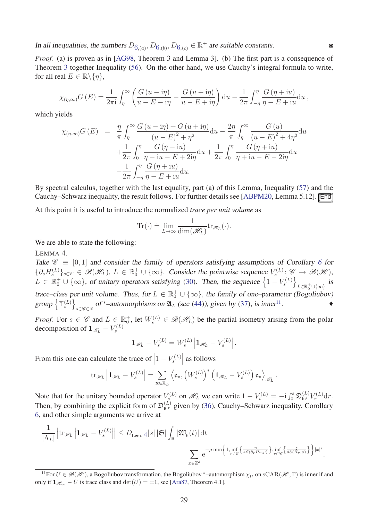In all inequalities, the numbers  $D_{6,(a)}, D_{6,(b)}, D_{6,(c)} \in \mathbb{R}^+$  $D_{6,(a)}, D_{6,(b)}, D_{6,(c)} \in \mathbb{R}^+$  $D_{6,(a)}, D_{6,(b)}, D_{6,(c)} \in \mathbb{R}^+$  are suitable constants.

*Proof.* (a) is proven as in [\[AG98,](#page-34-4) Theorem 3 and Lemma 3]. (b) The first part is a consequence of Theorem [3](#page-27-1) together Inequality [\(56\)](#page-27-3). On the other hand, we use Cauchy's integral formula to write, for all real  $E \in \mathbb{R} \backslash \{\eta\},\$ 

$$
\chi_{(\eta,\infty)}G(E) = \frac{1}{2\pi i} \int_{\eta}^{\infty} \left( \frac{G(u - i\eta)}{u - E - i\eta} - \frac{G(u + i\eta)}{u - E + i\eta} \right) du - \frac{1}{2\pi} \int_{-\eta}^{\eta} \frac{G(\eta + iu)}{\eta - E + iu} du,
$$

which yields

$$
\chi_{(\eta,\infty)}G(E) = \frac{\eta}{\pi} \int_{\eta}^{\infty} \frac{G(u - i\eta) + G(u + i\eta)}{(u - E)^2 + \eta^2} du - \frac{2\eta}{\pi} \int_{\eta}^{\infty} \frac{G(u)}{(u - E)^2 + 4\eta^2} du \n+ \frac{1}{2\pi} \int_{0}^{\eta} \frac{G(\eta - iu)}{\eta - iu - E + 2i\eta} du + \frac{1}{2\pi} \int_{0}^{\eta} \frac{G(\eta + iu)}{\eta + iu - E - 2i\eta} du \n- \frac{1}{2\pi} \int_{-\eta}^{\eta} \frac{G(\eta + iu)}{\eta - E + iu} du.
$$

By spectral calculus, together with the last equality, part (a) of this Lemma, Inequality [\(57\)](#page-27-4) and the Cauchy–Schwarz inequality, the result follows. For further details see [\[ABPM20,](#page-34-1) Lemma 5.12]. End

At this point it is useful to introduce the normalized *trace per unit volume* as

<span id="page-28-0"></span>
$$
\mathrm{Tr}(\cdot) \doteq \lim_{L \to \infty} \frac{1}{\dim(\mathcal{H}_L)} \mathrm{tr}_{\mathcal{H}_L}(\cdot).
$$

We are able to state the following:

LEMMA 4.

Take  $\mathscr{C} \equiv [0, 1]$  and consider the family of operators satisfying assumptions of Corollary [6](#page-27-2) for  ${\{\partial_s H_s^{(L)}\}}_{s \in \mathscr{C}} \in \mathscr{B}(\mathscr{H}_L), L \in \mathbb{R}_0^+ \cup \{\infty\}.$  Consider the pointwise sequence  $V_s^{(L)} \colon \mathscr{C} \to \mathscr{B}(\mathscr{H})$ , *s*  $L \in \mathbb{R}_0^+ \cup \{\infty\}$ , of unitary operators satisfying [\(30\)](#page-16-3). Then, the sequence  $\left\{1 - V_s^{(L)}\right\}$  $\overline{\mathfrak{l}}$  $L \in \mathbb{R}^+_0 \cup \{\infty\}$ is trace–class per unit volume. Thus, for  $L \in \mathbb{R}_0^+ \cup \{\infty\}$ , the family of one–parameter (Bogoliubov)  $group\left\{\Upsilon_s^{(L)}\right\}$  $\mathcal{L}$ *s*∈C ∈R of \*-automorphisms on  $\mathfrak{A}_L$  (see [\(44\)](#page-21-3)), given by [\(37\)](#page-18-2), is inner<sup>[11](#page-28-1)</sup>  $\overline{\phantom{a}}$ 

*Proof.* For  $s \in \mathscr{C}$  and  $L \in \mathbb{R}_0^+$ , let  $W_s^{(L)} \in \mathscr{B}(\mathscr{H}_L)$  be the partial isometry arising from the polar decomposition of  $1_{\mathscr{H}_L} - V_s^{(L)}$ 

$$
\mathbf{1}_{\mathscr{H}_L} - V_s^{(L)} = W_s^{(L)} \left| \mathbf{1}_{\mathscr{H}_L} - V_s^{(L)} \right|.
$$

From this one can calculate the trace of  $\left|1 - V_s^{(L)}\right|$    as follows

$$
\mathrm{tr}_{\mathscr{H}_L}\left|\mathbf{1}_{\mathscr{H}_L} - V_s^{(L)}\right| = \sum_{\mathbf{x}\in \mathbb{X}_L} \left\langle \mathfrak{e}_{\mathbf{x}}, \left(W_s^{(L)}\right)^* \left(\mathbf{1}_{\mathscr{H}_L} - V_s^{(L)}\right) \mathfrak{e}_{\mathbf{x}} \right\rangle_{\mathscr{H}_L}.
$$

Note that for the unitary bounded operator  $V_s^{(L)}$  on  $\mathcal{H}_L$  we can write  $1 - V_s^{(L)} = -i \int_0^s \mathfrak{D}_{\mathfrak{g},r}^{(L)} V_r^{(L)} dr$ . Then, by combining the explicit form of  $\mathfrak{D}_{\mathfrak{g},r}^{(L)}$  given by [\(36\)](#page-17-2), Cauchy–Schwarz inequality, Corollary [6,](#page-27-2) and other simple arguments we arrive at

$$
\frac{1}{|\Lambda_L|} \left| \operatorname{tr}_{\mathscr{H}_L} \left| \mathbf{1}_{\mathscr{H}_L} - V_s^{(L)} \right| \right| \leq D_{\operatorname{Lem.}} 4 |s| \left| \mathfrak{S} \right| \int_{\mathbb{R}} |\mathfrak{W}_{\mathfrak{g}}(t)| \, \mathrm{d}t
$$
\n
$$
\sum_{x \in \mathbb{Z}^d} e^{-\mu \min \left\{ 1, \inf_{r \in \mathscr{C}} \left\{ \frac{1}{4S(\partial_r H_{r,\mu})} \right\}, \inf_{r \in \mathscr{C}} \left\{ \frac{1}{4S(H_{r,\mu})} \right\} \right\} |x|^{\epsilon}.
$$

<span id="page-28-1"></span><sup>&</sup>lt;sup>11</sup>For  $U \in \mathcal{B}(\mathcal{H})$ , a Bogoliubov transformation, the Bogoliubov \*–automorphism  $\chi_{U}$  on sCAR( $\mathcal{H}$ ,  $\Gamma$ ) is inner if and only if  $\mathbf{1}_{\mathscr{H}_{\infty}}$  − *U* is trace class and  $\det(U) = \pm 1$ , see [\[Ara87,](#page-35-9) Theorem 4.1].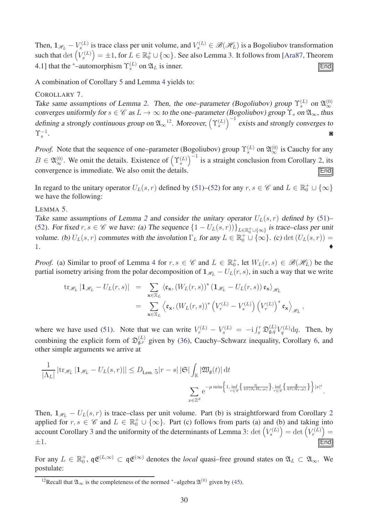Then,  $1_{\mathcal{H}_L} - V_s^{(L)}$  is trace class per unit volume, and  $V_s^{(L)} \in \mathcal{B}(\mathcal{H}_L)$  is a Bogoliubov transformation such that  $\det \left( V_s^{(L)} \right)$  $= \pm 1$ , for  $L \in \mathbb{R}^+_0 \cup \{\infty\}$ . See also Lemma [3.](#page-26-0) It follows from [\[Ara87,](#page-35-9) Theorem 4.1] that the <sup>\*</sup>-automorphism  $\Upsilon_s^{(L)}$  on  $\mathfrak{A}_L$  is inner. **End** 

<span id="page-29-3"></span>A combination of Corollary [5](#page-26-1) and Lemma [4](#page-28-0) yields to:

#### COROLLARY 7.

Take same assumptions of Lemma [2.](#page-24-0) Then, the one–parameter (Bogoliubov) group  $\Upsilon_s^{(L)}$  on  $\mathfrak{A}_{\infty}^{(0)}$ converges uniformly for  $s \in \mathscr{C}$  as  $L \to \infty$  to the one–parameter (Bogoliubov) group  $\Upsilon_s$  on  $\mathfrak{A}_{\infty}$ , thus defining a strongly continuous group on  $\mathfrak{A}_{\infty}^{\{1\}}$ . Moreover,  $\left(\Upsilon_s^{(L)}\right)$  $\int_{0}^{-1}$  exists and strongly converges to  $\Upsilon_{s}^{-1}$ . The contract of the contract of the contract of the contract of the contract of the contract of the contract of the contract of the contract of the contract of the contract of the contract of the contract of the contrac

*Proof.* Note that the sequence of one–parameter (Bogoliubov) group  $\Upsilon_s^{(L)}$  on  $\mathfrak{A}_{\infty}^{(0)}$  is Cauchy for any  $B \in \mathfrak{A}_{\infty}^{(0)}$ . We omit the details. Existence of  $(\Upsilon_s^{(L)})$  $\int^{-1}$  is a straight conclusion from Corollary [2,](#page-24-0) its convergence is immediate. We also omit the details.

<span id="page-29-0"></span>In regard to the unitary operator  $U_L(s, r)$  defined by [\(51\)](#page-25-3)–[\(52\)](#page-25-0) for any  $r, s \in \mathscr{C}$  and  $L \in \mathbb{R}_0^+ \cup \{\infty\}$ we have the following:

#### LEMMA 5.

Take same assumptions of Lemma [2](#page-24-0) and consider the unitary operator  $U_L(s, r)$  defined by [\(51\)](#page-25-3)– [\(52\)](#page-25-0). For fixed  $r, s \in \mathscr{C}$  we have: (a) The sequence  $\{1 - U_L(s, r)\}_{L \in \mathbb{R}_0^+ \cup \{\infty\}}$  is trace–class per unit volume. (b)  $U_L(s,r)$  commutes with the involution  $\Gamma_L$  for any  $L \in \mathbb{R}_0^+ \cup \{\infty\}$ . (c) det  $(U_L(s,r)) =$ 1.  $\bullet$ 

*Proof.* (a) Similar to proof of Lemma [4](#page-28-0) for  $r, s \in \mathscr{C}$  and  $L \in \mathbb{R}_0^+$ , let  $W_L(r, s) \in \mathscr{B}(\mathscr{H}_L)$  be the partial isometry arising from the polar decomposition of  $\mathbf{1}_{\mathcal{H}_L} - U_L(r, s)$ , in such a way that we write

$$
\begin{array}{rcl}\n\operatorname{tr}_{\mathscr{H}_{L}}\left|1_{\mathscr{H}_{L}}-U_{L}(r,s)\right| & = & \sum_{\mathbf{x}\in\mathbb{X}_{L}}\left\langle\mathfrak{e}_{\mathbf{x}},\left(W_{L}(r,s)\right)^{*}\left(1_{\mathscr{H}_{L}}-U_{L}(r,s)\right)\mathfrak{e}_{\mathbf{x}}\right\rangle_{\mathscr{H}_{L}} \\
& = & \sum_{\mathbf{x}\in\mathbb{X}_{L}}\left\langle\mathfrak{e}_{\mathbf{x}},\left(W_{L}(r,s)\right)^{*}\left(V_{r}^{(L)}-V_{s}^{(L)}\right)\left(V_{r}^{(L)}\right)^{*}\mathfrak{e}_{\mathbf{x}}\right\rangle_{\mathscr{H}_{L}},\n\end{array}
$$

where we have used [\(51\)](#page-25-3). Note that we can write  $V_r^{(L)} - V_s^{(L)} = -i \int_s^r \mathfrak{D}_{\mathfrak{g},q}^{(L)} V_q^{(L)} dq$ . Then, by combining the explicit form of  $\mathfrak{D}_{\mathfrak{g},r}^{(L)}$  given by [\(36\)](#page-17-2), Cauchy–Schwarz inequality, Corollary [6,](#page-27-2) and other simple arguments we arrive at

$$
\frac{1}{|\Lambda_L|} |\text{tr}_{\mathscr{H}_L} \left| 1_{\mathscr{H}_L} - U_L(s, r) \right| | \leq D_{\text{Lem. } 5} |r - s| \, |\mathfrak{S}| \int_{\mathbb{R}} |\mathfrak{W}_{\mathfrak{g}}(t)| \, \mathrm{d}t
$$
\n
$$
\sum_{x \in \mathbb{Z}^d} e^{-\mu \min \left\{ 1, \inf_{r \in \mathscr{C}} \left\{ 1, \inf_{x \in \mathscr{C}} \left\{ 1, \inf_{x \in \mathscr{C}} \left\{ 1, \inf_{x \in \mathscr{C}} \left\{ 1, \inf_{x \in \mathscr{C}} \left\{ 1, \inf_{x \in \mathscr{C}} \left\{ 1, \inf_{x \in \mathscr{C}} \left\{ 1, \inf_{x \in \mathscr{C}} \left\{ 1, \inf_{x \in \mathscr{C}} \left\{ 1, \inf_{x \in \mathscr{C}} \left\{ 1, \inf_{x \in \mathscr{C}} \left\{ 1, \inf_{x \in \mathscr{C}} \left\{ 1, \inf_{x \in \mathscr{C}} \left\{ 1, \inf_{x \in \mathscr{C}} \left\{ 1, \inf_{x \in \mathscr{C}} \left\{ 1, \inf_{x \in \mathscr{C}} \left\{ 1, \inf_{x \in \mathscr{C}} \left\{ 1, \inf_{x \in \mathscr{C}} \left\{ 1, \inf_{x \in \mathscr{C}} \left\{ 1, \inf_{x \in \mathscr{C}} \left\{ 1, \inf_{x \in \mathscr{C}} \left\{ 1, \inf_{x \in \mathscr{C}} \left\{ 1, \inf_{x \in \mathscr{C}} \left\{ 1, \inf_{x \in \mathscr{C}} \left\{ 1, \inf_{x \in \mathscr{C}} \left\{ 1, \inf_{x \in \mathscr{C}} \left\{ 1, \inf_{x \in \mathscr{C}} \left\{ 1, \inf_{x \in \mathscr{C}} \left\{ 1, \inf_{x \in \mathscr{C}} \left\{ 1, \inf_{x \in \mathscr{C}} \left\{ 1, \inf_{x \in \mathscr{C}} \left\{ 1, \inf_{x \in \mathscr{C}} \left\{ 1, \inf_{x
$$

Then,  $\mathbf{1}_{\mathcal{H}_L} - U_L(s,r)$  is trace–class per unit volume. Part (b) is straightforward from Corollary [2](#page-18-1) applied for  $r, s \in \mathscr{C}$  and  $L \in \mathbb{R}_0^+ \cup \{\infty\}$ . Part (c) follows from parts (a) and (b) and taking into account Corollary [3](#page-18-0) and the uniformity of the determinants of Lemma [3:](#page-26-0) det  $(V_s^{(L)}$  $=$  det  $\left(V_r^{(L)}\right)$  $) =$  $\pm 1$ . The set of the set of the set of the set of the set of  $\sqrt{\text{End}}$ 

For any  $L \in \mathbb{R}_0^+$ ,  $\mathfrak{q} \mathfrak{E}^{(L,\infty)} \subset \mathfrak{q} \mathfrak{E}^{(\infty)}$  denotes the *local* quasi–free ground states on  $\mathfrak{A}_L \subset \mathfrak{A}_\infty$ . We postulate:

<span id="page-29-2"></span><span id="page-29-1"></span><sup>&</sup>lt;sup>12</sup>Recall that  $\mathfrak{A}_{\infty}$  is the completeness of the normed \*–algebra  $\mathfrak{A}^{(0)}$  given by [\(45\)](#page-21-0).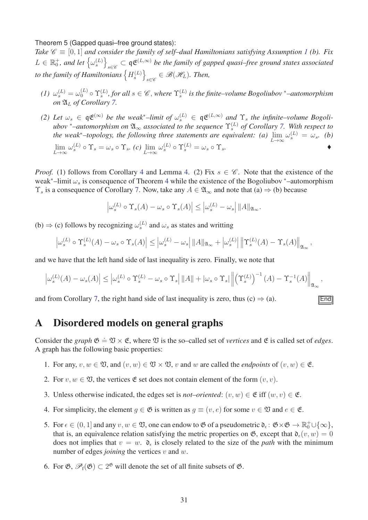#### Theorem 5 (Gapped quasi–free ground states):

*Take*  $\mathscr{C} \equiv [0, 1]$  $\mathscr{C} \equiv [0, 1]$  $\mathscr{C} \equiv [0, 1]$  *and consider the family of self–dual Hamiltonians satisfying Assumption 1 (b). Fix*  $L \in \mathbb{R}_0^+$ *, and let*  $\left\{\omega_s^{(L)}\right\}$  $\overline{\mathfrak{c}}$ *s*∈ $\epsilon$  ⊂ q**c**<sup>(*L*,∞)</sup> *be the family of gapped quasi–free ground states associated* to the family of Hamiltonians  $\left\{H_s^{(L)}\right\}$  $\overline{1}$  $s ∈ E$  ∈  $\mathscr{B}(\mathscr{H}_L)$ *. Then,* 

- $(1)$   $\omega_s^{(L)} = \omega_0^{(L)} \circ \Upsilon_s^{(L)}$ , for all  $s \in \mathscr{C}$ , where  $\Upsilon_s^{(L)}$  is the finite–volume Bogoliubov \*-automorphism *on* A*<sup>L</sup> of Corollary [7.](#page-29-3)*
- *(2) Let*  $\omega_s \in \mathfrak{q} \mathfrak{E}^{(\infty)}$  *be the weak*<sup>\*</sup>–limit of  $\omega_s^{(L)} \in \mathfrak{q} \mathfrak{E}^{(L,\infty)}$  and  $\Upsilon_s$  the infinite–volume Bogoli*ubov* <sup>∗</sup>*–automorphism on* A<sup>∞</sup> *associated to the sequence* Υ(*L*) *s of Corollary [7.](#page-29-3) With respect to the weak*<sup>\*</sup>–*topology, the following three statements are equivalent:* (a)  $\lim_{L\to\infty} \omega_s^{(L)} = \omega_s$ . (b)  $\lim_{L \to \infty} \omega_s^{(L)} \circ \Upsilon_s = \omega_s \circ \Upsilon_s$ , (*c*)  $\lim_{L \to \infty} \omega_s^{(L)} \circ \Upsilon_s^{(L)} = \omega_s \circ \Upsilon_s$ .

*Proof.* (1) follows from Corollary [4](#page-20-2) and Lemma [4.](#page-28-0) (2) Fix  $s \in \mathcal{C}$ . Note that the existence of the weak<sup>∗</sup>–limit *ω<sup>s</sup>* is consequence of Theorem [4](#page-24-1) while the existence of the Bogoliubov <sup>∗</sup>–automorphism  $\Upsilon_s$  is a consequence of Corollary [7.](#page-29-3) Now, take any  $A \in \mathfrak{A}_{\infty}$  and note that (a)  $\Rightarrow$  (b) because

$$
\left|\omega_s^{(L)}\circ \Upsilon_s(A)-\omega_s\circ \Upsilon_s(A)\right|\leq \left|\omega_s^{(L)}-\omega_s\right|\|A\|_{\mathfrak{A}_{\infty}}.
$$

(b)  $\Rightarrow$  (c) follows by recognizing  $\omega_s^{(L)}$  and  $\omega_s$  as states and writting

$$
\left|\omega_s^{(L)}\circ\Upsilon_s^{(L)}(A)-\omega_s\circ\Upsilon_s(A)\right|\leq \left|\omega_s^{(L)}-\omega_s\right|\|A\|_{\mathfrak{A}_{\infty}}+\left|\omega_s^{(L)}\right|\left\|\Upsilon_s^{(L)}(A)-\Upsilon_s(A)\right\|_{\mathfrak{A}_{\infty}},
$$

and we have that the left hand side of last inequality is zero. Finally, we note that

$$
\left|\omega_s^{(L)}(A) - \omega_s(A)\right| \le \left|\omega_s^{(L)} \circ \Upsilon_s^{(L)} - \omega_s \circ \Upsilon_s\right| ||A|| + |\omega_s \circ \Upsilon_s| \left\|\left(\Upsilon_s^{(L)}\right)^{-1}(A) - \Upsilon_s^{-1}(A)\right\|_{\mathfrak{A}_{\infty}},
$$

and from Corollary [7,](#page-29-3) the right hand side of last inequality is zero, thus  $(c) \Rightarrow (a)$ .

## <span id="page-30-0"></span>A Disordered models on general graphs

Consider the *graph*  $\mathfrak{G} \doteq \mathfrak{V} \times \mathfrak{E}$ , where  $\mathfrak{V}$  is the so–called set of *vertices* and  $\mathfrak{E}$  is called set of *edges*. A graph has the following basic properties:

- 1. For any,  $v, w \in \mathfrak{V}$ , and  $(v, w) \in \mathfrak{V} \times \mathfrak{V}$ , *v* and *w* are called the *endpoints* of  $(v, w) \in \mathfrak{E}$ .
- 2. For  $v, w \in \mathfrak{V}$ , the vertices  $\mathfrak{E}$  set does not contain element of the form  $(v, v)$ .
- 3. Unless otherwise indicated, the edges set is *not–oriented*:  $(v, w) \in \mathfrak{E}$  iff  $(w, v) \in \mathfrak{E}$ .
- 4. For simplicity, the element  $q \in \mathfrak{G}$  is written as  $q \equiv (v, e)$  for some  $v \in \mathfrak{V}$  and  $e \in \mathfrak{E}$ .
- 5. For  $\epsilon \in (0,1]$  and any  $v, w \in \mathfrak{V}$ , one can endow to  $\mathfrak{G}$  of a pseudometric  $\mathfrak{d}_{\epsilon} : \mathfrak{G} \times \mathfrak{G} \to \mathbb{R}_0^+ \cup \{\infty\},\$ that is, an equivalence relation satisfying the metric properties on  $\mathfrak{G}$ , except that  $\mathfrak{d}_{\epsilon}(v, w) = 0$ does not implies that  $v = w$ .  $\mathfrak{d}_{\epsilon}$  is closely related to the size of the *path* with the minimum number of edges *joining* the vertices *v* and *w*.
- 6. For  $\mathfrak{G}, \mathcal{P}_f(\mathfrak{G}) \subset 2^{\mathfrak{G}}$  will denote the set of all finite subsets of  $\mathfrak{G}.$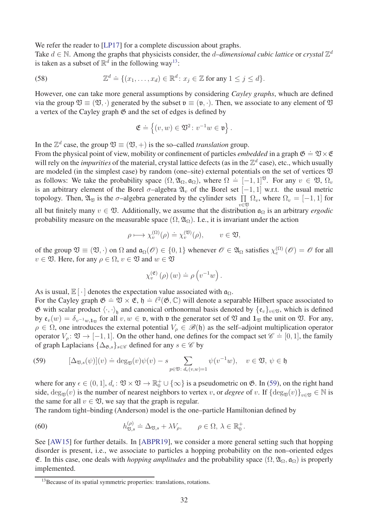We refer the reader to [\[LP17\]](#page-37-11) for a complete discussion about graphs.

Take  $d \in \mathbb{N}$ . Among the graphs that physicists consider, the *d–dimensional cubic lattice* or *crystal*  $\mathbb{Z}^d$ is taken as a subset of  $\mathbb{R}^d$  in the following way<sup>[13](#page-31-1)</sup>:

(58) 
$$
\mathbb{Z}^d \doteq \{(x_1,\ldots,x_d) \in \mathbb{R}^d \colon x_j \in \mathbb{Z} \text{ for any } 1 \leq j \leq d\}.
$$

However, one can take more general assumptions by considering *Cayley graphs*, whuch are defined via the group  $\mathfrak{V} \equiv (\mathfrak{V}, \cdot)$  generated by the subset  $\mathfrak{v} \equiv (\mathfrak{v}, \cdot)$ . Then, we associate to any element of  $\mathfrak{V}$ a vertex of the Cayley graph  $\mathfrak G$  and the set of edges is defined by

<span id="page-31-0"></span>
$$
\mathfrak{E}\doteq\left\{(v,w)\in\mathfrak{V}^2\colon v^{-1}w\in\mathfrak{v}\right\}.
$$

In the  $\mathbb{Z}^d$  case, the group  $\mathfrak{V} \equiv (\mathfrak{V}, +)$  is the so–called *translation* group.

From the physical point of view, mobility or confinement of particles *embedded* in a graph  $\mathfrak{G} = \mathfrak{V} \times \mathfrak{E}$ will rely on the *impurities* of the material, crystal lattice defects (as in the  $\mathbb{Z}^d$  case), etc., which usually are modeled (in the simplest case) by random (one–site) external potentials on the set of vertices  $\mathfrak V$ as follows: We take the probability space  $(\Omega, \mathfrak{A}_{\Omega}, \mathfrak{a}_{\Omega})$ , where  $\Omega = [-1, 1]^{\mathfrak{V}}$ . For any  $v \in \mathfrak{V}$ ,  $\Omega_v$ is an arbitrary element of the Borel  $\sigma$ –algebra  $\mathfrak{A}_v$  of the Borel set  $[-1, 1]$  w.r.t. the usual metric topology. Then,  $\mathfrak{A}_{\mathfrak{V}}$  is the  $\sigma$ -algebra generated by the cylinder sets  $\prod_{v \in \mathfrak{N}} \Omega_v$ , where  $\Omega_v = [-1, 1]$  for all but finitely many  $v \in \mathfrak{V}$ . Additionally, we assume that the distribution  $\mathfrak{a}_{\Omega}$  is an arbitrary *ergodic* 

probability measure on the measurable space  $(\Omega, \mathfrak{A}_{\Omega})$ . I.e., it is invariant under the action

$$
\rho \longmapsto \chi_v^{(\Omega)}(\rho) \doteq \chi_v^{(\mathfrak{V})}(\rho), \qquad v \in \mathfrak{V},
$$

of the group  $\mathfrak{V} \equiv (\mathfrak{V}, \cdot)$  on  $\Omega$  and  $\mathfrak{a}_{\Omega}(\mathscr{O}) \in \{0, 1\}$  whenever  $\mathscr{O} \in \mathfrak{A}_{\Omega}$  satisfies  $\chi_e^{(\Omega)}(\mathscr{O}) = \mathscr{O}$  for all  $v \in \mathfrak{V}$ . Here, for any  $\rho \in \Omega$ ,  $v \in \mathfrak{V}$  and  $w \in \mathfrak{V}$ 

$$
\chi_v^{(\mathfrak{E})}(\rho)(w) \doteq \rho(v^{-1}w).
$$

As is usual,  $\mathbb{E}[\cdot]$  denotes the expectation value associated with  $\mathfrak{a}_{\Omega}$ .

For the Cayley graph  $\mathfrak{G} = \mathfrak{V} \times \mathfrak{E}$ ,  $\mathfrak{h} = \ell^2(\mathfrak{G}, \mathbb{C})$  will denote a separable Hilbert space associated to  $\emptyset$  with scalar product  $\langle \cdot, \cdot \rangle_{\mathfrak{h}}$  and canonical orthonormal basis denoted by  $\{\mathfrak{e}_v\}_{v \in \mathfrak{V}}$ , which is defined by  $e_v(w) = \delta_{v^{-1}w,1_{\mathfrak{V}}}$  for all  $v, w \in \mathfrak{v}$ , with  $\mathfrak{v}$  the generator set of  $\mathfrak{V}$  and  $1_{\mathfrak{V}}$  the unit on  $\mathfrak{V}$ . For any,  $\rho \in \Omega$ , one introduces the external potential  $V_{\rho} \in \mathscr{B}(\mathfrak{h})$  as the self-adjoint multiplication operator operator  $V_\rho: \mathfrak{V} \to [-1, 1]$ . On the other hand, one defines for the compact set  $\mathscr{C} = [0, 1]$ , the family of graph Laplacians  $\{\Delta_{\mathfrak{G},s}\}_{s\in\mathscr{C}}$  defined for any  $s\in\mathscr{C}$  by

<span id="page-31-2"></span>(59) 
$$
[\Delta_{\mathfrak{V},s}(\psi)](v) \doteq \deg_{\mathfrak{V}}(v)\psi(v) - s \sum_{p \in \mathfrak{V}: d_{\epsilon}(v,w)=1} \psi(v^{-1}w), \quad v \in \mathfrak{V}, \psi \in \mathfrak{h}
$$

where for any  $\epsilon \in (0, 1], d_{\epsilon}: \mathfrak{V} \times \mathfrak{V} \to \mathbb{R}^+_0 \cup \{\infty\}$  is a pseudometric on  $\mathfrak{G}$ . In [\(59\)](#page-31-2), on the right hand side,  $\deg_{\mathfrak{V}}(v)$  is the number of nearest neighbors to vertex *v*, or *degree* of *v*. If  $\{\deg_{\mathfrak{V}}(v)\}_{v\in\mathfrak{V}}\in\mathbb{N}$  is the same for all  $v \in \mathfrak{V}$ , we say that the graph is regular.

The random tight–binding (Anderson) model is the one–particle Hamiltonian defined by

(60) 
$$
h_{\mathfrak{V},s}^{(\rho)} \doteq \Delta_{\mathfrak{V},s} + \lambda V_{\rho}, \qquad \rho \in \Omega, \ \lambda \in \mathbb{R}_0^+.
$$

See [\[AW15\]](#page-35-15) for further details. In [\[ABPR19\]](#page-34-2), we consider a more general setting such that hopping disorder is present, i.e., we associate to particles a hopping probability on the non–oriented edges E. In this case, one deals with *hopping amplitudes* and the probability space  $(\Omega, \mathfrak{A}_{\Omega}, \mathfrak{a}_{\Omega})$  is properly implemented.

<span id="page-31-1"></span><sup>&</sup>lt;sup>13</sup>Because of its spatial symmetric properties: translations, rotations.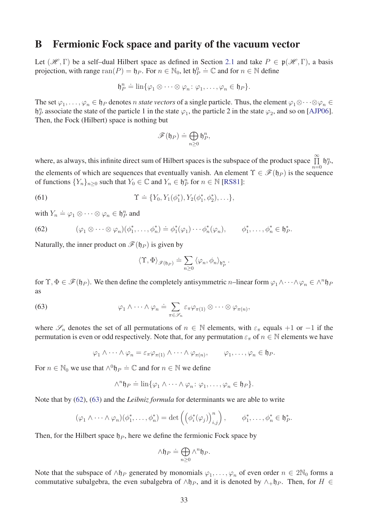### <span id="page-32-0"></span>B Fermionic Fock space and parity of the vacuum vector

Let  $(\mathcal{H}, \Gamma)$  be a self-dual Hilbert space as defined in Section [2.1](#page-3-1) and take  $P \in \mathfrak{p}(\mathcal{H}, \Gamma)$ , a basis projection, with range  $\text{ran}(P) = \mathfrak{h}_P$ . For  $n \in \mathbb{N}_0$ , let  $\mathfrak{h}_P^0 = \mathbb{C}$  and for  $n \in \mathbb{N}$  define

$$
\mathfrak{h}_P^n \doteq \lim \{ \varphi_1 \otimes \cdots \otimes \varphi_n : \varphi_1, \ldots, \varphi_n \in \mathfrak{h}_P \}.
$$

The set  $\varphi_1, \ldots, \varphi_n \in \mathfrak{h}_P$  denotes *n state vectors* of a single particle. Thus, the element  $\varphi_1 \otimes \cdots \otimes \varphi_n \in$  $\mathfrak{h}_P^n$  associate the state of the particle 1 in the state  $\varphi_1$ , the particle 2 in the state  $\varphi_2$ , and so on [\[AJP06\]](#page-34-5). Then, the Fock (Hilbert) space is nothing but

$$
\mathscr{F}(\mathfrak{h}_{P}) \doteq \bigoplus_{n \geq 0} \mathfrak{h}_{P}^{n},
$$

where, as always, this infinite direct sum of Hilbert spaces is the subspace of the product space  $\prod_{n=0}^{\infty} \mathfrak{h}_P^n$ , the elements of which are sequences that eventually vanish. An element  $\Upsilon \in \mathcal{F}(\mathfrak{h}_P)$  is the sequence of functions  $\{Y_n\}_{n\geq 0}$  such that  $Y_0 \in \mathbb{C}$  and  $Y_n \in \mathfrak{h}_P^n$  for  $n \in \mathbb{N}$  [\[RS81\]](#page-37-12):

(61) 
$$
\Upsilon \doteq \{Y_0, Y_1(\phi_1^*), Y_2(\phi_1^*, \phi_2^*), \ldots\},
$$

with  $Y_n \doteq \varphi_1 \otimes \cdots \otimes \varphi_n \in \mathfrak{h}_P^n$  and

<span id="page-32-1"></span>(62) 
$$
(\varphi_1 \otimes \cdots \otimes \varphi_n)(\phi_1^*, \ldots, \phi_n^*) \doteq \phi_1^*(\varphi_1) \cdots \phi_n^*(\varphi_n), \qquad \phi_1^*, \ldots, \phi_n^* \in \mathfrak{h}_P^*.
$$

Naturally, the inner product on  $\mathscr{F}(\mathfrak{h}_P)$  is given by

<span id="page-32-3"></span><span id="page-32-2"></span>
$$
\langle \Upsilon, \Phi \rangle_{\mathscr{F}(\mathfrak{h}_{P})} \doteq \sum_{n \geq 0} \langle \varphi_n, \phi_n \rangle_{\mathfrak{h}_{P}^n}.
$$

for  $\Upsilon, \Phi \in \mathscr{F}(\mathfrak{h}_P)$ . We then define the completely antisymmetric *n*–linear form  $\varphi_1 \wedge \cdots \wedge \varphi_n \in \wedge^n \mathfrak{h}_P$ as

(63) 
$$
\varphi_1 \wedge \cdots \wedge \varphi_n \doteq \sum_{\pi \in \mathscr{S}_n} \varepsilon_{\pi} \varphi_{\pi(1)} \otimes \cdots \otimes \varphi_{\pi(n)},
$$

where  $\mathscr{S}_n$  denotes the set of all permutations of  $n \in \mathbb{N}$  elements, with  $\varepsilon_\pi$  equals +1 or −1 if the permutation is even or odd respectively. Note that, for any permutation  $\varepsilon_{\pi}$  of  $n \in \mathbb{N}$  elements we have

$$
\varphi_1 \wedge \cdots \wedge \varphi_n = \varepsilon_{\pi} \varphi_{\pi(1)} \wedge \cdots \wedge \varphi_{\pi(n)}, \qquad \varphi_1, \ldots, \varphi_n \in \mathfrak{h}_P.
$$

For  $n \in \mathbb{N}_0$  we use that  $\wedge^0 \mathfrak{h}_P \doteq \mathbb{C}$  and for  $n \in \mathbb{N}$  we define

$$
\wedge^n \mathfrak{h}_P \doteq \lim \{ \varphi_1 \wedge \cdots \wedge \varphi_n : \varphi_1, \ldots, \varphi_n \in \mathfrak{h}_P \}.
$$

Note that by [\(62\)](#page-32-1), [\(63\)](#page-32-2) and the *Leibniz formula* for determinants we are able to write

$$
(\varphi_1 \wedge \cdots \wedge \varphi_n)(\phi_1^*, \ldots, \phi_n^*) = \det \left( \left( \phi_i^*(\varphi_j) \right)_{i,j}^n \right), \qquad \phi_1^*, \ldots, \phi_n^* \in \mathfrak{h}_P^*.
$$

Then, for the Hilbert space  $\mathfrak{h}_P$ , here we define the fermionic Fock space by

$$
\wedge \mathfrak{h}_P \doteq \bigoplus_{n \geq 0} \wedge^n \mathfrak{h}_P.
$$

Note that the subspace of  $\wedge$ h<sub>*P*</sub> generated by monomials  $\varphi_1, \ldots, \varphi_n$  of even order  $n \in 2\mathbb{N}_0$  forms a commutative subalgebra, the even subalgebra of  $\wedge \mathfrak{h}_P$ , and it is denoted by  $\wedge_{+} \mathfrak{h}_P$ . Then, for  $H \in$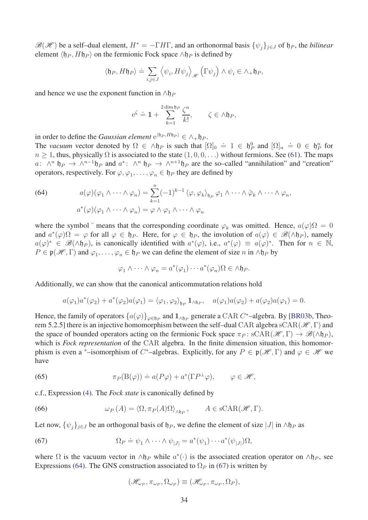$\mathscr{B}(\mathscr{H})$  be a self-dual element,  $H^* = -\Gamma H\Gamma$ , and an orthonormal basis  $\{\psi_i\}_{i\in J}$  of  $\mathfrak{h}_P$ , the *bilinear* element  $\langle \mathfrak{h}_P, H\mathfrak{h}_P \rangle$  on the fermionic Fock space ∧ $\mathfrak{h}_P$  is defined by

$$
\left\langle \mathfrak{h}_{P},H\mathfrak{h}_{P}\right\rangle \doteq\sum_{i,j\in J}\left\langle \psi_{i},H\psi_{j}\right\rangle _{\mathscr{H}}\left(\Gamma\psi_{j}\right)\wedge\psi_{i}\in\wedge_{+}\mathfrak{h}_{P},
$$

and hence we use the exponent function in  $\land$ h<sub>*P*</sub>

$$
e^{\zeta} \doteq 1 + \sum_{k=1}^{2 \dim \mathfrak{h}_P} \frac{\zeta^n}{k!}, \qquad \zeta \in \Lambda \mathfrak{h}_P,
$$

in order to define the *Gaussian element*  $e^{\langle \mathfrak{h}_P, H \mathfrak{h}_P \rangle} \in \wedge_+ \mathfrak{h}_P$ .

The *vacuum* vector denoted by  $\Omega \in \Lambda \mathfrak{h}_P$  is such that  $[\Omega]_0 \doteq 1 \in \mathfrak{h}_P^0$  and  $[\Omega]_n \doteq 0 \in \mathfrak{h}_P^n$  for  $n \geq 1$ , thus, physically  $\Omega$  is associated to the state  $(1, 0, 0, ...)$  without fermions. See [\(61\)](#page-32-3). The maps *a*:  $\wedge^n$   $\mathfrak{h}_P \to \wedge^{n-1} \mathfrak{h}_P$  and  $a^*$ :  $\wedge^n$   $\mathfrak{h}_P \to \wedge^{n+1} \mathfrak{h}_P$  are the so–called "annihilation" and "creation" operators, respectively. For  $\varphi, \varphi_1, \ldots, \varphi_n \in \mathfrak{h}_P$  they are defined by

<span id="page-33-2"></span>(64) 
$$
a(\varphi)(\varphi_1 \wedge \cdots \wedge \varphi_n) = \sum_{k=1}^n (-1)^{k-1} \langle \varphi, \varphi_k \rangle_{\mathfrak{h}_P} \varphi_1 \wedge \cdots \wedge \varphi_k \wedge \cdots \wedge \varphi_n,
$$

$$
a^*(\varphi)(\varphi_1 \wedge \cdots \wedge \varphi_n) = \varphi \wedge \varphi_1 \wedge \cdots \wedge \varphi_n
$$

where the symbol  $\check{\ }$  means that the corresponding coordinate  $\varphi_k$  was omitted. Hence,  $a(\varphi)\Omega = 0$ and  $a^*(\varphi)\Omega = \varphi$  for all  $\varphi \in \mathfrak{h}_P$ . Here, for  $\varphi \in \mathfrak{h}_P$ , the involution of  $a(\varphi) \in \mathscr{B}(\wedge \mathfrak{h}_P)$ , namely  $a(\varphi)^* \in \mathscr{B}(\wedge \mathfrak{h}_P)$ , is canonically identified with  $a^*(\varphi)$ , i.e.,  $a^*(\varphi) \equiv a(\varphi)^*$ . Then for  $n \in \mathbb{N}$ ,  $P \in \mathfrak{p}(\mathcal{H}, \Gamma)$  and  $\varphi_1, \ldots, \varphi_n \in \mathfrak{h}_P$  we can define the element of size *n* in ∧ $\mathfrak{h}_P$  by

$$
\varphi_1 \wedge \cdots \wedge \varphi_n = a^*(\varphi_1) \cdots a^*(\varphi_n) \Omega \in \wedge \mathfrak{h}_P.
$$

Additionally, we can show that the canonical anticommutation relations hold

$$
a(\varphi_1)a^*(\varphi_2) + a^*(\varphi_2)a(\varphi_1) = \langle \varphi_1, \varphi_2 \rangle_{\mathfrak{h}_P} \mathbf{1}_{\wedge \mathfrak{h}_P}, \quad a(\varphi_1)a(\varphi_2) + a(\varphi_2)a(\varphi_1) = 0.
$$

Hence, the family of operators  $\{a(\varphi)\}_{\varphi \in \mathfrak{h}_P}$  and  $\mathbf{1}_{\wedge \mathfrak{h}_P}$  generate a CAR  $C^*$ –algebra. By [\[BR03b,](#page-36-14) Theorem 5.2.5] there is an injective homomorphism between the self-dual CAR algebra sCAR( $\mathcal{H}, \Gamma$ ) and the space of bounded operators acting on the fermionic Fock space  $\pi_P$ : sCAR( $\mathscr{H}, \Gamma$ )  $\to \mathscr{B}(\wedge \mathfrak{h}_P)$ , which is *Fock representation* of the CAR algebra. In the finite dimension situation, this homomorphism is even a <sup>\*</sup>-isomorphism of *C*<sup>\*</sup>-algebras. Explicitly, for any  $P \in \mathfrak{p}(\mathcal{H}, \Gamma)$  and  $\varphi \in \mathcal{H}$  we have

<span id="page-33-0"></span>(65) 
$$
\pi_P(B(\varphi)) \doteq a(P\varphi) + a^*(\Gamma P^{\perp}\varphi), \qquad \varphi \in \mathscr{H},
$$

c.f., Expression [\(4\)](#page-4-5). The *Fock state* is canonically defined by

<span id="page-33-3"></span>(66) 
$$
\omega_P(A) = \langle \Omega, \pi_P(A) \Omega \rangle_{\wedge \mathfrak{h}_P}, \qquad A \in \text{sCAR}(\mathcal{H}, \Gamma).
$$

Let now,  $\{\psi_i\}_{i\in J}$  be an orthogonal basis of  $\natural_P$ , we define the element of size  $|J|$  in ∧ $\natural_P$  as

(67) 
$$
\Omega_P \doteq \psi_1 \wedge \cdots \wedge \psi_{|J|} = a^*(\psi_1) \cdots a^*(\psi_{|J|}) \Omega,
$$

where  $\Omega$  is the vacuum vector in  $\Lambda \mathfrak{h}_P$  while  $a^*(\cdot)$  is the associated creation operator on  $\Lambda \mathfrak{h}_P$ , see Expressions [\(64\)](#page-33-2). The GNS construction associated to  $\Omega_P$  in [\(67\)](#page-33-1) is written by

<span id="page-33-1"></span>
$$
(\mathscr{H}_{\omega_P}, \pi_{\omega_P}, \Omega_{\omega_P}) \equiv (\mathscr{H}_{\omega_P}, \pi_{\omega_P}, \Omega_P),
$$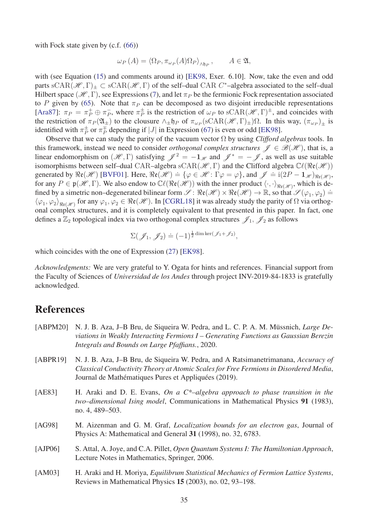with Fock state given by (c.f.  $(66)$ )

$$
\omega_P(A) = \langle \Omega_P, \pi_{\omega_P}(A)\Omega_P \rangle_{\wedge \mathfrak{h}_P}, \qquad A \in \mathfrak{A},
$$

with (see Equation [\(15\)](#page-7-6) and comments around it) [\[EK98,](#page-36-2) Exer. 6.10]. Now, take the even and odd parts  $sCAR(\mathcal{H}, \Gamma)_{\pm} \subset sCAR(\mathcal{H}, \Gamma)$  of the self-dual CAR *C*<sup>\*</sup>-algebra associated to the self-dual Hilbert space ( $\mathcal{H}, \Gamma$ ), see Expressions [\(7\)](#page-4-3), and let  $\pi_P$  be the fermionic Fock representation associated to *P* given by [\(65\)](#page-33-0). Note that  $\pi_P$  can be decomposed as two disjoint irreducible representations [\[Ara87\]](#page-35-9):  $\pi_P = \pi_P^+ \oplus \pi_P^-$ , where  $\pi_P^{\pm}$  is the restriction of  $\omega_P$  to sCAR( $\mathscr{H}, \Gamma)^{\pm}$ , and coincides with the restriction of  $\pi_P(\mathfrak{A}_\pm)$  to the clousure  $\wedge_{\pm} \mathfrak{h}_P$  of  $\pi_{\omega_P}(\mathrm{sCAR}(\mathcal{H}, \Gamma)_{\pm})\Omega$ . In this way,  $(\pi_{\omega_P})_{\pm}$  is identified with  $\pi_P^{\pm}$  or  $\pi_P^{\mp}$  depending if  $|J|$  in Expression [\(67\)](#page-33-1) is even or odd [\[EK98\]](#page-36-2).

Observe that we can study the parity of the vacuum vector Ω by using *Clifford algebras* tools. In this framework, instead we need to consider *orthogonal complex structures*  $\mathscr{J} \in \mathscr{B}(\mathscr{H})$ , that is, a linear endomorphism on  $(\mathcal{H}, \Gamma)$  satisfying  $\mathcal{J}^2 = -1_{\mathcal{H}}$  and  $\mathcal{J}^* = -\mathcal{J}$ , as well as use suitable isomorphisms between self–dual CAR–algebra sCAR( $\mathcal{H}, \Gamma$ ) and the Clifford algebra  $\mathbb{C}\ell(\Re(\mathcal{H}))$ generated by  $\Re(\mathcal{H})$  [\[BVF01\]](#page-36-3). Here,  $\Re(\mathcal{H}) = {\varphi \in \mathcal{H} : \Gamma \varphi = \varphi}$ , and  $\mathcal{J} = i(2P - 1_{\mathcal{H}})_{\Re(\mathcal{H})}$ , for any  $P \in \mathfrak{p}(\mathcal{H}, \Gamma)$ . We also endow to  $\mathbb{C}\ell(\Re\mathfrak{e}(\mathcal{H}))$  with the inner product  $\langle \cdot, \cdot \rangle_{\Re\mathfrak{e}(\mathcal{H})}$ , which is defined by a simetric non–degenerated bilinear form  $\mathscr{S}$ :  $\Re(\mathscr{H}) \times \Re(\mathscr{H}) \to \mathbb{R}$ , so that  $\mathscr{S}(\varphi_1, \varphi_2) =$  $\langle\varphi_1,\varphi_2\rangle_{\Re{\mathfrak{e}}(\mathscr{H})}$  for any  $\varphi_1,\varphi_2\in\Re{\mathfrak{e}}(\mathscr{H})$ . In [\[CGRL18\]](#page-36-11) it was already study the parity of  $\Omega$  via orthogonal complex structures, and it is completely equivalent to that presented in this paper. In fact, one defines a  $\mathbb{Z}_2$  topological index via two orthogonal complex structures  $\mathscr{J}_1$ ,  $\mathscr{J}_2$  as follows

$$
\Sigma(\mathscr{J}_1, \mathscr{J}_2) \doteq (-1)^{\frac{1}{2} \dim \ker(\mathscr{J}_1 + \mathscr{J}_2)},
$$

which coincides with the one of Expression [\(27\)](#page-12-0) [\[EK98\]](#page-36-2).

*Acknowledgments:* We are very grateful to Y. Ogata for hints and references. Financial support from the Faculty of Sciences of *Universidad de los Andes* through project INV-2019-84-1833 is gratefully acknowledged.

## References

<span id="page-34-5"></span><span id="page-34-4"></span><span id="page-34-3"></span><span id="page-34-2"></span><span id="page-34-1"></span><span id="page-34-0"></span>

| [ABPR19]<br>Journal de Mathématiques Pures et Appliquées (2019).<br>[AE83]<br>no. 4, 489–503.<br>[AG98]<br>Physics A: Mathematical and General 31 (1998), no. 32, 6783.<br>[AJP06]<br>Lecture Notes in Mathematics, Springer, 2006.<br>[AM03]<br>Reviews in Mathematical Physics 15 (2003), no. 02, 93–198. | [ABPM20] | N. J. B. Aza, J–B Bru, de Siqueira W. Pedra, and L. C. P. A. M. Müssnich, <i>Large De-</i><br>viations in Weakly Interacting Fermions I – Generating Functions as Gaussian Berezin<br>Integrals and Bounds on Large Pfaffians., 2020. |
|-------------------------------------------------------------------------------------------------------------------------------------------------------------------------------------------------------------------------------------------------------------------------------------------------------------|----------|---------------------------------------------------------------------------------------------------------------------------------------------------------------------------------------------------------------------------------------|
|                                                                                                                                                                                                                                                                                                             |          | N. J. B. Aza, J-B Bru, de Siqueira W. Pedra, and A Ratsimanetrimanana, Accuracy of<br>Classical Conductivity Theory at Atomic Scales for Free Fermions in Disordered Media,                                                           |
|                                                                                                                                                                                                                                                                                                             |          | H. Araki and D. E. Evans, On a $C^*$ -algebra approach to phase transition in the<br>two-dimensional Ising model, Communications in Mathematical Physics 91 (1983),                                                                   |
|                                                                                                                                                                                                                                                                                                             |          | M. Aizenman and G. M. Graf, <i>Localization bounds for an electron gas</i> , Journal of                                                                                                                                               |
|                                                                                                                                                                                                                                                                                                             |          | S. Attal, A. Joye, and C.A. Pillet, Open Quantum Systems I: The Hamiltonian Approach,                                                                                                                                                 |
|                                                                                                                                                                                                                                                                                                             |          | H. Araki and H. Moriya, <i>Equilibrum Statistical Mechanics of Fermion Lattice Systems</i> ,                                                                                                                                          |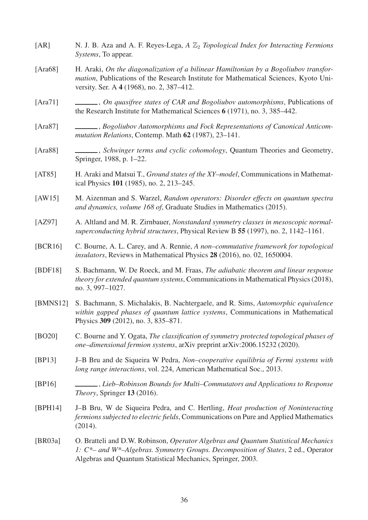- <span id="page-35-5"></span>[AR] N. J. B. Aza and A. F. Reyes-Lega, *A*  $\mathbb{Z}_2$  *Topological Index for Interacting Fermions Systems*, To appear.
- <span id="page-35-7"></span>[Ara68] H. Araki, *On the diagonalization of a bilinear Hamiltonian by a Bogoliubov transformation*, Publications of the Research Institute for Mathematical Sciences, Kyoto University. Ser. A 4 (1968), no. 2, 387–412.
- <span id="page-35-8"></span>[Ara71] , *On quasifree states of CAR and Bogoliubov automorphisms*, Publications of the Research Institute for Mathematical Sciences 6 (1971), no. 3, 385–442.
- <span id="page-35-9"></span>[Ara87] , *Bogoliubov Automorphisms and Fock Representations of Canonical Anticommutation Relations*, Contemp. Math 62 (1987), 23–141.
- <span id="page-35-10"></span>[Ara88] , *Schwinger terms and cyclic cohomology*, Quantum Theories and Geometry, Springer, 1988, p. 1–22.
- <span id="page-35-4"></span>[AT85] H. Araki and Matsui T., *Ground states of the XY–model*, Communications in Mathematical Physics 101 (1985), no. 2, 213–245.
- <span id="page-35-15"></span>[AW15] M. Aizenman and S. Warzel, *Random operators: Disorder effects on quantum spectra and dynamics, volume 168 of*, Graduate Studies in Mathematics (2015).
- <span id="page-35-0"></span>[AZ97] A. Altland and M. R. Zirnbauer, *Nonstandard symmetry classes in mesoscopic normalsuperconducting hybrid structures*, Physical Review B 55 (1997), no. 2, 1142–1161.
- <span id="page-35-1"></span>[BCR16] C. Bourne, A. L. Carey, and A. Rennie, *A non–commutative framework for topological insulators*, Reviews in Mathematical Physics 28 (2016), no. 02, 1650004.
- <span id="page-35-2"></span>[BDF18] S. Bachmann, W. De Roeck, and M. Fraas, *The adiabatic theorem and linear response theory for extended quantum systems*, Communications in Mathematical Physics (2018), no. 3, 997–1027.
- <span id="page-35-3"></span>[BMNS12] S. Bachmann, S. Michalakis, B. Nachtergaele, and R. Sims, *Automorphic equivalence within gapped phases of quantum lattice systems*, Communications in Mathematical Physics 309 (2012), no. 3, 835–871.
- <span id="page-35-6"></span>[BO20] C. Bourne and Y. Ogata, *The classification of symmetry protected topological phases of one–dimensional fermion systems*, arXiv preprint arXiv:2006.15232 (2020).
- <span id="page-35-14"></span>[BP13] J–B Bru and de Siqueira W Pedra, *Non–cooperative equilibria of Fermi systems with long range interactions*, vol. 224, American Mathematical Soc., 2013.
- <span id="page-35-12"></span>[BP16] , *Lieb–Robinson Bounds for Multi–Commutators and Applications to Response Theory*, Springer 13 (2016).
- <span id="page-35-13"></span>[BPH14] J–B Bru, W de Siqueira Pedra, and C. Hertling, *Heat production of Noninteracting fermions subjected to electric fields*, Communications on Pure and Applied Mathematics (2014).
- <span id="page-35-11"></span>[BR03a] O. Bratteli and D.W. Robinson, *Operator Algebras and Quantum Statistical Mechanics 1: C\*– and W\*–Algebras. Symmetry Groups. Decomposition of States*, 2 ed., Operator Algebras and Quantum Statistical Mechanics, Springer, 2003.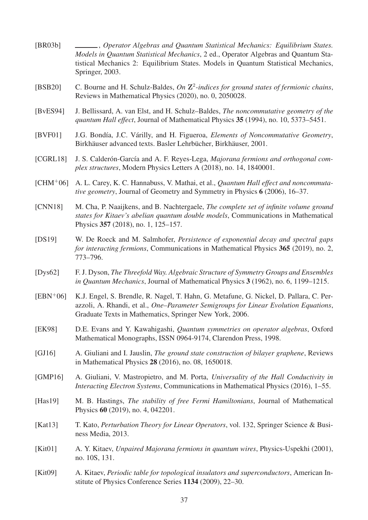<span id="page-36-16"></span><span id="page-36-15"></span><span id="page-36-14"></span><span id="page-36-13"></span><span id="page-36-12"></span><span id="page-36-11"></span><span id="page-36-10"></span><span id="page-36-9"></span><span id="page-36-8"></span><span id="page-36-7"></span><span id="page-36-6"></span><span id="page-36-5"></span><span id="page-36-4"></span><span id="page-36-3"></span><span id="page-36-2"></span><span id="page-36-1"></span><span id="page-36-0"></span>[BR03b] , *Operator Algebras and Quantum Statistical Mechanics: Equilibrium States. Models in Quantum Statistical Mechanics*, 2 ed., Operator Algebras and Quantum Statistical Mechanics 2: Equilibrium States. Models in Quantum Statistical Mechanics, Springer, 2003. [BSB20] C. Bourne and H. Schulz-Baldes, *On* **Z** 2 *-indices for ground states of fermionic chains*, Reviews in Mathematical Physics (2020), no. 0, 2050028. [BvES94] J. Bellissard, A. van Elst, and H. Schulz–Baldes, *The noncommutative geometry of the quantum Hall effect*, Journal of Mathematical Physics 35 (1994), no. 10, 5373–5451. [BVF01] J.G. Bondía, J.C. Várilly, and H. Figueroa, *Elements of Noncommutative Geometry*, Birkhäuser advanced texts. Basler Lehrbücher, Birkhäuser, 2001. [CGRL18] J. S. Calderón-García and A. F. Reyes-Lega, *Majorana fermions and orthogonal complex structures*, Modern Physics Letters A (2018), no. 14, 1840001. [CHM<sup>+</sup>06] A. L. Carey, K. C. Hannabuss, V. Mathai, et al., *Quantum Hall effect and noncommutative geometry*, Journal of Geometry and Symmetry in Physics 6 (2006), 16–37. [CNN18] M. Cha, P. Naaijkens, and B. Nachtergaele, *The complete set of infinite volume ground states for Kitaev's abelian quantum double models*, Communications in Mathematical Physics 357 (2018), no. 1, 125–157. [DS19] W. De Roeck and M. Salmhofer, *Persistence of exponential decay and spectral gaps for interacting fermions*, Communications in Mathematical Physics 365 (2019), no. 2, 773–796. [Dys62] F. J. Dyson, *The Threefold Way. Algebraic Structure of Symmetry Groups and Ensembles in Quantum Mechanics*, Journal of Mathematical Physics 3 (1962), no. 6, 1199–1215. [EBN<sup>+</sup>06] K.J. Engel, S. Brendle, R. Nagel, T. Hahn, G. Metafune, G. Nickel, D. Pallara, C. Perazzoli, A. Rhandi, et al., *One–Parameter Semigroups for Linear Evolution Equations*, Graduate Texts in Mathematics, Springer New York, 2006. [EK98] D.E. Evans and Y. Kawahigashi, *Quantum symmetries on operator algebras*, Oxford Mathematical Monographs, ISSN 0964-9174, Clarendon Press, 1998. [GJ16] A. Giuliani and I. Jauslin, *The ground state construction of bilayer graphene*, Reviews in Mathematical Physics 28 (2016), no. 08, 1650018. [GMP16] A. Giuliani, V. Mastropietro, and M. Porta, *Universality of the Hall Conductivity in Interacting Electron Systems*, Communications in Mathematical Physics (2016), 1–55. [Has19] M. B. Hastings, *The stability of free Fermi Hamiltonians*, Journal of Mathematical Physics 60 (2019), no. 4, 042201. [Kat13] T. Kato, *Perturbation Theory for Linear Operators*, vol. 132, Springer Science & Business Media, 2013. [Kit01] A. Y. Kitaev, *Unpaired Majorana fermions in quantum wires*, Physics-Uspekhi (2001), no. 10S, 131. [Kit09] A. Kitaev, *Periodic table for topological insulators and superconductors*, American Institute of Physics Conference Series 1134 (2009), 22–30.